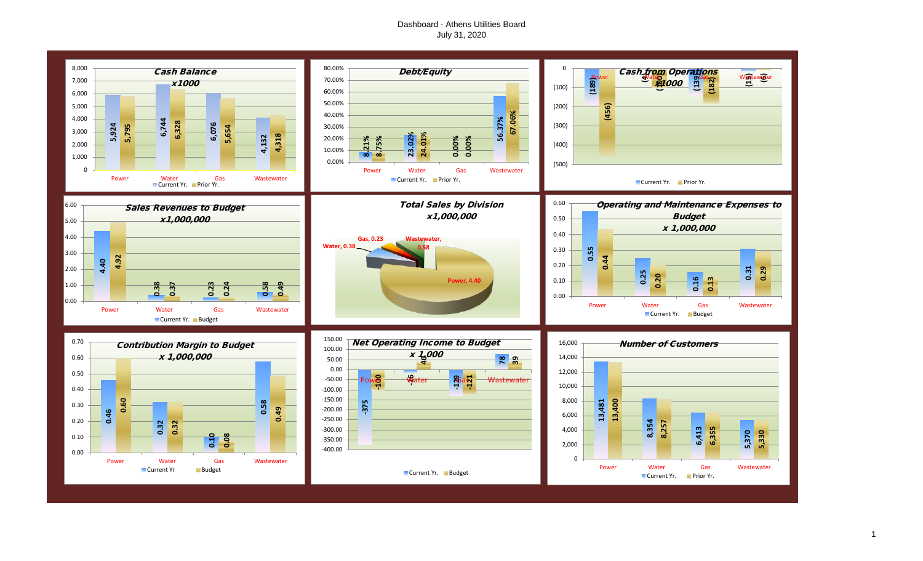# Dashboard - Athens Utilities Board July 31, 2020



1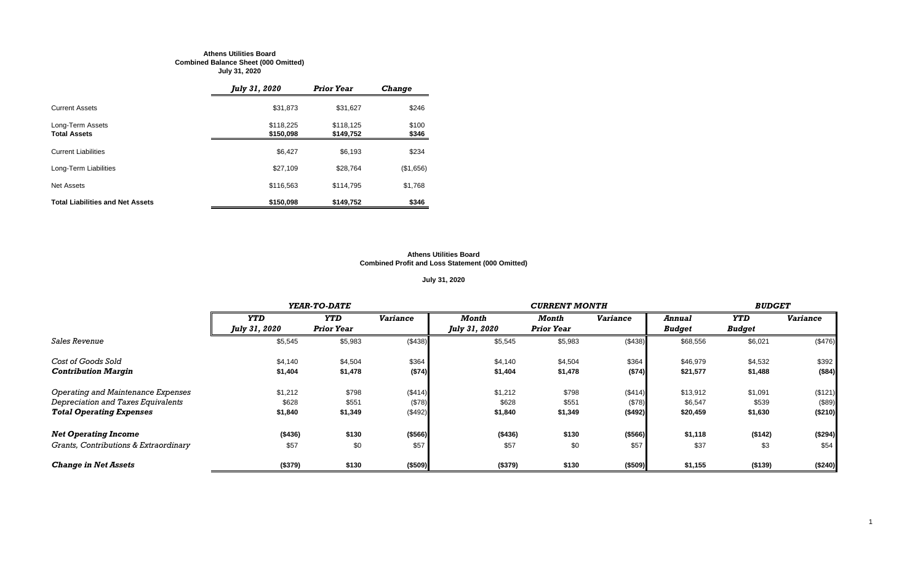#### **Athens Utilities Board Combined Balance Sheet (000 Omitted) July 31, 2020**

|                                         | July 31, 2020          | <b>Prior Year</b>      | <b>Change</b>  |
|-----------------------------------------|------------------------|------------------------|----------------|
| <b>Current Assets</b>                   | \$31,873               | \$31,627               | \$246          |
| Long-Term Assets<br><b>Total Assets</b> | \$118,225<br>\$150,098 | \$118.125<br>\$149,752 | \$100<br>\$346 |
| <b>Current Liabilities</b>              | \$6,427                | \$6,193                | \$234          |
| Long-Term Liabilities                   | \$27,109               | \$28,764               | (\$1,656)      |
| <b>Net Assets</b>                       | \$116,563              | \$114,795              | \$1,768        |
| <b>Total Liabilities and Net Assets</b> | \$150,098              | \$149,752              | \$346          |

#### **Athens Utilities Board Combined Profit and Loss Statement (000 Omitted)**

# **July 31, 2020**

|                                       |                      | YEAR-TO-DATE      |                 |               | <b>CURRENT MONTH</b> |                 |               |               |                 |
|---------------------------------------|----------------------|-------------------|-----------------|---------------|----------------------|-----------------|---------------|---------------|-----------------|
|                                       | <b>YTD</b>           | <b>YTD</b>        | <b>Variance</b> | Month         | Month                | <b>Variance</b> | Annual        | <b>YTD</b>    | <b>Variance</b> |
|                                       | <b>July 31, 2020</b> | <b>Prior Year</b> |                 | July 31, 2020 | <b>Prior Year</b>    |                 | <b>Budget</b> | <b>Budget</b> |                 |
| Sales Revenue                         | \$5,545              | \$5,983           | (\$438)         | \$5,545       | \$5,983              | (\$438)         | \$68,556      | \$6,021       | (\$476)         |
| Cost of Goods Sold                    | \$4,140              | \$4,504           | \$364           | \$4,140       | \$4,504              | \$364           | \$46,979      | \$4,532       | \$392           |
| <b>Contribution Margin</b>            | \$1,404              | \$1,478           | ( \$74)         | \$1,404       | \$1,478              | (\$74)          | \$21,577      | \$1,488       | ( \$84)         |
| Operating and Maintenance Expenses    | \$1,212              | \$798             | (\$414)         | \$1,212       | \$798                | (\$414)         | \$13,912      | \$1,091       | (\$121)         |
| Depreciation and Taxes Equivalents    | \$628                | \$551             | (\$78)          | \$628         | \$551                | (\$78)          | \$6,547       | \$539         | (\$89)          |
| <b>Total Operating Expenses</b>       | \$1,840              | \$1,349           | (\$492)         | \$1,840       | \$1,349              | ( \$492)        | \$20,459      | \$1,630       | (\$210)         |
| <b>Net Operating Income</b>           | (\$436)              | \$130             | ( \$566)        | (\$436)       | \$130                | ( \$566)        | \$1,118       | (\$142)       | (\$294)         |
| Grants, Contributions & Extraordinary | \$57                 | \$0               | \$57            | \$57          | \$0                  | \$57            | \$37          | \$3           | \$54            |
| <b>Change in Net Assets</b>           | (\$379)              | \$130             | (\$509)         | (\$379)       | \$130                | (\$509)         | \$1,155       | (\$139)       | (\$240)         |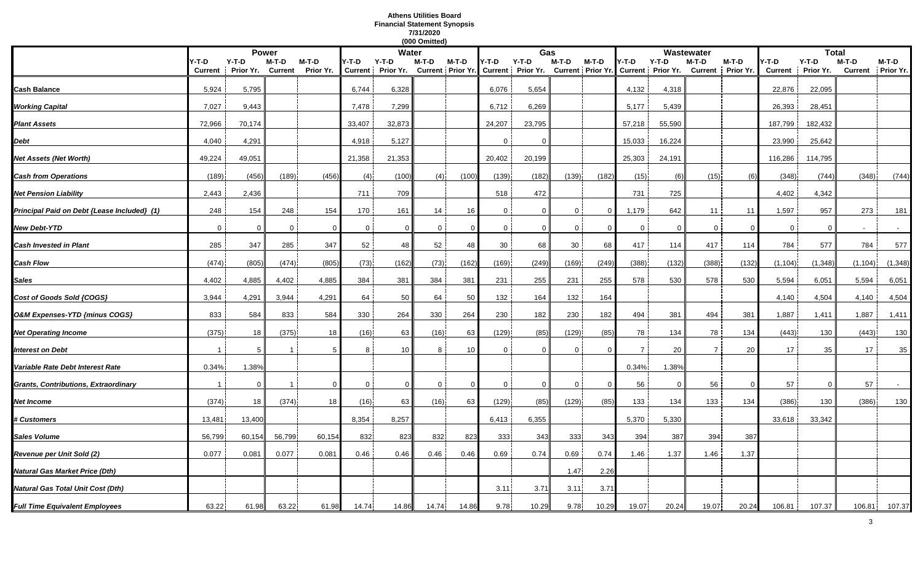#### **Athens Utilities Board Financial Statement Synopsis 7/31/2020 (000 Omitted)**

|                                             |                         |                      |                         |                    |              |                              | (000 Omitted) |                            |                |                              |                |                            |                |                              |                            |          |                         |                    |                         |                    |
|---------------------------------------------|-------------------------|----------------------|-------------------------|--------------------|--------------|------------------------------|---------------|----------------------------|----------------|------------------------------|----------------|----------------------------|----------------|------------------------------|----------------------------|----------|-------------------------|--------------------|-------------------------|--------------------|
|                                             |                         |                      | <b>Power</b>            |                    |              | Water                        |               |                            |                | Gas                          |                |                            |                |                              | Wastewater                 |          |                         | <b>Total</b>       |                         |                    |
|                                             | Y-T-D<br><b>Current</b> | $Y-T-D$<br>Prior Yr. | M-T-D<br><b>Current</b> | M-T-D<br>Prior Yr. | Y-T-D        | $Y-T-D$<br>Current Prior Yr. | M-T-D         | M-T-D<br>Current Prior Yr. | Y-T-D          | $Y-T-D$<br>Current Prior Yr. | $M-T-D$        | M-T-D<br>Current Prior Yr. | Y-T-D          | $Y-T-D$<br>Current Prior Yr. | M-T-D<br>Current Prior Yr. | M-T-D    | /-T-D<br><b>Current</b> | Y-T-D<br>Prior Yr. | M-T-D<br><b>Current</b> | M-T-D<br>Prior Yr. |
|                                             |                         |                      |                         |                    |              |                              |               |                            |                |                              |                |                            |                |                              |                            |          |                         |                    |                         |                    |
| Cash Balance                                | 5,924                   | 5,795                |                         |                    | 6,744        | 6,328                        |               |                            | 6,076          | 5,654                        |                |                            | 4,132          | 4,318                        |                            |          | 22,876                  | 22,095             |                         |                    |
| <b>Working Capital</b>                      | 7,027                   | 9,443                |                         |                    | 7,478        | 7,299                        |               |                            | 6,712          | 6,269                        |                |                            | 5,177          | 5,439                        |                            |          | 26,393                  | 28,451             |                         |                    |
| <b>Plant Assets</b>                         | 72,966                  | 70,174               |                         |                    | 33,407       | 32,873                       |               |                            | 24,207         | 23,795                       |                |                            | 57,218         | 55,590                       |                            |          | 187,799                 | 182,432            |                         |                    |
| Debt                                        | 4,040                   | 4,291                |                         |                    | 4,918        | 5,127                        |               |                            | $\mathbf 0$    | $\Omega$                     |                |                            | 15,033         | 16,224                       |                            |          | 23,990                  | 25,642             |                         |                    |
| <b>Vet Assets (Net Worth)</b>               | 49,224                  | 49,051               |                         |                    | 21,358       | 21,353                       |               |                            | 20,402         | 20,199                       |                |                            | 25,303         | 24,191                       |                            |          | 116,286                 | 114,795            |                         |                    |
| <b>Cash from Operations</b>                 | (189)                   | (456)                | (189)                   | (456)              | (4)          | (100)                        | (4)           | (100)                      | (139)          | (182)                        | (139)          | (182)                      | (15)           | (6)                          | (15)                       | (6)      | (348)                   | (744)              | (348)                   | (744)              |
| Net Pension Liability                       | 2,443                   | 2,436                |                         |                    | 711          | 709                          |               |                            | 518            | 472                          |                |                            | 731            | 725                          |                            |          | 4,402                   | 4,342              |                         |                    |
| Principal Paid on Debt {Lease Included} (1) | 248                     | 154                  | 248                     | 154                | 170          | 161                          | 14            | 16                         | $\overline{0}$ | $\Omega$                     | 0              | $\overline{0}$             | 1,179          | 642                          | 11                         | 11       | 1,597                   | 957                | 273                     | 181                |
| <b>New Debt-YTD</b>                         | $\mathbf 0$             | $\Omega$             | $\overline{0}$          | $\Omega$           | $\mathbf 0$  | $\mathbf 0$                  | $\mathbf 0$   | $\Omega$                   | $\overline{0}$ | $\mathbf 0$                  | $\overline{0}$ |                            | $\overline{0}$ | $\Omega$                     | $\overline{0}$             | $\Omega$ | $\overline{0}$          | $\Omega$           |                         | $\sim$             |
| <b>Cash Invested in Plant</b>               | 285                     | 347                  | 285                     | 347                | 52           | 48                           | 52            | 48                         | 30             | 68                           | 30             | 68                         | 417            | 114                          | 417                        | 114      | 784                     | 577                | 784                     | 577                |
| Cash Flow                                   | (474)                   | (805)                | (474)                   | (805)              | (73)         | (162)                        | (73)          | (162)                      | (169)          | (249)                        | (169)          | (249)                      | (388)          | (132)                        | (388)                      | (132)    | (1, 104)                | (1, 348)           | (1, 104)                | (1, 348)           |
| Sales                                       | 4,402                   | 4,885                | 4,402                   | 4,885              | 384          | 381                          | 384           | 381                        | 231            | 255                          | 231            | 255                        | 578            | 530                          | 578                        | 530      | 5,594                   | 6,051              | 5,594                   | 6,051              |
| Cost of Goods Sold {COGS}                   | 3,944                   | 4,291                | 3,944                   | 4,291              | 64           | 50                           | 64            | 50                         | 132            | 164                          | 132            | 164                        |                |                              |                            |          | 4,140                   | 4,504              | 4,140                   | 4,504              |
| O&M Expenses-YTD {minus COGS}               | 833                     | 584                  | 833                     | 584                | 330          | 264                          | 330           | 264                        | 230            | 182                          | 230            | 182                        | 494            | 381                          | 494                        | 381      | 1,887                   | 1,411              | 1,887                   | 1,411              |
| <b>Net Operating Income</b>                 | (375)                   | 18                   | (375)                   | 18                 | (16)         | 63                           | (16)          | 63                         | (129)          | (85)                         | (129)          | (85)                       | 78             | 134                          | 78                         | 134      | (443)                   | 130                | (443)                   | 130                |
| <b>Interest on Debt</b>                     |                         | 5                    |                         |                    | 8            | 10                           | 8             | 10                         | $\mathbf{0}$   | $\Omega$                     | $\mathbf 0$    | $\Omega$                   | $\overline{7}$ | 20                           | $\overline{7}$             | 20       | 17                      | 35                 | 17                      | 35                 |
| Variable Rate Debt Interest Rate            | 0.34%                   | 1.38%                |                         |                    |              |                              |               |                            |                |                              |                |                            | 0.34%          | 1.38%                        |                            |          |                         |                    |                         |                    |
| Grants, Contributions, Extraordinary        |                         | 0                    |                         | $\Omega$           | $\mathbf{0}$ | $\mathbf{0}$                 | $\mathbf{0}$  | $\Omega$                   | $\mathbf{0}$   | $\Omega$                     | $\overline{0}$ | $\overline{0}$             | 56             | $\Omega$                     | 56                         | $\Omega$ | 57                      | $\Omega$           | 57                      |                    |
| Net Income                                  | (374)                   | 18                   | (374)                   | 18                 | (16)         | 63                           | (16)          | 63                         | (129)          | (85)                         | (129)          | (85)                       | 133            | 134                          | 133                        | 134      | (386)                   | 130                | (386)                   | 130                |
| <b>‡ Customers</b>                          | 13,481                  | 13,400               |                         |                    | 8,354        | 8,257                        |               |                            | 6,413          | 6,355                        |                |                            | 5,370          | 5,330                        |                            |          | 33,618                  | 33,342             |                         |                    |
| Sales Volume                                | 56,799                  | 60,154               | 56,799                  | 60,154             | 832          | 823                          | 832           | 823                        | 333            | 343                          | 333            | 343                        | 394            | 387                          | 394                        | 387      |                         |                    |                         |                    |
| Revenue per Unit Sold (2)                   | 0.077                   | 0.081                | 0.077                   | 0.081              | 0.46         | 0.46                         | 0.46          | 0.46                       | 0.69           | 0.74                         | 0.69           | 0.74                       | 1.46           | 1.37                         | 1.46                       | 1.37     |                         |                    |                         |                    |
| Natural Gas Market Price (Dth)              |                         |                      |                         |                    |              |                              |               |                            |                |                              | 1.47           | 2.26                       |                |                              |                            |          |                         |                    |                         |                    |
| Natural Gas Total Unit Cost (Dth)           |                         |                      |                         |                    |              |                              |               |                            | 3.11           | 3.71                         | 3.11           | 3.71                       |                |                              |                            |          |                         |                    |                         |                    |
| <b>Full Time Equivalent Employees</b>       | 63.22                   | 61.98                | 63.22                   | 61.98              | 14.74        | 14.86                        | 14.74         | 14.86                      | 9.78           | 10.29                        | 9.78           | 10.29                      | 19.07          | 20.24                        | 19.07                      | 20.24    | 106.81                  | 107.37             | 106.81                  | 107.37             |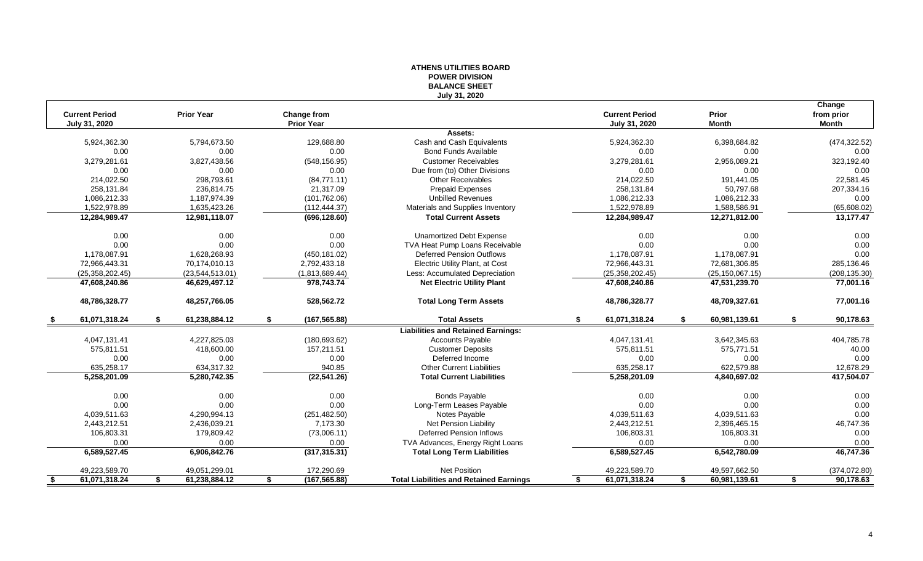| July 31, 2020<br>Change<br><b>Current Period</b><br><b>Prior Year</b><br>Change from<br><b>Current Period</b><br>Prior<br>from prior<br>July 31, 2020<br><b>Prior Year</b><br>July 31, 2020<br><b>Month</b><br><b>Month</b><br>Assets:<br>129,688.80<br>Cash and Cash Equivalents<br>6,398,684.82<br>(474, 322.52)<br>5,924,362.30<br>5,794,673.50<br>5,924,362.30<br>0.00<br>0.00<br>0.00<br><b>Bond Funds Available</b><br>0.00<br>0.00<br>0.00<br>2,956,089.21<br>323,192.40<br>3,279,281.61<br>3,827,438.56<br>(548, 156.95)<br><b>Customer Receivables</b><br>3,279,281.61<br>0.00<br>0.00<br>0.00<br>0.00<br>0.00<br>0.00<br>Due from (to) Other Divisions<br>214,022.50<br>298,793.61<br>(84,771.11)<br>Other Receivables<br>214,022.50<br>191,441.05<br>22,581.45<br>258,131.84<br>50,797.68<br>207,334.16<br>236,814.75<br>21,317.09<br><b>Prepaid Expenses</b><br>258,131.84<br><b>Unbilled Revenues</b><br>1,086,212.33<br>1,187,974.39<br>(101, 762.06)<br>1,086,212.33<br>1,086,212.33<br>0.00<br>1,522,978.89<br>Materials and Supplies Inventory<br>1,522,978.89<br>(65, 608.02)<br>1,635,423.26<br>(112, 444.37)<br>1,588,586.91<br>12,284,989.47<br>12,284,989.47<br>12,271,812.00<br>13,177.47<br>12,981,118.07<br>(696, 128.60)<br><b>Total Current Assets</b><br>0.00<br>0.00<br>0.00<br><b>Unamortized Debt Expense</b><br>0.00<br>0.00<br>0.00<br>0.00<br>0.00<br>0.00<br>0.00<br>0.00<br>TVA Heat Pump Loans Receivable<br>0.00<br><b>Deferred Pension Outflows</b><br>0.00<br>1,178,087.91<br>1,628,268.93<br>(450, 181.02)<br>1,178,087.91<br>1,178,087.91<br>72,966,443.31<br>70,174,010.13<br>2,792,433.18<br>Electric Utility Plant, at Cost<br>72,681,306.85<br>285,136.46<br>72,966,443.31<br>(25, 358, 202.45)<br>Less: Accumulated Depreciation<br>(25, 358, 202.45)<br>(25, 150, 067.15)<br>(208, 135.30)<br>(23, 544, 513.01)<br>(1,813,689.44)<br>47,608,240.86<br>46,629,497.12<br>978,743.74<br><b>Net Electric Utility Plant</b><br>47,608,240.86<br>47,531,239.70<br>77,001.16<br>77,001.16<br>48,786,328.77<br>48,257,766.05<br>528,562.72<br><b>Total Long Term Assets</b><br>48,786,328.77<br>48,709,327.61<br>61,071,318.24<br>61,238,884.12<br>61,071,318.24<br>\$<br>\$<br>(167, 565.88)<br><b>Total Assets</b><br>\$<br>\$<br>60,981,139.61<br>\$<br>90,178.63<br>- \$<br><b>Liabilities and Retained Earnings:</b><br>4,047,131.41<br>4,227,825.03<br>(180, 693.62)<br><b>Accounts Payable</b><br>4,047,131.41<br>3,642,345.63<br>404,785.78<br>575,811.51<br>418,600.00<br>157.211.51<br><b>Customer Deposits</b><br>575,811.51<br>575,771.51<br>40.00<br>0.00<br>Deferred Income<br>0.00<br>0.00<br>0.00<br>0.00<br>0.00<br>634,317.32<br><b>Other Current Liabilities</b><br>622,579.88<br>12,678.29<br>635,258.17<br>940.85<br>635,258.17<br>(22, 541.26)<br>417,504.07<br>5,258,201.09<br>5,280,742.35<br><b>Total Current Liabilities</b><br>5,258,201.09<br>4,840,697.02<br>0.00<br><b>Bonds Payable</b><br>0.00<br>0.00<br>0.00<br>0.00<br>0.00<br>0.00<br>0.00<br>0.00<br>0.00<br>0.00<br>0.00<br>Long-Term Leases Payable<br>0.00<br>4,290,994.13<br>(251, 482.50)<br>4,039,511.63<br>Notes Payable<br>4,039,511.63<br>4,039,511.63<br>2,436,039.21<br>7,173.30<br>46,747.36<br>2,443,212.51<br><b>Net Pension Liability</b><br>2,443,212.51<br>2,396,465.15<br>106,803.31<br>179,809.42<br><b>Deferred Pension Inflows</b><br>106,803.31<br>106,803.31<br>0.00<br>(73,006.11)<br>TVA Advances, Energy Right Loans<br>0.00<br>0.00<br>0.00<br>0.00<br>0.00<br>0.00<br>46,747.36<br>(317, 315.31)<br>6,589,527.45<br>6,589,527.45<br>6,906,842.76<br><b>Total Long Term Liabilities</b><br>6,542,780.09<br>Net Position<br>49,597,662.50<br>(374, 072.80)<br>49,223,589.70<br>49,051,299.01<br>172,290.69<br>49,223,589.70<br>61,071,318.24<br>61,238,884.12<br>(167, 565.88)<br><b>Total Liabilities and Retained Earnings</b><br>61,071,318.24<br>60,981,139.61<br>90,178.63<br>\$.<br>\$<br>\$<br>\$<br>- \$<br>\$ |  | ווטוסועוט חבאט<br><b>BALANCE SHEET</b> |  |  |
|-------------------------------------------------------------------------------------------------------------------------------------------------------------------------------------------------------------------------------------------------------------------------------------------------------------------------------------------------------------------------------------------------------------------------------------------------------------------------------------------------------------------------------------------------------------------------------------------------------------------------------------------------------------------------------------------------------------------------------------------------------------------------------------------------------------------------------------------------------------------------------------------------------------------------------------------------------------------------------------------------------------------------------------------------------------------------------------------------------------------------------------------------------------------------------------------------------------------------------------------------------------------------------------------------------------------------------------------------------------------------------------------------------------------------------------------------------------------------------------------------------------------------------------------------------------------------------------------------------------------------------------------------------------------------------------------------------------------------------------------------------------------------------------------------------------------------------------------------------------------------------------------------------------------------------------------------------------------------------------------------------------------------------------------------------------------------------------------------------------------------------------------------------------------------------------------------------------------------------------------------------------------------------------------------------------------------------------------------------------------------------------------------------------------------------------------------------------------------------------------------------------------------------------------------------------------------------------------------------------------------------------------------------------------------------------------------------------------------------------------------------------------------------------------------------------------------------------------------------------------------------------------------------------------------------------------------------------------------------------------------------------------------------------------------------------------------------------------------------------------------------------------------------------------------------------------------------------------------------------------------------------------------------------------------------------------------------------------------------------------------------------------------------------------------------------------------------------------------------------------------------------------------------------------------------------------------------------------------------------------------------------------------------------------------------------------------------------------------------------------------------------------------------------------------------------------------------------------------------------------------------------------------------------------------------------------------------------------------------|--|----------------------------------------|--|--|
|                                                                                                                                                                                                                                                                                                                                                                                                                                                                                                                                                                                                                                                                                                                                                                                                                                                                                                                                                                                                                                                                                                                                                                                                                                                                                                                                                                                                                                                                                                                                                                                                                                                                                                                                                                                                                                                                                                                                                                                                                                                                                                                                                                                                                                                                                                                                                                                                                                                                                                                                                                                                                                                                                                                                                                                                                                                                                                                                                                                                                                                                                                                                                                                                                                                                                                                                                                                                                                                                                                                                                                                                                                                                                                                                                                                                                                                                                                                                                                               |  |                                        |  |  |
|                                                                                                                                                                                                                                                                                                                                                                                                                                                                                                                                                                                                                                                                                                                                                                                                                                                                                                                                                                                                                                                                                                                                                                                                                                                                                                                                                                                                                                                                                                                                                                                                                                                                                                                                                                                                                                                                                                                                                                                                                                                                                                                                                                                                                                                                                                                                                                                                                                                                                                                                                                                                                                                                                                                                                                                                                                                                                                                                                                                                                                                                                                                                                                                                                                                                                                                                                                                                                                                                                                                                                                                                                                                                                                                                                                                                                                                                                                                                                                               |  |                                        |  |  |
|                                                                                                                                                                                                                                                                                                                                                                                                                                                                                                                                                                                                                                                                                                                                                                                                                                                                                                                                                                                                                                                                                                                                                                                                                                                                                                                                                                                                                                                                                                                                                                                                                                                                                                                                                                                                                                                                                                                                                                                                                                                                                                                                                                                                                                                                                                                                                                                                                                                                                                                                                                                                                                                                                                                                                                                                                                                                                                                                                                                                                                                                                                                                                                                                                                                                                                                                                                                                                                                                                                                                                                                                                                                                                                                                                                                                                                                                                                                                                                               |  |                                        |  |  |
|                                                                                                                                                                                                                                                                                                                                                                                                                                                                                                                                                                                                                                                                                                                                                                                                                                                                                                                                                                                                                                                                                                                                                                                                                                                                                                                                                                                                                                                                                                                                                                                                                                                                                                                                                                                                                                                                                                                                                                                                                                                                                                                                                                                                                                                                                                                                                                                                                                                                                                                                                                                                                                                                                                                                                                                                                                                                                                                                                                                                                                                                                                                                                                                                                                                                                                                                                                                                                                                                                                                                                                                                                                                                                                                                                                                                                                                                                                                                                                               |  |                                        |  |  |
|                                                                                                                                                                                                                                                                                                                                                                                                                                                                                                                                                                                                                                                                                                                                                                                                                                                                                                                                                                                                                                                                                                                                                                                                                                                                                                                                                                                                                                                                                                                                                                                                                                                                                                                                                                                                                                                                                                                                                                                                                                                                                                                                                                                                                                                                                                                                                                                                                                                                                                                                                                                                                                                                                                                                                                                                                                                                                                                                                                                                                                                                                                                                                                                                                                                                                                                                                                                                                                                                                                                                                                                                                                                                                                                                                                                                                                                                                                                                                                               |  |                                        |  |  |
|                                                                                                                                                                                                                                                                                                                                                                                                                                                                                                                                                                                                                                                                                                                                                                                                                                                                                                                                                                                                                                                                                                                                                                                                                                                                                                                                                                                                                                                                                                                                                                                                                                                                                                                                                                                                                                                                                                                                                                                                                                                                                                                                                                                                                                                                                                                                                                                                                                                                                                                                                                                                                                                                                                                                                                                                                                                                                                                                                                                                                                                                                                                                                                                                                                                                                                                                                                                                                                                                                                                                                                                                                                                                                                                                                                                                                                                                                                                                                                               |  |                                        |  |  |
|                                                                                                                                                                                                                                                                                                                                                                                                                                                                                                                                                                                                                                                                                                                                                                                                                                                                                                                                                                                                                                                                                                                                                                                                                                                                                                                                                                                                                                                                                                                                                                                                                                                                                                                                                                                                                                                                                                                                                                                                                                                                                                                                                                                                                                                                                                                                                                                                                                                                                                                                                                                                                                                                                                                                                                                                                                                                                                                                                                                                                                                                                                                                                                                                                                                                                                                                                                                                                                                                                                                                                                                                                                                                                                                                                                                                                                                                                                                                                                               |  |                                        |  |  |
|                                                                                                                                                                                                                                                                                                                                                                                                                                                                                                                                                                                                                                                                                                                                                                                                                                                                                                                                                                                                                                                                                                                                                                                                                                                                                                                                                                                                                                                                                                                                                                                                                                                                                                                                                                                                                                                                                                                                                                                                                                                                                                                                                                                                                                                                                                                                                                                                                                                                                                                                                                                                                                                                                                                                                                                                                                                                                                                                                                                                                                                                                                                                                                                                                                                                                                                                                                                                                                                                                                                                                                                                                                                                                                                                                                                                                                                                                                                                                                               |  |                                        |  |  |
|                                                                                                                                                                                                                                                                                                                                                                                                                                                                                                                                                                                                                                                                                                                                                                                                                                                                                                                                                                                                                                                                                                                                                                                                                                                                                                                                                                                                                                                                                                                                                                                                                                                                                                                                                                                                                                                                                                                                                                                                                                                                                                                                                                                                                                                                                                                                                                                                                                                                                                                                                                                                                                                                                                                                                                                                                                                                                                                                                                                                                                                                                                                                                                                                                                                                                                                                                                                                                                                                                                                                                                                                                                                                                                                                                                                                                                                                                                                                                                               |  |                                        |  |  |
|                                                                                                                                                                                                                                                                                                                                                                                                                                                                                                                                                                                                                                                                                                                                                                                                                                                                                                                                                                                                                                                                                                                                                                                                                                                                                                                                                                                                                                                                                                                                                                                                                                                                                                                                                                                                                                                                                                                                                                                                                                                                                                                                                                                                                                                                                                                                                                                                                                                                                                                                                                                                                                                                                                                                                                                                                                                                                                                                                                                                                                                                                                                                                                                                                                                                                                                                                                                                                                                                                                                                                                                                                                                                                                                                                                                                                                                                                                                                                                               |  |                                        |  |  |
|                                                                                                                                                                                                                                                                                                                                                                                                                                                                                                                                                                                                                                                                                                                                                                                                                                                                                                                                                                                                                                                                                                                                                                                                                                                                                                                                                                                                                                                                                                                                                                                                                                                                                                                                                                                                                                                                                                                                                                                                                                                                                                                                                                                                                                                                                                                                                                                                                                                                                                                                                                                                                                                                                                                                                                                                                                                                                                                                                                                                                                                                                                                                                                                                                                                                                                                                                                                                                                                                                                                                                                                                                                                                                                                                                                                                                                                                                                                                                                               |  |                                        |  |  |
|                                                                                                                                                                                                                                                                                                                                                                                                                                                                                                                                                                                                                                                                                                                                                                                                                                                                                                                                                                                                                                                                                                                                                                                                                                                                                                                                                                                                                                                                                                                                                                                                                                                                                                                                                                                                                                                                                                                                                                                                                                                                                                                                                                                                                                                                                                                                                                                                                                                                                                                                                                                                                                                                                                                                                                                                                                                                                                                                                                                                                                                                                                                                                                                                                                                                                                                                                                                                                                                                                                                                                                                                                                                                                                                                                                                                                                                                                                                                                                               |  |                                        |  |  |
|                                                                                                                                                                                                                                                                                                                                                                                                                                                                                                                                                                                                                                                                                                                                                                                                                                                                                                                                                                                                                                                                                                                                                                                                                                                                                                                                                                                                                                                                                                                                                                                                                                                                                                                                                                                                                                                                                                                                                                                                                                                                                                                                                                                                                                                                                                                                                                                                                                                                                                                                                                                                                                                                                                                                                                                                                                                                                                                                                                                                                                                                                                                                                                                                                                                                                                                                                                                                                                                                                                                                                                                                                                                                                                                                                                                                                                                                                                                                                                               |  |                                        |  |  |
|                                                                                                                                                                                                                                                                                                                                                                                                                                                                                                                                                                                                                                                                                                                                                                                                                                                                                                                                                                                                                                                                                                                                                                                                                                                                                                                                                                                                                                                                                                                                                                                                                                                                                                                                                                                                                                                                                                                                                                                                                                                                                                                                                                                                                                                                                                                                                                                                                                                                                                                                                                                                                                                                                                                                                                                                                                                                                                                                                                                                                                                                                                                                                                                                                                                                                                                                                                                                                                                                                                                                                                                                                                                                                                                                                                                                                                                                                                                                                                               |  |                                        |  |  |
|                                                                                                                                                                                                                                                                                                                                                                                                                                                                                                                                                                                                                                                                                                                                                                                                                                                                                                                                                                                                                                                                                                                                                                                                                                                                                                                                                                                                                                                                                                                                                                                                                                                                                                                                                                                                                                                                                                                                                                                                                                                                                                                                                                                                                                                                                                                                                                                                                                                                                                                                                                                                                                                                                                                                                                                                                                                                                                                                                                                                                                                                                                                                                                                                                                                                                                                                                                                                                                                                                                                                                                                                                                                                                                                                                                                                                                                                                                                                                                               |  |                                        |  |  |
|                                                                                                                                                                                                                                                                                                                                                                                                                                                                                                                                                                                                                                                                                                                                                                                                                                                                                                                                                                                                                                                                                                                                                                                                                                                                                                                                                                                                                                                                                                                                                                                                                                                                                                                                                                                                                                                                                                                                                                                                                                                                                                                                                                                                                                                                                                                                                                                                                                                                                                                                                                                                                                                                                                                                                                                                                                                                                                                                                                                                                                                                                                                                                                                                                                                                                                                                                                                                                                                                                                                                                                                                                                                                                                                                                                                                                                                                                                                                                                               |  |                                        |  |  |
|                                                                                                                                                                                                                                                                                                                                                                                                                                                                                                                                                                                                                                                                                                                                                                                                                                                                                                                                                                                                                                                                                                                                                                                                                                                                                                                                                                                                                                                                                                                                                                                                                                                                                                                                                                                                                                                                                                                                                                                                                                                                                                                                                                                                                                                                                                                                                                                                                                                                                                                                                                                                                                                                                                                                                                                                                                                                                                                                                                                                                                                                                                                                                                                                                                                                                                                                                                                                                                                                                                                                                                                                                                                                                                                                                                                                                                                                                                                                                                               |  |                                        |  |  |
|                                                                                                                                                                                                                                                                                                                                                                                                                                                                                                                                                                                                                                                                                                                                                                                                                                                                                                                                                                                                                                                                                                                                                                                                                                                                                                                                                                                                                                                                                                                                                                                                                                                                                                                                                                                                                                                                                                                                                                                                                                                                                                                                                                                                                                                                                                                                                                                                                                                                                                                                                                                                                                                                                                                                                                                                                                                                                                                                                                                                                                                                                                                                                                                                                                                                                                                                                                                                                                                                                                                                                                                                                                                                                                                                                                                                                                                                                                                                                                               |  |                                        |  |  |
|                                                                                                                                                                                                                                                                                                                                                                                                                                                                                                                                                                                                                                                                                                                                                                                                                                                                                                                                                                                                                                                                                                                                                                                                                                                                                                                                                                                                                                                                                                                                                                                                                                                                                                                                                                                                                                                                                                                                                                                                                                                                                                                                                                                                                                                                                                                                                                                                                                                                                                                                                                                                                                                                                                                                                                                                                                                                                                                                                                                                                                                                                                                                                                                                                                                                                                                                                                                                                                                                                                                                                                                                                                                                                                                                                                                                                                                                                                                                                                               |  |                                        |  |  |
|                                                                                                                                                                                                                                                                                                                                                                                                                                                                                                                                                                                                                                                                                                                                                                                                                                                                                                                                                                                                                                                                                                                                                                                                                                                                                                                                                                                                                                                                                                                                                                                                                                                                                                                                                                                                                                                                                                                                                                                                                                                                                                                                                                                                                                                                                                                                                                                                                                                                                                                                                                                                                                                                                                                                                                                                                                                                                                                                                                                                                                                                                                                                                                                                                                                                                                                                                                                                                                                                                                                                                                                                                                                                                                                                                                                                                                                                                                                                                                               |  |                                        |  |  |
|                                                                                                                                                                                                                                                                                                                                                                                                                                                                                                                                                                                                                                                                                                                                                                                                                                                                                                                                                                                                                                                                                                                                                                                                                                                                                                                                                                                                                                                                                                                                                                                                                                                                                                                                                                                                                                                                                                                                                                                                                                                                                                                                                                                                                                                                                                                                                                                                                                                                                                                                                                                                                                                                                                                                                                                                                                                                                                                                                                                                                                                                                                                                                                                                                                                                                                                                                                                                                                                                                                                                                                                                                                                                                                                                                                                                                                                                                                                                                                               |  |                                        |  |  |
|                                                                                                                                                                                                                                                                                                                                                                                                                                                                                                                                                                                                                                                                                                                                                                                                                                                                                                                                                                                                                                                                                                                                                                                                                                                                                                                                                                                                                                                                                                                                                                                                                                                                                                                                                                                                                                                                                                                                                                                                                                                                                                                                                                                                                                                                                                                                                                                                                                                                                                                                                                                                                                                                                                                                                                                                                                                                                                                                                                                                                                                                                                                                                                                                                                                                                                                                                                                                                                                                                                                                                                                                                                                                                                                                                                                                                                                                                                                                                                               |  |                                        |  |  |
|                                                                                                                                                                                                                                                                                                                                                                                                                                                                                                                                                                                                                                                                                                                                                                                                                                                                                                                                                                                                                                                                                                                                                                                                                                                                                                                                                                                                                                                                                                                                                                                                                                                                                                                                                                                                                                                                                                                                                                                                                                                                                                                                                                                                                                                                                                                                                                                                                                                                                                                                                                                                                                                                                                                                                                                                                                                                                                                                                                                                                                                                                                                                                                                                                                                                                                                                                                                                                                                                                                                                                                                                                                                                                                                                                                                                                                                                                                                                                                               |  |                                        |  |  |
|                                                                                                                                                                                                                                                                                                                                                                                                                                                                                                                                                                                                                                                                                                                                                                                                                                                                                                                                                                                                                                                                                                                                                                                                                                                                                                                                                                                                                                                                                                                                                                                                                                                                                                                                                                                                                                                                                                                                                                                                                                                                                                                                                                                                                                                                                                                                                                                                                                                                                                                                                                                                                                                                                                                                                                                                                                                                                                                                                                                                                                                                                                                                                                                                                                                                                                                                                                                                                                                                                                                                                                                                                                                                                                                                                                                                                                                                                                                                                                               |  |                                        |  |  |
|                                                                                                                                                                                                                                                                                                                                                                                                                                                                                                                                                                                                                                                                                                                                                                                                                                                                                                                                                                                                                                                                                                                                                                                                                                                                                                                                                                                                                                                                                                                                                                                                                                                                                                                                                                                                                                                                                                                                                                                                                                                                                                                                                                                                                                                                                                                                                                                                                                                                                                                                                                                                                                                                                                                                                                                                                                                                                                                                                                                                                                                                                                                                                                                                                                                                                                                                                                                                                                                                                                                                                                                                                                                                                                                                                                                                                                                                                                                                                                               |  |                                        |  |  |
|                                                                                                                                                                                                                                                                                                                                                                                                                                                                                                                                                                                                                                                                                                                                                                                                                                                                                                                                                                                                                                                                                                                                                                                                                                                                                                                                                                                                                                                                                                                                                                                                                                                                                                                                                                                                                                                                                                                                                                                                                                                                                                                                                                                                                                                                                                                                                                                                                                                                                                                                                                                                                                                                                                                                                                                                                                                                                                                                                                                                                                                                                                                                                                                                                                                                                                                                                                                                                                                                                                                                                                                                                                                                                                                                                                                                                                                                                                                                                                               |  |                                        |  |  |
|                                                                                                                                                                                                                                                                                                                                                                                                                                                                                                                                                                                                                                                                                                                                                                                                                                                                                                                                                                                                                                                                                                                                                                                                                                                                                                                                                                                                                                                                                                                                                                                                                                                                                                                                                                                                                                                                                                                                                                                                                                                                                                                                                                                                                                                                                                                                                                                                                                                                                                                                                                                                                                                                                                                                                                                                                                                                                                                                                                                                                                                                                                                                                                                                                                                                                                                                                                                                                                                                                                                                                                                                                                                                                                                                                                                                                                                                                                                                                                               |  |                                        |  |  |
|                                                                                                                                                                                                                                                                                                                                                                                                                                                                                                                                                                                                                                                                                                                                                                                                                                                                                                                                                                                                                                                                                                                                                                                                                                                                                                                                                                                                                                                                                                                                                                                                                                                                                                                                                                                                                                                                                                                                                                                                                                                                                                                                                                                                                                                                                                                                                                                                                                                                                                                                                                                                                                                                                                                                                                                                                                                                                                                                                                                                                                                                                                                                                                                                                                                                                                                                                                                                                                                                                                                                                                                                                                                                                                                                                                                                                                                                                                                                                                               |  |                                        |  |  |
|                                                                                                                                                                                                                                                                                                                                                                                                                                                                                                                                                                                                                                                                                                                                                                                                                                                                                                                                                                                                                                                                                                                                                                                                                                                                                                                                                                                                                                                                                                                                                                                                                                                                                                                                                                                                                                                                                                                                                                                                                                                                                                                                                                                                                                                                                                                                                                                                                                                                                                                                                                                                                                                                                                                                                                                                                                                                                                                                                                                                                                                                                                                                                                                                                                                                                                                                                                                                                                                                                                                                                                                                                                                                                                                                                                                                                                                                                                                                                                               |  |                                        |  |  |
|                                                                                                                                                                                                                                                                                                                                                                                                                                                                                                                                                                                                                                                                                                                                                                                                                                                                                                                                                                                                                                                                                                                                                                                                                                                                                                                                                                                                                                                                                                                                                                                                                                                                                                                                                                                                                                                                                                                                                                                                                                                                                                                                                                                                                                                                                                                                                                                                                                                                                                                                                                                                                                                                                                                                                                                                                                                                                                                                                                                                                                                                                                                                                                                                                                                                                                                                                                                                                                                                                                                                                                                                                                                                                                                                                                                                                                                                                                                                                                               |  |                                        |  |  |
|                                                                                                                                                                                                                                                                                                                                                                                                                                                                                                                                                                                                                                                                                                                                                                                                                                                                                                                                                                                                                                                                                                                                                                                                                                                                                                                                                                                                                                                                                                                                                                                                                                                                                                                                                                                                                                                                                                                                                                                                                                                                                                                                                                                                                                                                                                                                                                                                                                                                                                                                                                                                                                                                                                                                                                                                                                                                                                                                                                                                                                                                                                                                                                                                                                                                                                                                                                                                                                                                                                                                                                                                                                                                                                                                                                                                                                                                                                                                                                               |  |                                        |  |  |
|                                                                                                                                                                                                                                                                                                                                                                                                                                                                                                                                                                                                                                                                                                                                                                                                                                                                                                                                                                                                                                                                                                                                                                                                                                                                                                                                                                                                                                                                                                                                                                                                                                                                                                                                                                                                                                                                                                                                                                                                                                                                                                                                                                                                                                                                                                                                                                                                                                                                                                                                                                                                                                                                                                                                                                                                                                                                                                                                                                                                                                                                                                                                                                                                                                                                                                                                                                                                                                                                                                                                                                                                                                                                                                                                                                                                                                                                                                                                                                               |  |                                        |  |  |
|                                                                                                                                                                                                                                                                                                                                                                                                                                                                                                                                                                                                                                                                                                                                                                                                                                                                                                                                                                                                                                                                                                                                                                                                                                                                                                                                                                                                                                                                                                                                                                                                                                                                                                                                                                                                                                                                                                                                                                                                                                                                                                                                                                                                                                                                                                                                                                                                                                                                                                                                                                                                                                                                                                                                                                                                                                                                                                                                                                                                                                                                                                                                                                                                                                                                                                                                                                                                                                                                                                                                                                                                                                                                                                                                                                                                                                                                                                                                                                               |  |                                        |  |  |
|                                                                                                                                                                                                                                                                                                                                                                                                                                                                                                                                                                                                                                                                                                                                                                                                                                                                                                                                                                                                                                                                                                                                                                                                                                                                                                                                                                                                                                                                                                                                                                                                                                                                                                                                                                                                                                                                                                                                                                                                                                                                                                                                                                                                                                                                                                                                                                                                                                                                                                                                                                                                                                                                                                                                                                                                                                                                                                                                                                                                                                                                                                                                                                                                                                                                                                                                                                                                                                                                                                                                                                                                                                                                                                                                                                                                                                                                                                                                                                               |  |                                        |  |  |
|                                                                                                                                                                                                                                                                                                                                                                                                                                                                                                                                                                                                                                                                                                                                                                                                                                                                                                                                                                                                                                                                                                                                                                                                                                                                                                                                                                                                                                                                                                                                                                                                                                                                                                                                                                                                                                                                                                                                                                                                                                                                                                                                                                                                                                                                                                                                                                                                                                                                                                                                                                                                                                                                                                                                                                                                                                                                                                                                                                                                                                                                                                                                                                                                                                                                                                                                                                                                                                                                                                                                                                                                                                                                                                                                                                                                                                                                                                                                                                               |  |                                        |  |  |

# **ATHENS UTILITIES BOARD POWER DIVISION**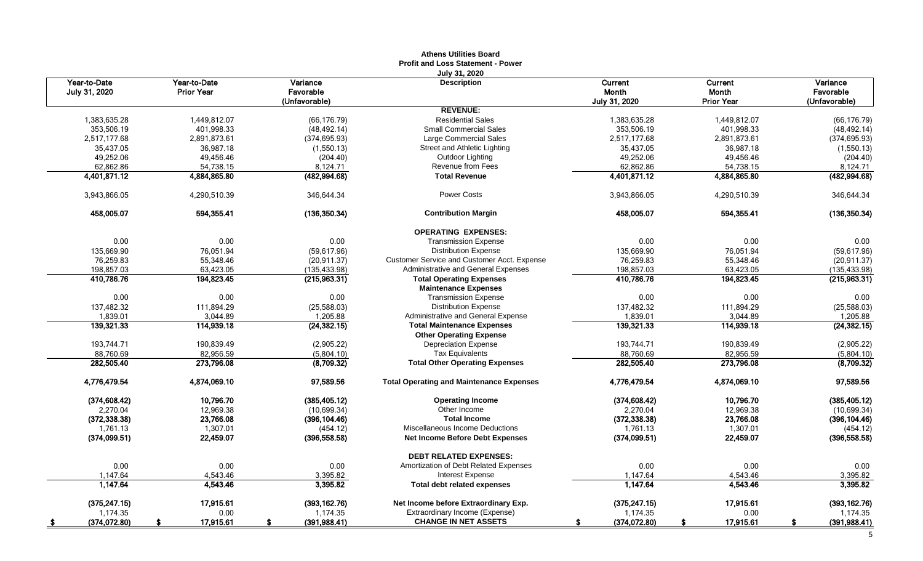|                               |                                   |                                        | <b>Athens Utilities Board</b><br><b>Profit and Loss Statement - Power</b> |                                   |                                       |                                        |
|-------------------------------|-----------------------------------|----------------------------------------|---------------------------------------------------------------------------|-----------------------------------|---------------------------------------|----------------------------------------|
| Year-to-Date<br>July 31, 2020 | Year-to-Date<br><b>Prior Year</b> | Variance<br>Favorable<br>(Unfavorable) | July 31, 2020<br><b>Description</b>                                       | Current<br>Month<br>July 31, 2020 | Current<br>Month<br><b>Prior Year</b> | Variance<br>Favorable<br>(Unfavorable) |
|                               |                                   |                                        | <b>REVENUE:</b>                                                           |                                   |                                       |                                        |
| 1,383,635.28                  | 1,449,812.07                      | (66, 176.79)                           | <b>Residential Sales</b>                                                  | 1,383,635.28                      | 1,449,812.07                          | (66, 176.79)                           |
| 353,506.19                    | 401,998.33                        | (48, 492.14)                           | <b>Small Commercial Sales</b>                                             | 353,506.19                        | 401,998.33                            | (48, 492.14)                           |
| 2,517,177.68                  | 2.891.873.61                      | (374, 695.93)                          | Large Commercial Sales                                                    | 2.517.177.68                      | 2.891.873.61                          | (374, 695.93)                          |
| 35,437.05                     | 36,987.18                         | (1,550.13)                             | Street and Athletic Lighting                                              | 35,437.05                         | 36,987.18                             | (1,550.13)                             |
| 49,252.06                     | 49,456.46                         | (204.40)                               | Outdoor Lighting                                                          | 49,252.06                         | 49,456.46                             | (204.40)                               |
| 62,862.86                     | 54,738.15                         | 8,124.71                               | Revenue from Fees                                                         | 62,862.86                         | 54,738.15                             | 8,124.71                               |
| 4,401,871.12                  | 4,884,865.80                      | (482, 994.68)                          | <b>Total Revenue</b>                                                      | 4,401,871.12                      | 4,884,865.80                          | (482, 994.68)                          |
| 3,943,866.05                  | 4,290,510.39                      | 346,644.34                             | <b>Power Costs</b>                                                        | 3,943,866.05                      | 4,290,510.39                          | 346,644.34                             |
| 458,005.07                    | 594,355.41                        | (136, 350.34)                          | <b>Contribution Margin</b>                                                | 458,005.07                        | 594.355.41                            | (136, 350.34)                          |
|                               |                                   |                                        | <b>OPERATING EXPENSES:</b>                                                |                                   |                                       |                                        |
| 0.00                          | 0.00                              | 0.00                                   | <b>Transmission Expense</b>                                               | 0.00                              | 0.00                                  | 0.00                                   |
| 135,669.90                    | 76,051.94                         | (59,617.96)                            | <b>Distribution Expense</b>                                               | 135,669.90                        | 76,051.94                             | (59,617.96)                            |
| 76,259.83                     | 55,348.46                         | (20, 911.37)                           | Customer Service and Customer Acct. Expense                               | 76,259.83                         | 55,348.46                             | (20, 911.37)                           |
| 198,857.03                    | 63,423.05                         | (135, 433.98)                          | Administrative and General Expenses                                       | 198,857.03                        | 63,423.05                             | (135, 433.98)                          |
| 410,786.76                    | 194,823.45                        | (215,963.31)                           | <b>Total Operating Expenses</b>                                           | 410,786.76                        | 194,823.45                            | (215,963.31)                           |
| 0.00                          | 0.00                              | 0.00                                   | <b>Maintenance Expenses</b><br><b>Transmission Expense</b>                | 0.00                              | 0.00                                  | 0.00                                   |
| 137.482.32                    | 111.894.29                        | (25,588.03)                            | <b>Distribution Expense</b>                                               | 137.482.32                        | 111.894.29                            | (25,588.03)                            |
| 1,839.01                      | 3,044.89                          | 1,205.88                               | Administrative and General Expense                                        | 1,839.01                          | 3,044.89                              | 1,205.88                               |
| 139,321.33                    | 114,939.18                        | (24, 382.15)                           | <b>Total Maintenance Expenses</b>                                         | 139,321.33                        | 114,939.18                            | (24, 382.15)                           |
|                               |                                   |                                        | <b>Other Operating Expense</b>                                            |                                   |                                       |                                        |
| 193,744.71                    | 190,839.49                        | (2,905.22)                             | <b>Depreciation Expense</b>                                               | 193,744.71                        | 190,839.49                            | (2,905.22)                             |
| 88,760.69                     | 82,956.59                         | (5,804.10)                             | <b>Tax Equivalents</b>                                                    | 88,760.69                         | 82,956.59                             | (5,804.10)                             |
| 282,505.40                    | 273,796.08                        | (8,709.32)                             | <b>Total Other Operating Expenses</b>                                     | 282,505.40                        | 273,796.08                            | (8,709.32)                             |
| 4,776,479.54                  | 4,874,069.10                      | 97,589.56                              | <b>Total Operating and Maintenance Expenses</b>                           | 4,776,479.54                      | 4,874,069.10                          | 97,589.56                              |
| (374, 608.42)                 | 10,796.70                         | (385, 405.12)                          | <b>Operating Income</b>                                                   | (374, 608.42)                     | 10,796.70                             | (385, 405.12)                          |
| 2,270.04                      | 12,969.38                         | (10,699.34)                            | Other Income                                                              | 2,270.04                          | 12,969.38                             | (10,699.34)                            |
| (372, 338.38)                 | 23,766.08                         | (396, 104.46)                          | <b>Total Income</b>                                                       | (372, 338.38)                     | 23,766.08                             | (396, 104.46)                          |
| 1,761.13                      | 1,307.01                          | (454.12)                               | Miscellaneous Income Deductions                                           | 1,761.13                          | 1,307.01                              | (454.12)                               |
| (374,099.51)                  | 22,459.07                         | (396, 558.58)                          | <b>Net Income Before Debt Expenses</b>                                    | (374,099.51)                      | 22,459.07                             | (396, 558.58)                          |
|                               |                                   |                                        | <b>DEBT RELATED EXPENSES:</b>                                             |                                   |                                       |                                        |
| 0.00                          | 0.00                              | 0.00                                   | Amortization of Debt Related Expenses                                     | 0.00                              | 0.00                                  | 0.00                                   |
| 1.147.64                      | 4,543.46                          | 3,395.82                               | <b>Interest Expense</b>                                                   | 1.147.64                          | 4,543.46                              | 3,395.82                               |
| 1,147.64                      | 4,543.46                          | 3,395.82                               | <b>Total debt related expenses</b>                                        | 1,147.64                          | 4,543.46                              | 3,395.82                               |
| (375.247.15)                  | 17.915.61                         | (393.162.76)                           | Net Income before Extraordinary Exp.                                      | (375, 247.15)                     | 17.915.61                             | (393, 162.76)                          |
| 1,174.35                      | 0.00                              | 1,174.35                               | Extraordinary Income (Expense)                                            | 1,174.35                          | 0.00                                  | 1,174.35                               |
| (374, 072.80)                 | 17,915.61                         | (391, 988.41)                          | <b>CHANGE IN NET ASSETS</b>                                               | (374,072.80)                      | 17,915.61                             | (391, 988.41)                          |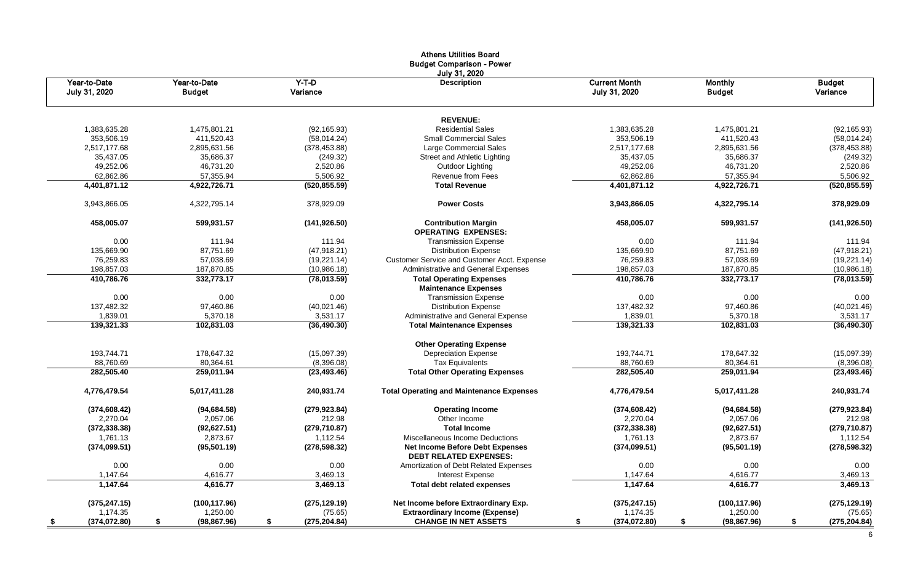|                        |                        |               | <b>Athens Utilities Board</b><br><b>Budget Comparison - Power</b><br>July 31, 2020 |                      |                        |               |
|------------------------|------------------------|---------------|------------------------------------------------------------------------------------|----------------------|------------------------|---------------|
| Year-to-Date           | Year-to-Date           | Y-T-D         | <b>Description</b>                                                                 | <b>Current Month</b> | <b>Monthly</b>         | <b>Budget</b> |
| July 31, 2020          | <b>Budget</b>          | Variance      |                                                                                    | July 31, 2020        | <b>Budget</b>          | Variance      |
|                        |                        |               | <b>REVENUE:</b>                                                                    |                      |                        |               |
| 1,383,635.28           | 1,475,801.21           | (92, 165.93)  | <b>Residential Sales</b>                                                           | 1,383,635.28         | 1,475,801.21           | (92, 165.93)  |
| 353,506.19             | 411.520.43             | (58,014.24)   | <b>Small Commercial Sales</b>                                                      | 353,506.19           | 411,520.43             | (58,014.24)   |
| 2,517,177.68           | 2,895,631.56           | (378, 453.88) | Large Commercial Sales                                                             | 2,517,177.68         | 2,895,631.56           | (378, 453.88) |
| 35,437.05              | 35,686.37              | (249.32)      | <b>Street and Athletic Lighting</b>                                                | 35,437.05            | 35,686.37              | (249.32)      |
| 49,252.06              | 46,731.20              | 2,520.86      | Outdoor Lighting                                                                   | 49,252.06            | 46,731.20              | 2,520.86      |
| 62,862.86              | 57,355.94              | 5,506.92      | <b>Revenue from Fees</b>                                                           | 62,862.86            | 57,355.94              | 5,506.92      |
| 4,401,871.12           | 4,922,726.71           | (520, 855.59) | <b>Total Revenue</b>                                                               | 4,401,871.12         | 4,922,726.71           | (520, 855.59) |
| 3,943,866.05           | 4,322,795.14           | 378,929.09    | <b>Power Costs</b>                                                                 | 3,943,866.05         | 4,322,795.14           | 378,929.09    |
| 458,005.07             | 599,931.57             | (141, 926.50) | <b>Contribution Margin</b><br><b>OPERATING EXPENSES:</b>                           | 458,005.07           | 599,931.57             | (141, 926.50) |
| 0.00                   | 111.94                 | 111.94        | <b>Transmission Expense</b>                                                        | 0.00                 | 111.94                 | 111.94        |
| 135.669.90             | 87,751.69              | (47, 918.21)  | <b>Distribution Expense</b>                                                        | 135,669.90           | 87,751.69              | (47, 918.21)  |
| 76,259.83              | 57,038.69              | (19, 221.14)  | Customer Service and Customer Acct. Expense                                        | 76,259.83            | 57,038.69              | (19, 221.14)  |
| 198,857.03             | 187,870.85             | (10,986.18)   | Administrative and General Expenses                                                | 198,857.03           | 187,870.85             | (10,986.18)   |
| 410,786.76             | 332,773.17             | (78,013.59)   | <b>Total Operating Expenses</b>                                                    | 410,786.76           | 332,773.17             | (78,013.59)   |
|                        |                        |               | <b>Maintenance Expenses</b>                                                        |                      |                        |               |
| 0.00                   | 0.00                   | 0.00          | <b>Transmission Expense</b>                                                        | 0.00                 | 0.00                   | 0.00          |
| 137,482.32             | 97,460.86              | (40,021.46)   | <b>Distribution Expense</b>                                                        | 137,482.32           | 97,460.86              | (40,021.46)   |
| 1,839.01<br>139,321.33 | 5,370.18<br>102,831.03 | 3,531.17      | Administrative and General Expense                                                 | 1,839.01             | 5,370.18<br>102,831.03 | 3,531.17      |
|                        |                        | (36, 490.30)  | <b>Total Maintenance Expenses</b>                                                  | 139,321.33           |                        | (36, 490.30)  |
|                        |                        |               | <b>Other Operating Expense</b>                                                     |                      |                        |               |
| 193,744.71             | 178,647.32             | (15,097.39)   | <b>Depreciation Expense</b>                                                        | 193,744.71           | 178,647.32             | (15,097.39)   |
| 88,760.69              | 80,364.61              | (8,396.08)    | <b>Tax Equivalents</b>                                                             | 88,760.69            | 80,364.61              | (8,396.08)    |
| 282,505.40             | 259,011.94             | (23, 493.46)  | <b>Total Other Operating Expenses</b>                                              | 282,505.40           | 259,011.94             | (23, 493.46)  |
| 4,776,479.54           | 5,017,411.28           | 240,931.74    | <b>Total Operating and Maintenance Expenses</b>                                    | 4,776,479.54         | 5,017,411.28           | 240,931.74    |
| (374, 608.42)          | (94, 684.58)           | (279, 923.84) | <b>Operating Income</b>                                                            | (374, 608.42)        | (94, 684.58)           | (279, 923.84) |
| 2,270.04               | 2,057.06               | 212.98        | Other Income                                                                       | 2,270.04             | 2,057.06               | 212.98        |
| (372, 338.38)          | (92, 627.51)           | (279, 710.87) | <b>Total Income</b>                                                                | (372, 338.38)        | (92, 627.51)           | (279, 710.87) |
| 1,761.13               | 2,873.67               | 1,112.54      | Miscellaneous Income Deductions                                                    | 1,761.13             | 2,873.67               | 1,112.54      |
| (374,099.51)           | (95, 501.19)           | (278, 598.32) | <b>Net Income Before Debt Expenses</b><br><b>DEBT RELATED EXPENSES:</b>            | (374,099.51)         | (95,501.19)            | (278, 598.32) |
| $0.00\,$               | 0.00                   | 0.00          | Amortization of Debt Related Expenses                                              | 0.00                 | 0.00                   | $0.00\,$      |
| 1,147.64               | 4,616.77               | 3,469.13      | <b>Interest Expense</b>                                                            | 1,147.64             | 4,616.77               | 3,469.13      |
| 1,147.64               | 4,616.77               | 3,469.13      | <b>Total debt related expenses</b>                                                 | 1,147.64             | 4,616.77               | 3,469.13      |
| (375, 247.15)          | (100, 117.96)          | (275, 129.19) | Net Income before Extraordinary Exp.                                               | (375, 247.15)        | (100, 117.96)          | (275, 129.19) |
| 1,174.35               | 1,250.00               | (75.65)       | <b>Extraordinary Income (Expense)</b>                                              | 1,174.35             | 1,250.00               | (75.65)       |
| (374,072.80)           | (98, 867.96)           | (275, 204.84) | <b>CHANGE IN NET ASSETS</b>                                                        | (374,072.80)         | (98, 867.96)           | (275, 204.84) |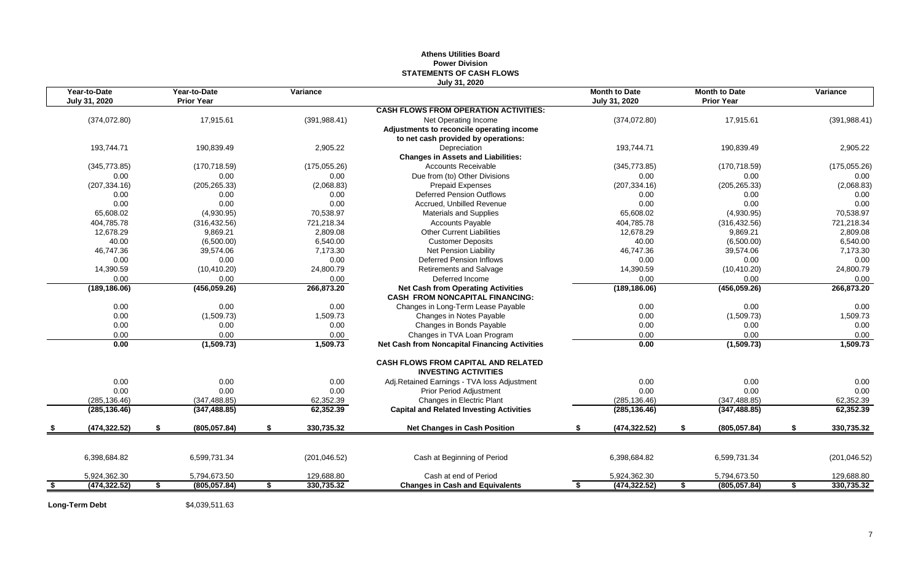| Year-to-Date<br>Year-to-Date<br>Variance<br><b>Month to Date</b><br><b>Month to Date</b><br>Variance<br><b>Prior Year</b><br>July 31, 2020<br><b>Prior Year</b><br>July 31, 2020<br><b>CASH FLOWS FROM OPERATION ACTIVITIES:</b><br>(374, 072.80)<br>17,915.61<br>(391, 988.41)<br>(374,072.80)<br>17,915.61<br>(391, 988.41)<br>Net Operating Income<br>Adjustments to reconcile operating income<br>to net cash provided by operations:<br>193,744.71<br>190,839.49<br>2,905.22<br>Depreciation<br>193,744.71<br>190,839.49<br>2,905.22<br><b>Changes in Assets and Liabilities:</b><br><b>Accounts Receivable</b><br>(345, 773.85)<br>(170, 718.59)<br>(175,055.26)<br>(345, 773.85)<br>(170, 718.59)<br>(175,055.26)<br>Due from (to) Other Divisions<br>0.00<br>0.00<br>0.00<br>0.00<br>0.00<br>0.00<br>(2,068.83)<br>(207, 334.16)<br>(205, 265.33)<br>(2,068.83)<br><b>Prepaid Expenses</b><br>(207, 334.16)<br>(205, 265.33)<br><b>Deferred Pension Outflows</b><br>0.00<br>0.00<br>0.00<br>0.00<br>0.00<br>0.00<br>0.00<br>0.00<br>0.00<br>0.00<br>0.00<br>Accrued. Unbilled Revenue<br>0.00<br>65,608.02<br>(4,930.95)<br>70,538.97<br><b>Materials and Supplies</b><br>65,608.02<br>(4,930.95)<br>70,538.97<br>404,785.78<br>721,218.34<br>404,785.78<br>721,218.34<br>(316, 432.56)<br><b>Accounts Payable</b><br>(316, 432.56)<br>12,678.29<br>12,678.29<br>9,869.21<br>2,809.08<br><b>Other Current Liabilities</b><br>9,869.21<br>2,809.08<br>40.00<br>6,540.00<br>40.00<br>(6,500.00)<br><b>Customer Deposits</b><br>(6,500.00)<br>6,540.00<br>46,747.36<br>46,747.36<br>39.574.06<br>7,173.30<br><b>Net Pension Liability</b><br>39.574.06<br>7,173.30<br>0.00<br><b>Deferred Pension Inflows</b><br>0.00<br>0.00<br>0.00<br>0.00<br>0.00<br>14,390.59<br>(10, 410.20)<br>24,800.79<br><b>Retirements and Salvage</b><br>14,390.59<br>(10, 410.20)<br>24,800.79<br>0.00<br>0.00<br>0.00<br>Deferred Income<br>0.00<br>0.00<br>0.00<br>266,873.20<br>266,873.20<br><b>Net Cash from Operating Activities</b><br>(456,059.26)<br>(189, 186.06)<br>(456, 059.26)<br>(189, 186.06)<br><b>CASH FROM NONCAPITAL FINANCING:</b><br>0.00<br>Changes in Long-Term Lease Payable<br>0.00<br>0.00<br>0.00<br>0.00<br>0.00<br>0.00<br>1,509.73<br>1,509.73<br>(1,509.73)<br>Changes in Notes Payable<br>0.00<br>(1,509.73)<br>0.00<br>Changes in Bonds Payable<br>0.00<br>0.00<br>0.00<br>0.00<br>0.00<br>0.00<br>0.00<br>Changes in TVA Loan Program<br>0.00<br>0.00<br>0.00<br>0.00<br>1,509.73<br>0.00<br>(1,509.73)<br>1,509.73<br><b>Net Cash from Noncapital Financing Activities</b><br>0.00<br>(1,509.73)<br><b>CASH FLOWS FROM CAPITAL AND RELATED</b><br><b>INVESTING ACTIVITIES</b><br>0.00<br>0.00<br>0.00<br>0.00<br>0.00<br>Adj.Retained Earnings - TVA loss Adjustment<br>0.00<br>0.00<br>0.00<br>0.00<br><b>Prior Period Adjustment</b><br>0.00<br>0.00<br>0.00<br>Changes in Electric Plant<br>(285, 136.46)<br>(347, 488.85)<br>62,352.39<br>(285, 136.46)<br>(347, 488.85)<br>62,352.39<br>62,352.39<br><b>Capital and Related Investing Activities</b><br>62,352.39<br>(285, 136.46)<br>(347, 488.85)<br>(285, 136.46)<br>(347, 488.85)<br>330,735.32<br>(474, 322.52)<br>£.<br>(805, 057.84)<br>\$<br><b>Net Changes in Cash Position</b><br>(474, 322.52)<br>(805, 057.84)<br>\$<br>330,735.32<br>\$<br>\$<br>\$<br>6,398,684.82<br>6,599,731.34<br>(201, 046.52)<br>Cash at Beginning of Period<br>6,398,684.82<br>6,599,731.34<br>(201, 046.52)<br>129,688.80<br>Cash at end of Period<br>5,924,362.30<br>5,794,673.50<br>129,688.80<br>5,924,362.30<br>5,794,673.50<br>(474, 322.52)<br>(805, 057.84)<br>330,735.32<br>(474, 322.52)<br>(805, 057.84)<br>330,735.32<br>\$<br>\$<br><b>Changes in Cash and Equivalents</b><br>S.<br>s.<br>S.<br>\$ |  |  | STATEMENTS OF CASH FLOWS<br>July 31, 2020 |  |  |  |
|---------------------------------------------------------------------------------------------------------------------------------------------------------------------------------------------------------------------------------------------------------------------------------------------------------------------------------------------------------------------------------------------------------------------------------------------------------------------------------------------------------------------------------------------------------------------------------------------------------------------------------------------------------------------------------------------------------------------------------------------------------------------------------------------------------------------------------------------------------------------------------------------------------------------------------------------------------------------------------------------------------------------------------------------------------------------------------------------------------------------------------------------------------------------------------------------------------------------------------------------------------------------------------------------------------------------------------------------------------------------------------------------------------------------------------------------------------------------------------------------------------------------------------------------------------------------------------------------------------------------------------------------------------------------------------------------------------------------------------------------------------------------------------------------------------------------------------------------------------------------------------------------------------------------------------------------------------------------------------------------------------------------------------------------------------------------------------------------------------------------------------------------------------------------------------------------------------------------------------------------------------------------------------------------------------------------------------------------------------------------------------------------------------------------------------------------------------------------------------------------------------------------------------------------------------------------------------------------------------------------------------------------------------------------------------------------------------------------------------------------------------------------------------------------------------------------------------------------------------------------------------------------------------------------------------------------------------------------------------------------------------------------------------------------------------------------------------------------------------------------------------------------------------------------------------------------------------------------------------------------------------------------------------------------------------------------------------------------------------------------------------------------------------------------------------------------------------------------------------------------------------------------------------------------------------------------------------------------------------------------------------------------------------------------------------------------------------------------------------------------------------------------------------|--|--|-------------------------------------------|--|--|--|
|                                                                                                                                                                                                                                                                                                                                                                                                                                                                                                                                                                                                                                                                                                                                                                                                                                                                                                                                                                                                                                                                                                                                                                                                                                                                                                                                                                                                                                                                                                                                                                                                                                                                                                                                                                                                                                                                                                                                                                                                                                                                                                                                                                                                                                                                                                                                                                                                                                                                                                                                                                                                                                                                                                                                                                                                                                                                                                                                                                                                                                                                                                                                                                                                                                                                                                                                                                                                                                                                                                                                                                                                                                                                                                                                                                                 |  |  |                                           |  |  |  |
|                                                                                                                                                                                                                                                                                                                                                                                                                                                                                                                                                                                                                                                                                                                                                                                                                                                                                                                                                                                                                                                                                                                                                                                                                                                                                                                                                                                                                                                                                                                                                                                                                                                                                                                                                                                                                                                                                                                                                                                                                                                                                                                                                                                                                                                                                                                                                                                                                                                                                                                                                                                                                                                                                                                                                                                                                                                                                                                                                                                                                                                                                                                                                                                                                                                                                                                                                                                                                                                                                                                                                                                                                                                                                                                                                                                 |  |  |                                           |  |  |  |
|                                                                                                                                                                                                                                                                                                                                                                                                                                                                                                                                                                                                                                                                                                                                                                                                                                                                                                                                                                                                                                                                                                                                                                                                                                                                                                                                                                                                                                                                                                                                                                                                                                                                                                                                                                                                                                                                                                                                                                                                                                                                                                                                                                                                                                                                                                                                                                                                                                                                                                                                                                                                                                                                                                                                                                                                                                                                                                                                                                                                                                                                                                                                                                                                                                                                                                                                                                                                                                                                                                                                                                                                                                                                                                                                                                                 |  |  |                                           |  |  |  |
|                                                                                                                                                                                                                                                                                                                                                                                                                                                                                                                                                                                                                                                                                                                                                                                                                                                                                                                                                                                                                                                                                                                                                                                                                                                                                                                                                                                                                                                                                                                                                                                                                                                                                                                                                                                                                                                                                                                                                                                                                                                                                                                                                                                                                                                                                                                                                                                                                                                                                                                                                                                                                                                                                                                                                                                                                                                                                                                                                                                                                                                                                                                                                                                                                                                                                                                                                                                                                                                                                                                                                                                                                                                                                                                                                                                 |  |  |                                           |  |  |  |
|                                                                                                                                                                                                                                                                                                                                                                                                                                                                                                                                                                                                                                                                                                                                                                                                                                                                                                                                                                                                                                                                                                                                                                                                                                                                                                                                                                                                                                                                                                                                                                                                                                                                                                                                                                                                                                                                                                                                                                                                                                                                                                                                                                                                                                                                                                                                                                                                                                                                                                                                                                                                                                                                                                                                                                                                                                                                                                                                                                                                                                                                                                                                                                                                                                                                                                                                                                                                                                                                                                                                                                                                                                                                                                                                                                                 |  |  |                                           |  |  |  |
|                                                                                                                                                                                                                                                                                                                                                                                                                                                                                                                                                                                                                                                                                                                                                                                                                                                                                                                                                                                                                                                                                                                                                                                                                                                                                                                                                                                                                                                                                                                                                                                                                                                                                                                                                                                                                                                                                                                                                                                                                                                                                                                                                                                                                                                                                                                                                                                                                                                                                                                                                                                                                                                                                                                                                                                                                                                                                                                                                                                                                                                                                                                                                                                                                                                                                                                                                                                                                                                                                                                                                                                                                                                                                                                                                                                 |  |  |                                           |  |  |  |
|                                                                                                                                                                                                                                                                                                                                                                                                                                                                                                                                                                                                                                                                                                                                                                                                                                                                                                                                                                                                                                                                                                                                                                                                                                                                                                                                                                                                                                                                                                                                                                                                                                                                                                                                                                                                                                                                                                                                                                                                                                                                                                                                                                                                                                                                                                                                                                                                                                                                                                                                                                                                                                                                                                                                                                                                                                                                                                                                                                                                                                                                                                                                                                                                                                                                                                                                                                                                                                                                                                                                                                                                                                                                                                                                                                                 |  |  |                                           |  |  |  |
|                                                                                                                                                                                                                                                                                                                                                                                                                                                                                                                                                                                                                                                                                                                                                                                                                                                                                                                                                                                                                                                                                                                                                                                                                                                                                                                                                                                                                                                                                                                                                                                                                                                                                                                                                                                                                                                                                                                                                                                                                                                                                                                                                                                                                                                                                                                                                                                                                                                                                                                                                                                                                                                                                                                                                                                                                                                                                                                                                                                                                                                                                                                                                                                                                                                                                                                                                                                                                                                                                                                                                                                                                                                                                                                                                                                 |  |  |                                           |  |  |  |
|                                                                                                                                                                                                                                                                                                                                                                                                                                                                                                                                                                                                                                                                                                                                                                                                                                                                                                                                                                                                                                                                                                                                                                                                                                                                                                                                                                                                                                                                                                                                                                                                                                                                                                                                                                                                                                                                                                                                                                                                                                                                                                                                                                                                                                                                                                                                                                                                                                                                                                                                                                                                                                                                                                                                                                                                                                                                                                                                                                                                                                                                                                                                                                                                                                                                                                                                                                                                                                                                                                                                                                                                                                                                                                                                                                                 |  |  |                                           |  |  |  |
|                                                                                                                                                                                                                                                                                                                                                                                                                                                                                                                                                                                                                                                                                                                                                                                                                                                                                                                                                                                                                                                                                                                                                                                                                                                                                                                                                                                                                                                                                                                                                                                                                                                                                                                                                                                                                                                                                                                                                                                                                                                                                                                                                                                                                                                                                                                                                                                                                                                                                                                                                                                                                                                                                                                                                                                                                                                                                                                                                                                                                                                                                                                                                                                                                                                                                                                                                                                                                                                                                                                                                                                                                                                                                                                                                                                 |  |  |                                           |  |  |  |
|                                                                                                                                                                                                                                                                                                                                                                                                                                                                                                                                                                                                                                                                                                                                                                                                                                                                                                                                                                                                                                                                                                                                                                                                                                                                                                                                                                                                                                                                                                                                                                                                                                                                                                                                                                                                                                                                                                                                                                                                                                                                                                                                                                                                                                                                                                                                                                                                                                                                                                                                                                                                                                                                                                                                                                                                                                                                                                                                                                                                                                                                                                                                                                                                                                                                                                                                                                                                                                                                                                                                                                                                                                                                                                                                                                                 |  |  |                                           |  |  |  |
|                                                                                                                                                                                                                                                                                                                                                                                                                                                                                                                                                                                                                                                                                                                                                                                                                                                                                                                                                                                                                                                                                                                                                                                                                                                                                                                                                                                                                                                                                                                                                                                                                                                                                                                                                                                                                                                                                                                                                                                                                                                                                                                                                                                                                                                                                                                                                                                                                                                                                                                                                                                                                                                                                                                                                                                                                                                                                                                                                                                                                                                                                                                                                                                                                                                                                                                                                                                                                                                                                                                                                                                                                                                                                                                                                                                 |  |  |                                           |  |  |  |
|                                                                                                                                                                                                                                                                                                                                                                                                                                                                                                                                                                                                                                                                                                                                                                                                                                                                                                                                                                                                                                                                                                                                                                                                                                                                                                                                                                                                                                                                                                                                                                                                                                                                                                                                                                                                                                                                                                                                                                                                                                                                                                                                                                                                                                                                                                                                                                                                                                                                                                                                                                                                                                                                                                                                                                                                                                                                                                                                                                                                                                                                                                                                                                                                                                                                                                                                                                                                                                                                                                                                                                                                                                                                                                                                                                                 |  |  |                                           |  |  |  |
|                                                                                                                                                                                                                                                                                                                                                                                                                                                                                                                                                                                                                                                                                                                                                                                                                                                                                                                                                                                                                                                                                                                                                                                                                                                                                                                                                                                                                                                                                                                                                                                                                                                                                                                                                                                                                                                                                                                                                                                                                                                                                                                                                                                                                                                                                                                                                                                                                                                                                                                                                                                                                                                                                                                                                                                                                                                                                                                                                                                                                                                                                                                                                                                                                                                                                                                                                                                                                                                                                                                                                                                                                                                                                                                                                                                 |  |  |                                           |  |  |  |
|                                                                                                                                                                                                                                                                                                                                                                                                                                                                                                                                                                                                                                                                                                                                                                                                                                                                                                                                                                                                                                                                                                                                                                                                                                                                                                                                                                                                                                                                                                                                                                                                                                                                                                                                                                                                                                                                                                                                                                                                                                                                                                                                                                                                                                                                                                                                                                                                                                                                                                                                                                                                                                                                                                                                                                                                                                                                                                                                                                                                                                                                                                                                                                                                                                                                                                                                                                                                                                                                                                                                                                                                                                                                                                                                                                                 |  |  |                                           |  |  |  |
|                                                                                                                                                                                                                                                                                                                                                                                                                                                                                                                                                                                                                                                                                                                                                                                                                                                                                                                                                                                                                                                                                                                                                                                                                                                                                                                                                                                                                                                                                                                                                                                                                                                                                                                                                                                                                                                                                                                                                                                                                                                                                                                                                                                                                                                                                                                                                                                                                                                                                                                                                                                                                                                                                                                                                                                                                                                                                                                                                                                                                                                                                                                                                                                                                                                                                                                                                                                                                                                                                                                                                                                                                                                                                                                                                                                 |  |  |                                           |  |  |  |
|                                                                                                                                                                                                                                                                                                                                                                                                                                                                                                                                                                                                                                                                                                                                                                                                                                                                                                                                                                                                                                                                                                                                                                                                                                                                                                                                                                                                                                                                                                                                                                                                                                                                                                                                                                                                                                                                                                                                                                                                                                                                                                                                                                                                                                                                                                                                                                                                                                                                                                                                                                                                                                                                                                                                                                                                                                                                                                                                                                                                                                                                                                                                                                                                                                                                                                                                                                                                                                                                                                                                                                                                                                                                                                                                                                                 |  |  |                                           |  |  |  |
|                                                                                                                                                                                                                                                                                                                                                                                                                                                                                                                                                                                                                                                                                                                                                                                                                                                                                                                                                                                                                                                                                                                                                                                                                                                                                                                                                                                                                                                                                                                                                                                                                                                                                                                                                                                                                                                                                                                                                                                                                                                                                                                                                                                                                                                                                                                                                                                                                                                                                                                                                                                                                                                                                                                                                                                                                                                                                                                                                                                                                                                                                                                                                                                                                                                                                                                                                                                                                                                                                                                                                                                                                                                                                                                                                                                 |  |  |                                           |  |  |  |
|                                                                                                                                                                                                                                                                                                                                                                                                                                                                                                                                                                                                                                                                                                                                                                                                                                                                                                                                                                                                                                                                                                                                                                                                                                                                                                                                                                                                                                                                                                                                                                                                                                                                                                                                                                                                                                                                                                                                                                                                                                                                                                                                                                                                                                                                                                                                                                                                                                                                                                                                                                                                                                                                                                                                                                                                                                                                                                                                                                                                                                                                                                                                                                                                                                                                                                                                                                                                                                                                                                                                                                                                                                                                                                                                                                                 |  |  |                                           |  |  |  |
|                                                                                                                                                                                                                                                                                                                                                                                                                                                                                                                                                                                                                                                                                                                                                                                                                                                                                                                                                                                                                                                                                                                                                                                                                                                                                                                                                                                                                                                                                                                                                                                                                                                                                                                                                                                                                                                                                                                                                                                                                                                                                                                                                                                                                                                                                                                                                                                                                                                                                                                                                                                                                                                                                                                                                                                                                                                                                                                                                                                                                                                                                                                                                                                                                                                                                                                                                                                                                                                                                                                                                                                                                                                                                                                                                                                 |  |  |                                           |  |  |  |
|                                                                                                                                                                                                                                                                                                                                                                                                                                                                                                                                                                                                                                                                                                                                                                                                                                                                                                                                                                                                                                                                                                                                                                                                                                                                                                                                                                                                                                                                                                                                                                                                                                                                                                                                                                                                                                                                                                                                                                                                                                                                                                                                                                                                                                                                                                                                                                                                                                                                                                                                                                                                                                                                                                                                                                                                                                                                                                                                                                                                                                                                                                                                                                                                                                                                                                                                                                                                                                                                                                                                                                                                                                                                                                                                                                                 |  |  |                                           |  |  |  |
|                                                                                                                                                                                                                                                                                                                                                                                                                                                                                                                                                                                                                                                                                                                                                                                                                                                                                                                                                                                                                                                                                                                                                                                                                                                                                                                                                                                                                                                                                                                                                                                                                                                                                                                                                                                                                                                                                                                                                                                                                                                                                                                                                                                                                                                                                                                                                                                                                                                                                                                                                                                                                                                                                                                                                                                                                                                                                                                                                                                                                                                                                                                                                                                                                                                                                                                                                                                                                                                                                                                                                                                                                                                                                                                                                                                 |  |  |                                           |  |  |  |
|                                                                                                                                                                                                                                                                                                                                                                                                                                                                                                                                                                                                                                                                                                                                                                                                                                                                                                                                                                                                                                                                                                                                                                                                                                                                                                                                                                                                                                                                                                                                                                                                                                                                                                                                                                                                                                                                                                                                                                                                                                                                                                                                                                                                                                                                                                                                                                                                                                                                                                                                                                                                                                                                                                                                                                                                                                                                                                                                                                                                                                                                                                                                                                                                                                                                                                                                                                                                                                                                                                                                                                                                                                                                                                                                                                                 |  |  |                                           |  |  |  |
|                                                                                                                                                                                                                                                                                                                                                                                                                                                                                                                                                                                                                                                                                                                                                                                                                                                                                                                                                                                                                                                                                                                                                                                                                                                                                                                                                                                                                                                                                                                                                                                                                                                                                                                                                                                                                                                                                                                                                                                                                                                                                                                                                                                                                                                                                                                                                                                                                                                                                                                                                                                                                                                                                                                                                                                                                                                                                                                                                                                                                                                                                                                                                                                                                                                                                                                                                                                                                                                                                                                                                                                                                                                                                                                                                                                 |  |  |                                           |  |  |  |
|                                                                                                                                                                                                                                                                                                                                                                                                                                                                                                                                                                                                                                                                                                                                                                                                                                                                                                                                                                                                                                                                                                                                                                                                                                                                                                                                                                                                                                                                                                                                                                                                                                                                                                                                                                                                                                                                                                                                                                                                                                                                                                                                                                                                                                                                                                                                                                                                                                                                                                                                                                                                                                                                                                                                                                                                                                                                                                                                                                                                                                                                                                                                                                                                                                                                                                                                                                                                                                                                                                                                                                                                                                                                                                                                                                                 |  |  |                                           |  |  |  |
|                                                                                                                                                                                                                                                                                                                                                                                                                                                                                                                                                                                                                                                                                                                                                                                                                                                                                                                                                                                                                                                                                                                                                                                                                                                                                                                                                                                                                                                                                                                                                                                                                                                                                                                                                                                                                                                                                                                                                                                                                                                                                                                                                                                                                                                                                                                                                                                                                                                                                                                                                                                                                                                                                                                                                                                                                                                                                                                                                                                                                                                                                                                                                                                                                                                                                                                                                                                                                                                                                                                                                                                                                                                                                                                                                                                 |  |  |                                           |  |  |  |
|                                                                                                                                                                                                                                                                                                                                                                                                                                                                                                                                                                                                                                                                                                                                                                                                                                                                                                                                                                                                                                                                                                                                                                                                                                                                                                                                                                                                                                                                                                                                                                                                                                                                                                                                                                                                                                                                                                                                                                                                                                                                                                                                                                                                                                                                                                                                                                                                                                                                                                                                                                                                                                                                                                                                                                                                                                                                                                                                                                                                                                                                                                                                                                                                                                                                                                                                                                                                                                                                                                                                                                                                                                                                                                                                                                                 |  |  |                                           |  |  |  |
|                                                                                                                                                                                                                                                                                                                                                                                                                                                                                                                                                                                                                                                                                                                                                                                                                                                                                                                                                                                                                                                                                                                                                                                                                                                                                                                                                                                                                                                                                                                                                                                                                                                                                                                                                                                                                                                                                                                                                                                                                                                                                                                                                                                                                                                                                                                                                                                                                                                                                                                                                                                                                                                                                                                                                                                                                                                                                                                                                                                                                                                                                                                                                                                                                                                                                                                                                                                                                                                                                                                                                                                                                                                                                                                                                                                 |  |  |                                           |  |  |  |
|                                                                                                                                                                                                                                                                                                                                                                                                                                                                                                                                                                                                                                                                                                                                                                                                                                                                                                                                                                                                                                                                                                                                                                                                                                                                                                                                                                                                                                                                                                                                                                                                                                                                                                                                                                                                                                                                                                                                                                                                                                                                                                                                                                                                                                                                                                                                                                                                                                                                                                                                                                                                                                                                                                                                                                                                                                                                                                                                                                                                                                                                                                                                                                                                                                                                                                                                                                                                                                                                                                                                                                                                                                                                                                                                                                                 |  |  |                                           |  |  |  |
|                                                                                                                                                                                                                                                                                                                                                                                                                                                                                                                                                                                                                                                                                                                                                                                                                                                                                                                                                                                                                                                                                                                                                                                                                                                                                                                                                                                                                                                                                                                                                                                                                                                                                                                                                                                                                                                                                                                                                                                                                                                                                                                                                                                                                                                                                                                                                                                                                                                                                                                                                                                                                                                                                                                                                                                                                                                                                                                                                                                                                                                                                                                                                                                                                                                                                                                                                                                                                                                                                                                                                                                                                                                                                                                                                                                 |  |  |                                           |  |  |  |
|                                                                                                                                                                                                                                                                                                                                                                                                                                                                                                                                                                                                                                                                                                                                                                                                                                                                                                                                                                                                                                                                                                                                                                                                                                                                                                                                                                                                                                                                                                                                                                                                                                                                                                                                                                                                                                                                                                                                                                                                                                                                                                                                                                                                                                                                                                                                                                                                                                                                                                                                                                                                                                                                                                                                                                                                                                                                                                                                                                                                                                                                                                                                                                                                                                                                                                                                                                                                                                                                                                                                                                                                                                                                                                                                                                                 |  |  |                                           |  |  |  |
|                                                                                                                                                                                                                                                                                                                                                                                                                                                                                                                                                                                                                                                                                                                                                                                                                                                                                                                                                                                                                                                                                                                                                                                                                                                                                                                                                                                                                                                                                                                                                                                                                                                                                                                                                                                                                                                                                                                                                                                                                                                                                                                                                                                                                                                                                                                                                                                                                                                                                                                                                                                                                                                                                                                                                                                                                                                                                                                                                                                                                                                                                                                                                                                                                                                                                                                                                                                                                                                                                                                                                                                                                                                                                                                                                                                 |  |  |                                           |  |  |  |
|                                                                                                                                                                                                                                                                                                                                                                                                                                                                                                                                                                                                                                                                                                                                                                                                                                                                                                                                                                                                                                                                                                                                                                                                                                                                                                                                                                                                                                                                                                                                                                                                                                                                                                                                                                                                                                                                                                                                                                                                                                                                                                                                                                                                                                                                                                                                                                                                                                                                                                                                                                                                                                                                                                                                                                                                                                                                                                                                                                                                                                                                                                                                                                                                                                                                                                                                                                                                                                                                                                                                                                                                                                                                                                                                                                                 |  |  |                                           |  |  |  |
|                                                                                                                                                                                                                                                                                                                                                                                                                                                                                                                                                                                                                                                                                                                                                                                                                                                                                                                                                                                                                                                                                                                                                                                                                                                                                                                                                                                                                                                                                                                                                                                                                                                                                                                                                                                                                                                                                                                                                                                                                                                                                                                                                                                                                                                                                                                                                                                                                                                                                                                                                                                                                                                                                                                                                                                                                                                                                                                                                                                                                                                                                                                                                                                                                                                                                                                                                                                                                                                                                                                                                                                                                                                                                                                                                                                 |  |  |                                           |  |  |  |
|                                                                                                                                                                                                                                                                                                                                                                                                                                                                                                                                                                                                                                                                                                                                                                                                                                                                                                                                                                                                                                                                                                                                                                                                                                                                                                                                                                                                                                                                                                                                                                                                                                                                                                                                                                                                                                                                                                                                                                                                                                                                                                                                                                                                                                                                                                                                                                                                                                                                                                                                                                                                                                                                                                                                                                                                                                                                                                                                                                                                                                                                                                                                                                                                                                                                                                                                                                                                                                                                                                                                                                                                                                                                                                                                                                                 |  |  |                                           |  |  |  |
|                                                                                                                                                                                                                                                                                                                                                                                                                                                                                                                                                                                                                                                                                                                                                                                                                                                                                                                                                                                                                                                                                                                                                                                                                                                                                                                                                                                                                                                                                                                                                                                                                                                                                                                                                                                                                                                                                                                                                                                                                                                                                                                                                                                                                                                                                                                                                                                                                                                                                                                                                                                                                                                                                                                                                                                                                                                                                                                                                                                                                                                                                                                                                                                                                                                                                                                                                                                                                                                                                                                                                                                                                                                                                                                                                                                 |  |  |                                           |  |  |  |

# **Athens Utilities Board Power Division STATEMENTS OF CASH FLOWS**

Long-Term Debt \$4,039,511.63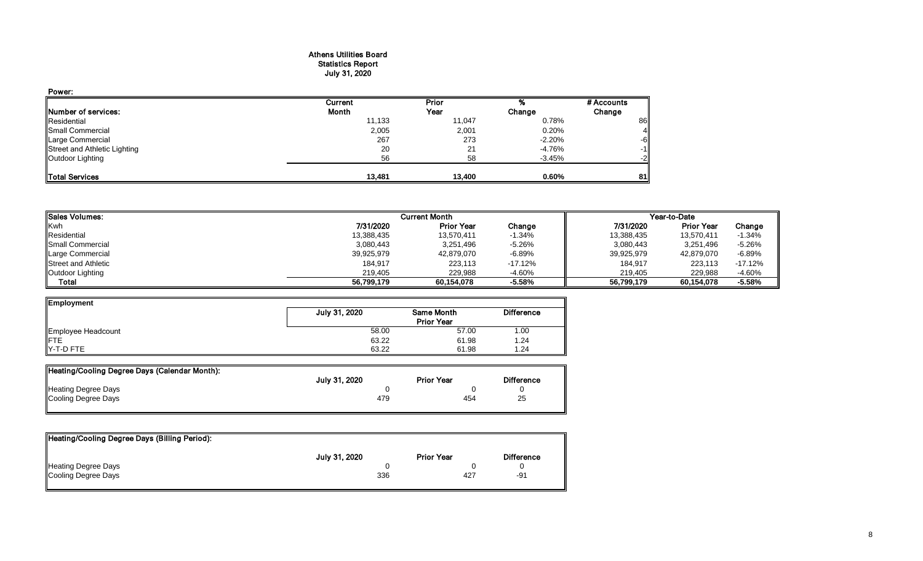#### Athens Utilities Board Statistics Report July 31, 2020

| Power:                       |         |        |          |            |
|------------------------------|---------|--------|----------|------------|
|                              | Current | Prior  |          | # Accounts |
| Number of services:          | Month   | Year   | Change   | Change     |
| Residential                  | 11,133  | 11,047 | 0.78%    | 86         |
| Small Commercial             | 2,005   | 2,001  | 0.20%    |            |
| Large Commercial             | 267     | 273    | $-2.20%$ | -6         |
| Street and Athletic Lighting | 20      | 21     | -4.76%   | -1         |
| Outdoor Lighting             | 56      | 58     | $-3.45%$ | -2         |
| Total Services               | 13.481  | 13.400 | 0.60%    | 81         |

| <b>ISales Volumes:</b>     |            | <b>Current Month</b> |           |            |                   |           |
|----------------------------|------------|----------------------|-----------|------------|-------------------|-----------|
| Kwh                        | 7/31/2020  | <b>Prior Year</b>    | Change    | 7/31/2020  | <b>Prior Year</b> | Change    |
| Residential                | 13,388,435 | 13,570,411           | $-1.34%$  | 13,388,435 | 13.570.411        | -1.34%    |
| <b>I</b> Small Commercial  | 3,080,443  | 3,251,496            | $-5.26%$  | 3,080,443  | 3,251,496         | $-5.26%$  |
| Large Commercial           | 39,925,979 | 42,879,070           | $-6.89%$  | 39,925,979 | 42.879.070        | $-6.89%$  |
| <b>Street and Athletic</b> | 184,917    | 223,113              | $-17.12%$ | 184,917    | 223,113           | $-17.12%$ |
| Outdoor Lighting           | 219.405    | 229.988              | $-4.60%$  | 219.405    | 229.988           | $-4.60%$  |
| Total                      | 56,799,179 | 60.154.078           | $-5.58%$  | 56.799.179 | 60,154,078        | $-5.58%$  |

| <b>Employment</b>         |               |                   |                   |
|---------------------------|---------------|-------------------|-------------------|
|                           | July 31, 2020 | Same Month        | <b>Difference</b> |
|                           |               | <b>Prior Year</b> |                   |
| Employee Headcount<br>FTE | 58.00         | 57.00             | 1.00              |
|                           | 63.22         | 61.98             | 1.24              |
| Y-T-D FTE                 | 63.22         | 61.98             | .24               |

| Heating/Cooling Degree Days (Calendar Month): |               |                   |                   |
|-----------------------------------------------|---------------|-------------------|-------------------|
|                                               | July 31, 2020 | <b>Prior Year</b> | <b>Difference</b> |
| <b>Heating Degree Days</b>                    |               |                   |                   |
| Cooling Degree Days                           | 479           | 454               | 25                |

| Heating/Cooling Degree Days (Billing Period): |               |                   |                   |
|-----------------------------------------------|---------------|-------------------|-------------------|
|                                               | July 31, 2020 | <b>Prior Year</b> | <b>Difference</b> |
| Heating Degree Days                           |               |                   |                   |
| Cooling Degree Days                           | 336           | 427               | -91               |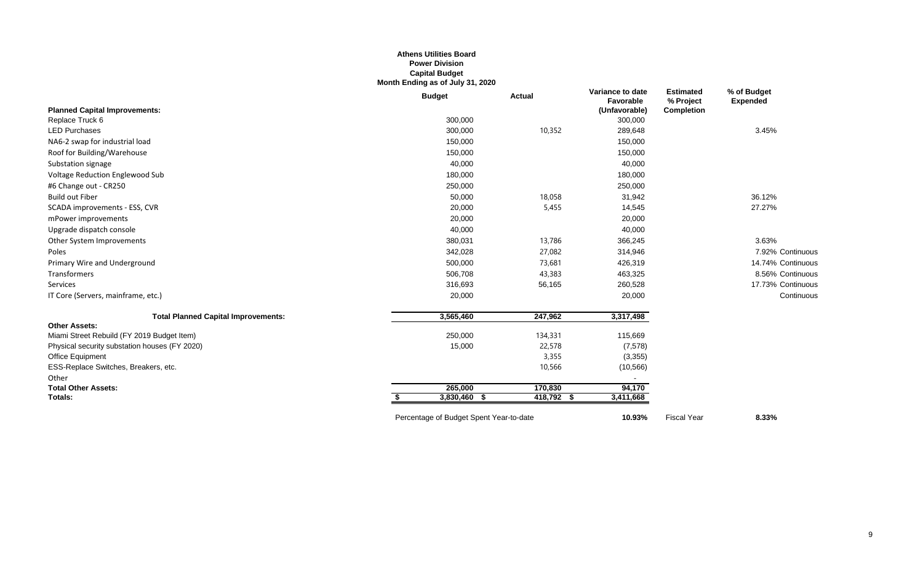## **Athens Utilities Board Power Division Capital Budget Month Ending as of July 31, 2020**

|                                               | <b>Budget</b>                           | <b>Actual</b> | Variance to date<br>Favorable | <b>Estimated</b><br>% Project | % of Budget<br><b>Expended</b> |
|-----------------------------------------------|-----------------------------------------|---------------|-------------------------------|-------------------------------|--------------------------------|
| <b>Planned Capital Improvements:</b>          |                                         |               | (Unfavorable)                 | <b>Completion</b>             |                                |
| Replace Truck 6                               | 300,000                                 |               | 300,000                       |                               |                                |
| <b>LED Purchases</b>                          | 300,000                                 | 10,352        | 289,648                       |                               | 3.45%                          |
| NA6-2 swap for industrial load                | 150,000                                 |               | 150,000                       |                               |                                |
| Roof for Building/Warehouse                   | 150,000                                 |               | 150,000                       |                               |                                |
| Substation signage                            | 40,000                                  |               | 40,000                        |                               |                                |
| Voltage Reduction Englewood Sub               | 180,000                                 |               | 180,000                       |                               |                                |
| #6 Change out - CR250                         | 250,000                                 |               | 250,000                       |                               |                                |
| <b>Build out Fiber</b>                        | 50,000                                  | 18,058        | 31,942                        |                               | 36.12%                         |
| SCADA improvements - ESS, CVR                 | 20,000                                  | 5,455         | 14,545                        |                               | 27.27%                         |
| mPower improvements                           | 20,000                                  |               | 20,000                        |                               |                                |
| Upgrade dispatch console                      | 40,000                                  |               | 40,000                        |                               |                                |
| Other System Improvements                     | 380,031                                 | 13,786        | 366,245                       |                               | 3.63%                          |
| Poles                                         | 342,028                                 | 27,082        | 314,946                       |                               | 7.92% Continuous               |
| Primary Wire and Underground                  | 500,000                                 | 73,681        | 426,319                       |                               | 14.74% Continuous              |
| Transformers                                  | 506,708                                 | 43,383        | 463,325                       |                               | 8.56% Continuous               |
| Services                                      | 316,693                                 | 56,165        | 260,528                       |                               | 17.73% Continuous              |
| IT Core (Servers, mainframe, etc.)            | 20,000                                  |               | 20,000                        |                               | Continuous                     |
| <b>Total Planned Capital Improvements:</b>    | 3,565,460                               | 247,962       | 3,317,498                     |                               |                                |
| <b>Other Assets:</b>                          |                                         |               |                               |                               |                                |
| Miami Street Rebuild (FY 2019 Budget Item)    | 250,000                                 | 134,331       | 115,669                       |                               |                                |
| Physical security substation houses (FY 2020) | 15,000                                  | 22,578        | (7, 578)                      |                               |                                |
| Office Equipment                              |                                         | 3,355         | (3,355)                       |                               |                                |
| ESS-Replace Switches, Breakers, etc.          |                                         | 10,566        | (10, 566)                     |                               |                                |
| Other                                         |                                         |               |                               |                               |                                |
| <b>Total Other Assets:</b>                    | 265,000                                 | 170,830       | 94,170                        |                               |                                |
| <b>Totals:</b>                                | 3,830,460 \$                            | 418,792 \$    | 3,411,668                     |                               |                                |
|                                               | Percentage of Budget Spent Year-to-date |               | 10.93%                        | <b>Fiscal Year</b>            | 8.33%                          |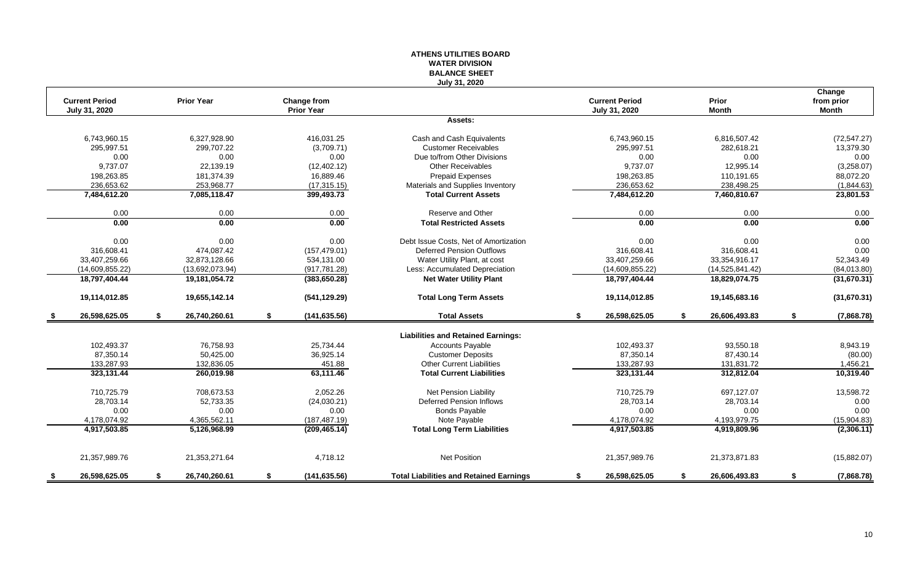## **ATHENS UTILITIES BOARD WATER DIVISION BALANCE SHEET July 31, 2020**

|     | <b>Current Period</b> |    | <b>Prior Year</b> |    |                                  |                                                |    | <b>Current Period</b> | Prior               |    | Change                     |
|-----|-----------------------|----|-------------------|----|----------------------------------|------------------------------------------------|----|-----------------------|---------------------|----|----------------------------|
|     | July 31, 2020         |    |                   |    | Change from<br><b>Prior Year</b> |                                                |    | July 31, 2020         | <b>Month</b>        |    | from prior<br><b>Month</b> |
|     |                       |    |                   |    |                                  | Assets:                                        |    |                       |                     |    |                            |
|     | 6,743,960.15          |    | 6,327,928.90      |    | 416.031.25                       | Cash and Cash Equivalents                      |    | 6,743,960.15          | 6,816,507.42        |    | (72, 547.27)               |
|     | 295,997.51            |    | 299.707.22        |    | (3,709.71)                       | <b>Customer Receivables</b>                    |    | 295.997.51            | 282,618.21          |    | 13,379.30                  |
|     | 0.00                  |    | 0.00              |    | 0.00                             | Due to/from Other Divisions                    |    | 0.00                  | 0.00                |    | 0.00                       |
|     | 9,737.07              |    | 22,139.19         |    | (12, 402.12)                     | <b>Other Receivables</b>                       |    | 9,737.07              | 12,995.14           |    | (3,258.07)                 |
|     | 198,263.85            |    | 181,374.39        |    | 16,889.46                        | <b>Prepaid Expenses</b>                        |    | 198,263.85            | 110,191.65          |    | 88,072.20                  |
|     | 236,653.62            |    | 253,968.77        |    | (17, 315.15)                     | Materials and Supplies Inventory               |    | 236,653.62            | 238,498.25          |    | (1,844.63)                 |
|     | 7,484,612.20          |    | 7,085,118.47      |    | 399,493.73                       | <b>Total Current Assets</b>                    |    | 7,484,612.20          | 7,460,810.67        |    | 23,801.53                  |
|     | 0.00                  |    | 0.00              |    | 0.00                             | Reserve and Other                              |    | 0.00                  | 0.00                |    | 0.00                       |
|     | 0.00                  |    | 0.00              |    | 0.00                             | <b>Total Restricted Assets</b>                 |    | 0.00                  | 0.00                |    | 0.00                       |
|     | 0.00                  |    | 0.00              |    | 0.00                             | Debt Issue Costs. Net of Amortization          |    | 0.00                  | 0.00                |    | 0.00                       |
|     | 316,608.41            |    | 474.087.42        |    | (157, 479.01)                    | <b>Deferred Pension Outflows</b>               |    | 316.608.41            | 316.608.41          |    | 0.00                       |
|     | 33.407.259.66         |    | 32.873.128.66     |    | 534,131.00                       | Water Utility Plant, at cost                   |    | 33.407.259.66         | 33,354,916.17       |    | 52,343.49                  |
|     | (14,609,855.22)       |    | (13,692,073.94)   |    | (917, 781.28)                    | Less: Accumulated Depreciation                 |    | (14,609,855.22)       | (14,525,841.42)     |    | (84,013.80)                |
|     | 18,797,404.44         |    | 19,181,054.72     |    | (383, 650.28)                    | <b>Net Water Utility Plant</b>                 |    | 18,797,404.44         | 18,829,074.75       |    | (31,670.31)                |
|     | 19,114,012.85         |    | 19,655,142.14     |    | (541, 129.29)                    | <b>Total Long Term Assets</b>                  |    | 19,114,012.85         | 19,145,683.16       |    | (31,670.31)                |
| -\$ | 26,598,625.05         | \$ | 26,740,260.61     | \$ | (141, 635.56)                    | <b>Total Assets</b>                            | \$ | 26,598,625.05         | \$<br>26,606,493.83 | \$ | (7,868.78)                 |
|     |                       |    |                   |    |                                  | <b>Liabilities and Retained Earnings:</b>      |    |                       |                     |    |                            |
|     | 102,493.37            |    | 76,758.93         |    | 25,734.44                        | <b>Accounts Payable</b>                        |    | 102,493.37            | 93,550.18           |    | 8,943.19                   |
|     | 87.350.14             |    | 50.425.00         |    | 36,925.14                        | <b>Customer Deposits</b>                       |    | 87.350.14             | 87,430.14           |    | (80.00)                    |
|     | 133.287.93            |    | 132,836.05        |    | 451.88                           | <b>Other Current Liabilities</b>               |    | 133,287.93            | 131,831.72          |    | 1,456.21                   |
|     | 323,131.44            |    | 260,019.98        |    | 63,111.46                        | <b>Total Current Liabilities</b>               |    | 323,131.44            | 312,812.04          |    | 10,319.40                  |
|     | 710,725.79            |    | 708.673.53        |    | 2,052.26                         | Net Pension Liability                          |    | 710,725.79            | 697,127.07          |    | 13,598.72                  |
|     | 28,703.14             |    | 52,733.35         |    | (24,030.21)                      | Deferred Pension Inflows                       |    | 28,703.14             | 28,703.14           |    | 0.00                       |
|     | 0.00                  |    | 0.00              |    | 0.00                             | <b>Bonds Payable</b>                           |    | 0.00                  | 0.00                |    | 0.00                       |
|     | 4,178,074.92          |    | 4,365,562.11      |    | (187, 487.19)                    | Note Payable                                   |    | 4,178,074.92          | 4,193,979.75        |    | (15,904.83)                |
|     | 4,917,503.85          |    | 5.126.968.99      |    | (209, 465.14)                    | <b>Total Long Term Liabilities</b>             |    | 4,917,503.85          | 4,919,809.96        |    | (2,306.11)                 |
|     | 21,357,989.76         |    | 21,353,271.64     |    | 4,718.12                         | <b>Net Position</b>                            |    | 21,357,989.76         | 21,373,871.83       |    | (15,882.07)                |
| - 5 | 26,598,625.05         | S. | 26,740,260.61     | S  | (141, 635.56)                    | <b>Total Liabilities and Retained Earnings</b> | S  | 26,598,625.05         | 26,606,493.83       | S  | (7,868.78)                 |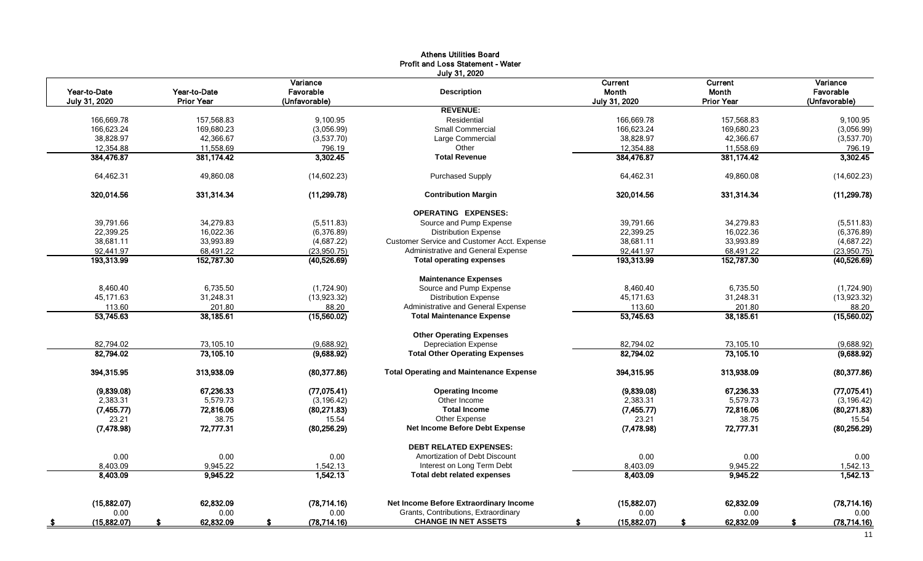|               |                   |               | <b>Athens Utilities Board</b>                  |                |                   |               |
|---------------|-------------------|---------------|------------------------------------------------|----------------|-------------------|---------------|
|               |                   |               | <b>Profit and Loss Statement - Water</b>       |                |                   |               |
|               |                   |               | July 31, 2020                                  |                |                   |               |
|               |                   | Variance      |                                                | <b>Current</b> | Current           | Variance      |
| Year-to-Date  | Year-to-Date      | Favorable     | <b>Description</b>                             | Month          | Month             | Favorable     |
| July 31, 2020 | <b>Prior Year</b> | (Unfavorable) |                                                | July 31, 2020  | <b>Prior Year</b> | (Unfavorable) |
|               |                   |               | <b>REVENUE:</b>                                |                |                   |               |
| 166.669.78    | 157.568.83        | 9.100.95      | Residential                                    | 166.669.78     | 157.568.83        | 9,100.95      |
| 166,623.24    | 169,680.23        | (3,056.99)    | Small Commercial                               | 166,623.24     | 169,680.23        | (3,056.99)    |
| 38,828.97     | 42,366.67         | (3,537.70)    | Large Commercial                               | 38,828.97      | 42,366.67         | (3,537.70)    |
| 12,354.88     | 11,558.69         | 796.19        | Other                                          | 12,354.88      | 11,558.69         | 796.19        |
| 384,476.87    | 381,174.42        | 3,302.45      | <b>Total Revenue</b>                           | 384,476.87     | 381,174.42        | 3,302.45      |
| 64,462.31     | 49,860.08         | (14,602.23)   | <b>Purchased Supply</b>                        | 64,462.31      | 49,860.08         | (14,602.23)   |
| 320,014.56    | 331,314.34        | (11, 299.78)  | <b>Contribution Margin</b>                     | 320,014.56     | 331,314.34        | (11, 299.78)  |
|               |                   |               | <b>OPERATING EXPENSES:</b>                     |                |                   |               |
| 39,791.66     | 34,279.83         | (5,511.83)    | Source and Pump Expense                        | 39.791.66      | 34,279.83         | (5,511.83)    |
| 22,399.25     | 16,022.36         | (6,376.89)    | <b>Distribution Expense</b>                    | 22,399.25      | 16,022.36         | (6,376.89)    |
| 38,681.11     | 33,993.89         | (4,687.22)    | Customer Service and Customer Acct. Expense    | 38,681.11      | 33,993.89         | (4,687.22)    |
| 92,441.97     | 68,491.22         | (23,950.75)   | Administrative and General Expense             | 92,441.97      | 68,491.22         | (23, 950.75)  |
| 193,313.99    | 152,787.30        | (40, 526.69)  | <b>Total operating expenses</b>                | 193,313.99     | 152,787.30        | (40, 526.69)  |
|               |                   |               | <b>Maintenance Expenses</b>                    |                |                   |               |
| 8,460.40      | 6.735.50          | (1,724.90)    | Source and Pump Expense                        | 8.460.40       | 6,735.50          | (1,724.90)    |
| 45,171.63     | 31,248.31         | (13,923.32)   | <b>Distribution Expense</b>                    | 45,171.63      | 31,248.31         | (13,923.32)   |
| 113.60        | 201.80            | 88.20         | Administrative and General Expense             | 113.60         | 201.80            | 88.20         |
| 53,745.63     | 38,185.61         | (15,560.02)   | <b>Total Maintenance Expense</b>               | 53,745.63      | 38,185.61         | (15,560.02)   |
|               |                   |               | <b>Other Operating Expenses</b>                |                |                   |               |
| 82,794.02     | 73,105.10         | (9,688.92)    | <b>Depreciation Expense</b>                    | 82,794.02      | 73,105.10         | (9,688.92)    |
| 82,794.02     | 73,105.10         | (9,688.92)    | <b>Total Other Operating Expenses</b>          | 82,794.02      | 73,105.10         | (9,688.92)    |
| 394,315.95    | 313,938.09        | (80, 377.86)  | <b>Total Operating and Maintenance Expense</b> | 394,315.95     | 313,938.09        | (80, 377.86)  |
| (9,839.08)    | 67,236.33         | (77, 075.41)  | <b>Operating Income</b>                        | (9,839.08)     | 67,236.33         | (77, 075.41)  |
| 2,383.31      | 5,579.73          | (3, 196.42)   | Other Income                                   | 2,383.31       | 5,579.73          | (3, 196.42)   |
| (7,455.77)    | 72,816.06         | (80, 271.83)  | <b>Total Income</b>                            | (7, 455.77)    | 72,816.06         | (80, 271.83)  |
| 23.21         | 38.75             | 15.54         | Other Expense                                  | 23.21          | 38.75             | 15.54         |
| (7, 478.98)   | 72,777.31         | (80, 256.29)  | <b>Net Income Before Debt Expense</b>          | (7, 478.98)    | 72,777.31         | (80, 256.29)  |
|               |                   |               | <b>DEBT RELATED EXPENSES:</b>                  |                |                   |               |
| 0.00          | 0.00              | 0.00          | Amortization of Debt Discount                  | 0.00           | 0.00              | 0.00          |
| 8,403.09      | 9,945.22          | 1,542.13      | Interest on Long Term Debt                     | 8,403.09       | 9,945.22          | 1,542.13      |
| 8,403.09      | 9,945.22          | 1.542.13      | <b>Total debt related expenses</b>             | 8,403.09       | 9.945.22          | 1,542.13      |
| (15,882.07)   | 62,832.09         | (78, 714.16)  | Net Income Before Extraordinary Income         | (15,882.07)    | 62,832.09         | (78, 714.16)  |
| 0.00          | 0.00              | 0.00          | Grants, Contributions, Extraordinary           | 0.00           | 0.00              | 0.00          |
| (15,882.07)   | 62,832.09         | (78, 714.16)  | <b>CHANGE IN NET ASSETS</b>                    | (15,882.07)    | 62,832.09         | (78, 714.16)  |
|               |                   |               |                                                |                |                   |               |

# 11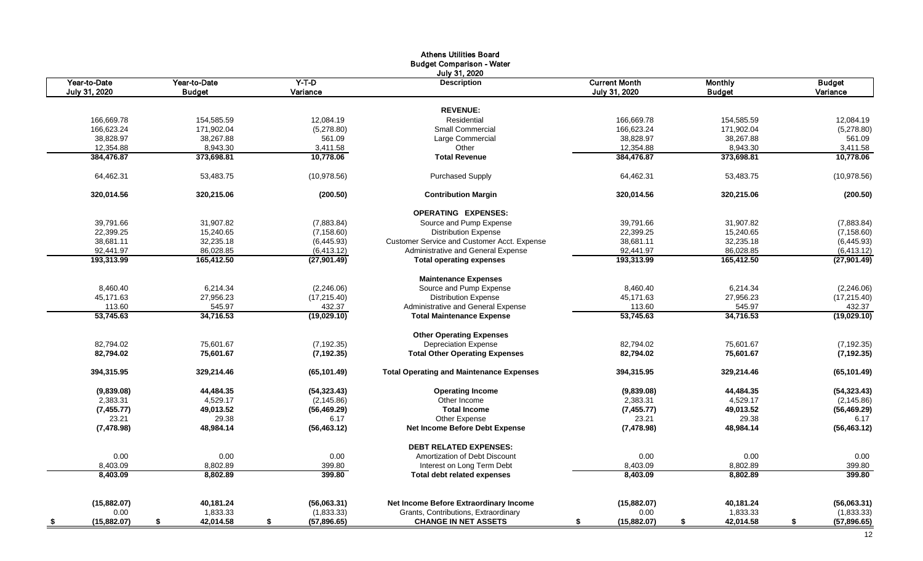|               |               |              | <b>Athens Utilities Board</b>                   |                      |               |               |
|---------------|---------------|--------------|-------------------------------------------------|----------------------|---------------|---------------|
|               |               |              | <b>Budget Comparison - Water</b>                |                      |               |               |
|               |               |              | July 31, 2020                                   |                      |               |               |
| Year-to-Date  | Year-to-Date  | $Y-T-D$      | <b>Description</b>                              | <b>Current Month</b> | Monthly       | <b>Budget</b> |
| July 31, 2020 | <b>Budget</b> | Variance     |                                                 | July 31, 2020        | <b>Budget</b> | Variance      |
|               |               |              |                                                 |                      |               |               |
|               |               |              | <b>REVENUE:</b>                                 |                      |               |               |
| 166,669.78    | 154,585.59    | 12,084.19    | Residential                                     | 166,669.78           | 154,585.59    | 12,084.19     |
| 166,623.24    | 171,902.04    | (5,278.80)   | <b>Small Commercial</b>                         | 166,623.24           | 171,902.04    | (5,278.80)    |
| 38,828.97     | 38,267.88     | 561.09       | Large Commercial                                | 38,828.97            | 38,267.88     | 561.09        |
| 12,354.88     | 8,943.30      | 3,411.58     | Other                                           | 12,354.88            | 8,943.30      | 3,411.58      |
| 384,476.87    | 373,698.81    | 10,778.06    | <b>Total Revenue</b>                            | 384,476.87           | 373,698.81    | 10,778.06     |
| 64,462.31     | 53,483.75     | (10, 978.56) | <b>Purchased Supply</b>                         | 64,462.31            | 53,483.75     | (10, 978.56)  |
| 320,014.56    | 320,215.06    | (200.50)     | <b>Contribution Margin</b>                      | 320,014.56           | 320,215.06    | (200.50)      |
|               |               |              | <b>OPERATING EXPENSES:</b>                      |                      |               |               |
| 39,791.66     | 31,907.82     | (7,883.84)   | Source and Pump Expense                         | 39,791.66            | 31,907.82     | (7,883.84)    |
| 22,399.25     | 15,240.65     | (7, 158.60)  | <b>Distribution Expense</b>                     | 22,399.25            | 15,240.65     | (7, 158.60)   |
| 38,681.11     | 32,235.18     | (6,445.93)   | Customer Service and Customer Acct. Expense     | 38,681.11            | 32,235.18     | (6,445.93)    |
| 92,441.97     | 86,028.85     | (6,413.12)   | Administrative and General Expense              | 92,441.97            | 86,028.85     | (6, 413.12)   |
| 193,313.99    | 165,412.50    | (27, 901.49) | <b>Total operating expenses</b>                 | 193,313.99           | 165,412.50    | (27, 901.49)  |
|               |               |              | <b>Maintenance Expenses</b>                     |                      |               |               |
| 8,460.40      | 6,214.34      | (2,246.06)   | Source and Pump Expense                         | 8,460.40             | 6,214.34      | (2,246.06)    |
| 45,171.63     | 27,956.23     | (17, 215.40) | <b>Distribution Expense</b>                     | 45,171.63            | 27,956.23     | (17, 215.40)  |
| 113.60        | 545.97        | 432.37       | Administrative and General Expense              | 113.60               | 545.97        | 432.37        |
| 53,745.63     | 34,716.53     | (19,029.10)  | <b>Total Maintenance Expense</b>                | 53,745.63            | 34,716.53     | (19,029.10)   |
|               |               |              | <b>Other Operating Expenses</b>                 |                      |               |               |
| 82,794.02     | 75,601.67     | (7, 192.35)  | <b>Depreciation Expense</b>                     | 82,794.02            | 75,601.67     | (7, 192.35)   |
| 82,794.02     | 75,601.67     | (7, 192.35)  | <b>Total Other Operating Expenses</b>           | 82,794.02            | 75,601.67     | (7, 192.35)   |
| 394,315.95    | 329,214.46    | (65, 101.49) | <b>Total Operating and Maintenance Expenses</b> | 394,315.95           | 329,214.46    | (65, 101.49)  |
| (9,839.08)    | 44,484.35     | (54, 323.43) | <b>Operating Income</b>                         | (9,839.08)           | 44,484.35     | (54, 323.43)  |
| 2,383.31      | 4,529.17      | (2, 145.86)  | Other Income                                    | 2,383.31             | 4,529.17      | (2, 145.86)   |
| (7, 455.77)   | 49,013.52     | (56, 469.29) | <b>Total Income</b>                             | (7, 455.77)          | 49,013.52     | (56, 469.29)  |
| 23.21         | 29.38         | 6.17         | Other Expense                                   | 23.21                | 29.38         | 6.17          |
| (7, 478.98)   | 48,984.14     | (56, 463.12) | <b>Net Income Before Debt Expense</b>           | (7, 478.98)          | 48,984.14     | (56, 463.12)  |
|               |               |              | <b>DEBT RELATED EXPENSES:</b>                   |                      |               |               |
| 0.00          | 0.00          | 0.00         | Amortization of Debt Discount                   | 0.00                 | 0.00          | 0.00          |
| 8,403.09      | 8,802.89      | 399.80       | Interest on Long Term Debt                      | 8,403.09             | 8,802.89      | 399.80        |
| 8,403.09      | 8,802.89      | 399.80       | Total debt related expenses                     | 8,403.09             | 8,802.89      | 399.80        |
|               |               |              |                                                 |                      |               |               |
| (15,882.07)   | 40,181.24     | (56,063.31)  | Net Income Before Extraordinary Income          | (15,882.07)          | 40,181.24     | (56,063.31)   |
| 0.00          | 1,833.33      | (1,833.33)   | Grants, Contributions, Extraordinary            | 0.00                 | 1,833.33      | (1,833.33)    |
| (15,882.07)   | 42,014.58     | (57,896.65)  | <b>CHANGE IN NET ASSETS</b>                     | (15,882.07)          | 42,014.58     | (57,896.65)   |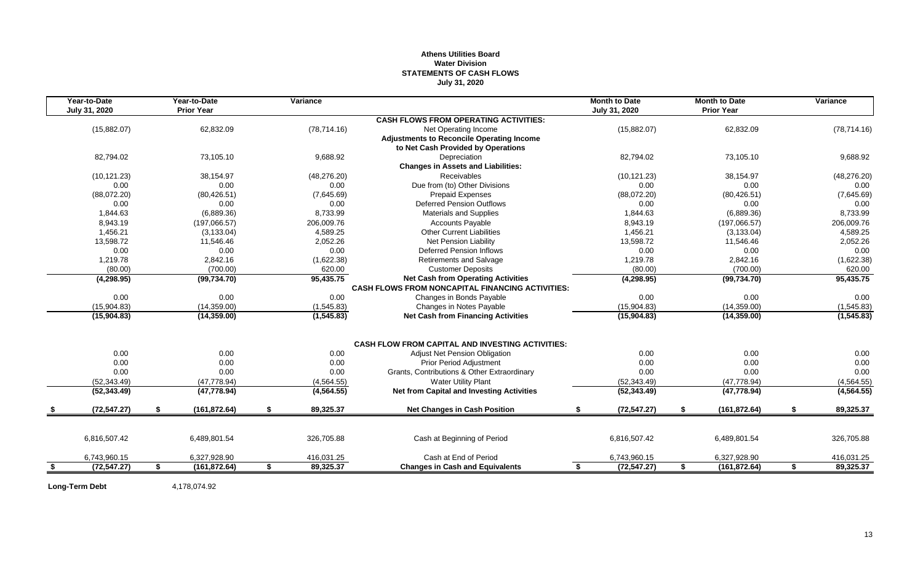# **Athens Utilities Board Water Division STATEMENTS OF CASH FLOWS July 31, 2020**

|      | Year-to-Date<br>July 31, 2020 | Year-to-Date<br><b>Prior Year</b> | Variance        |                                                         |    | <b>Month to Date</b><br>July 31, 2020 |    | <b>Month to Date</b><br><b>Prior Year</b> |    | Variance     |
|------|-------------------------------|-----------------------------------|-----------------|---------------------------------------------------------|----|---------------------------------------|----|-------------------------------------------|----|--------------|
|      |                               |                                   |                 | <b>CASH FLOWS FROM OPERATING ACTIVITIES:</b>            |    |                                       |    |                                           |    |              |
|      | (15,882.07)                   | 62,832.09                         | (78, 714.16)    | Net Operating Income                                    |    | (15,882.07)                           |    | 62,832.09                                 |    | (78, 714.16) |
|      |                               |                                   |                 | <b>Adjustments to Reconcile Operating Income</b>        |    |                                       |    |                                           |    |              |
|      |                               |                                   |                 | to Net Cash Provided by Operations                      |    |                                       |    |                                           |    |              |
|      | 82,794.02                     | 73,105.10                         | 9,688.92        | Depreciation                                            |    | 82,794.02                             |    | 73,105.10                                 |    | 9,688.92     |
|      |                               |                                   |                 | <b>Changes in Assets and Liabilities:</b>               |    |                                       |    |                                           |    |              |
|      | (10, 121.23)                  | 38,154.97                         | (48, 276.20)    | <b>Receivables</b>                                      |    | (10, 121.23)                          |    | 38,154.97                                 |    | (48, 276.20) |
|      | 0.00                          | 0.00                              | 0.00            | Due from (to) Other Divisions                           |    | 0.00                                  |    | 0.00                                      |    | 0.00         |
|      | (88,072.20)                   | (80, 426.51)                      | (7,645.69)      | <b>Prepaid Expenses</b>                                 |    | (88,072.20)                           |    | (80, 426.51)                              |    | (7,645.69)   |
|      | 0.00                          | 0.00                              | 0.00            | <b>Deferred Pension Outflows</b>                        |    | 0.00                                  |    | 0.00                                      |    | 0.00         |
|      | 1,844.63                      | (6,889.36)                        | 8,733.99        | <b>Materials and Supplies</b>                           |    | 1,844.63                              |    | (6,889.36)                                |    | 8,733.99     |
|      | 8,943.19                      | (197,066.57)                      | 206,009.76      | <b>Accounts Payable</b>                                 |    | 8,943.19                              |    | (197,066.57)                              |    | 206,009.76   |
|      | 1,456.21                      | (3, 133.04)                       | 4.589.25        | <b>Other Current Liabilities</b>                        |    | 1,456.21                              |    | (3, 133.04)                               |    | 4,589.25     |
|      | 13,598.72                     | 11,546.46                         | 2,052.26        | Net Pension Liability                                   |    | 13,598.72                             |    | 11,546.46                                 |    | 2,052.26     |
|      | 0.00                          | 0.00                              | 0.00            | <b>Deferred Pension Inflows</b>                         |    | 0.00                                  |    | 0.00                                      |    | 0.00         |
|      | 1,219.78                      | 2,842.16                          | (1,622.38)      | <b>Retirements and Salvage</b>                          |    | 1,219.78                              |    | 2,842.16                                  |    | (1,622.38)   |
|      | (80.00)                       | (700.00)                          | 620.00          | <b>Customer Deposits</b>                                |    | (80.00)                               |    | (700.00)                                  |    | 620.00       |
|      | (4,298.95)                    | (99, 734.70)                      | 95,435.75       | <b>Net Cash from Operating Activities</b>               |    | (4,298.95)                            |    | (99, 734.70)                              |    | 95,435.75    |
|      |                               |                                   |                 | <b>CASH FLOWS FROM NONCAPITAL FINANCING ACTIVITIES:</b> |    |                                       |    |                                           |    |              |
|      | 0.00                          | 0.00                              | 0.00            | Changes in Bonds Payable                                |    | 0.00                                  |    | 0.00                                      |    | 0.00         |
|      | (15,904.83)                   | (14, 359.00)                      | (1,545.83)      | Changes in Notes Payable                                |    | (15,904.83)                           |    | (14, 359.00)                              |    | (1,545.83)   |
|      | (15,904.83)                   | (14, 359.00)                      | (1, 545.83)     | <b>Net Cash from Financing Activities</b>               |    | (15,904.83)                           |    | (14, 359.00)                              |    | (1, 545.83)  |
|      |                               |                                   |                 | <b>CASH FLOW FROM CAPITAL AND INVESTING ACTIVITIES:</b> |    |                                       |    |                                           |    |              |
|      | 0.00                          | 0.00                              | 0.00            | Adjust Net Pension Obligation                           |    | 0.00                                  |    | 0.00                                      |    | 0.00         |
|      | 0.00                          | 0.00                              | 0.00            | <b>Prior Period Adjustment</b>                          |    | 0.00                                  |    | 0.00                                      |    | 0.00         |
|      | 0.00                          | 0.00                              | 0.00            | Grants, Contributions & Other Extraordinary             |    | 0.00                                  |    | 0.00                                      |    | 0.00         |
|      | (52, 343.49)                  | (47, 778.94)                      | (4, 564.55)     | <b>Water Utility Plant</b>                              |    | (52, 343.49)                          |    | (47, 778.94)                              |    | (4, 564.55)  |
|      | (52, 343.49)                  | (47, 778.94)                      | (4, 564.55)     | <b>Net from Capital and Investing Activities</b>        |    | (52, 343.49)                          |    | (47, 778.94)                              |    | (4, 564.55)  |
|      | (72, 547.27)                  | \$<br>(161, 872.64)               | \$<br>89,325.37 | <b>Net Changes in Cash Position</b>                     | \$ | (72, 547.27)                          | S. | (161, 872.64)                             | S. | 89,325.37    |
|      |                               |                                   |                 |                                                         |    |                                       |    |                                           |    |              |
|      | 6,816,507.42                  | 6,489,801.54                      | 326,705.88      | Cash at Beginning of Period                             |    | 6,816,507.42                          |    | 6,489,801.54                              |    | 326,705.88   |
|      | 6,743,960.15                  | 6,327,928.90                      | 416,031.25      | Cash at End of Period                                   |    | 6,743,960.15                          |    | 6,327,928.90                              |    | 416,031.25   |
| - \$ | (72, 547.27)                  | (161, 872.64)                     | \$<br>89,325.37 | <b>Changes in Cash and Equivalents</b>                  | S. | (72, 547.27)                          |    | (161, 872.64)                             | S. | 89,325.37    |

**Long-Term Debt** 4,178,074.92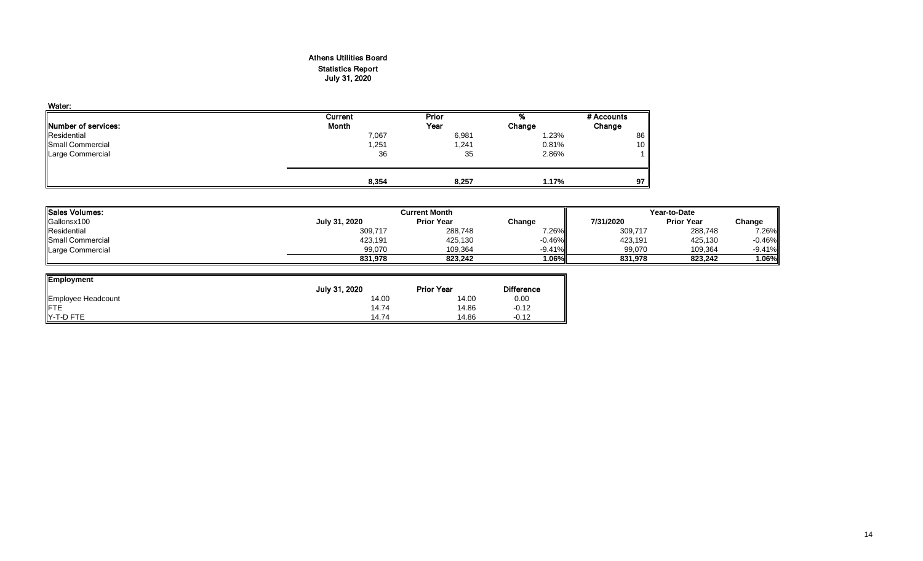# Athens Utilities Board Statistics Report July 31, 2020

| Water:                      |         |       |        |            |
|-----------------------------|---------|-------|--------|------------|
|                             | Current | Prior | %      | # Accounts |
| <b>INumber of services:</b> | Month   | Year  | Change | Change     |
| Residential                 | 7,067   | 6,981 | 1.23%  | 86         |
| Small Commercial            | 1,251   | 1,241 | 0.81%  | 10         |
| Large Commercial            | 36      | 35    | 2.86%  |            |
|                             | 8,354   | 8,257 | 1.17%  | 97         |

| <b>I</b> ISales Volumes: |               | <b>Current Month</b> | Year-to-Date |           |                   |          |
|--------------------------|---------------|----------------------|--------------|-----------|-------------------|----------|
| Gallonsx100              | July 31, 2020 | <b>Prior Year</b>    | Change       | 7/31/2020 | <b>Prior Year</b> | Change   |
| Residential              | 309,717       | 288,748              | 7.26%        | 309,717   | 288,748           | 7.26%    |
| Small Commercial         | 423,191       | 425,130              | $-0.46\%$    | 423,191   | 425,130           | $-0.46%$ |
| Large Commercial         | 99.070        | 109.364              | $-9.41\%$    | 99,070    | 109,364           | $-9.41%$ |
|                          | 831.978       | 823.242              | $1.06\%$     | 831.978   | 823.242           | .06%     |

<u>і</u>

| <b>Employment</b>  | July 31, 2020 | <b>Prior Year</b> | <b>Difference</b> |
|--------------------|---------------|-------------------|-------------------|
| Employee Headcount | 14.00         | 14.00             | 0.00              |
|                    | 14.74         | 14.86             | $-0.12$           |
| Y-T-D FTE          | 14.74         | 14.86             | $-0.12$           |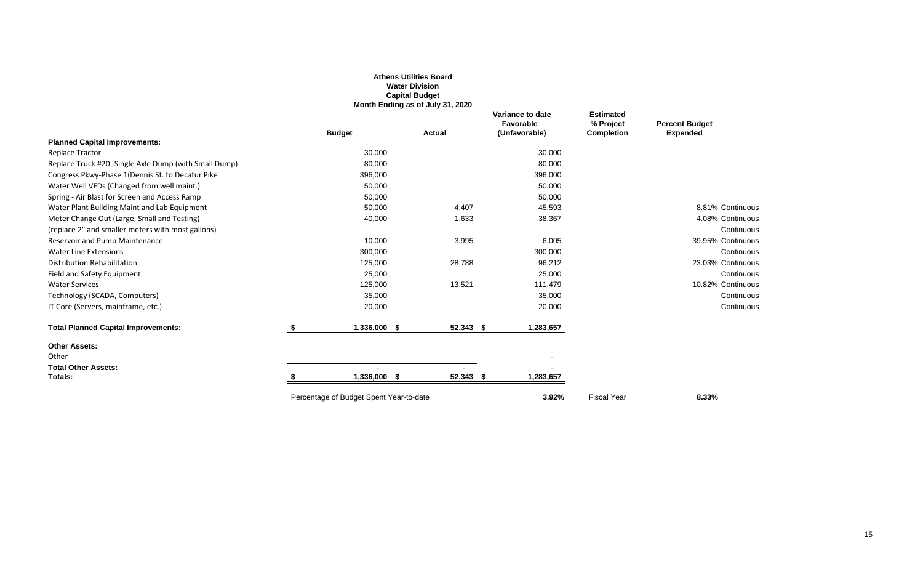|                                                        |    |                                         | <b>Water Division</b><br><b>Capital Budget</b><br>Month Ending as of July 31, 2020 |                                                |                                                    |                                          |
|--------------------------------------------------------|----|-----------------------------------------|------------------------------------------------------------------------------------|------------------------------------------------|----------------------------------------------------|------------------------------------------|
|                                                        |    | <b>Budget</b>                           | Actual                                                                             | Variance to date<br>Favorable<br>(Unfavorable) | <b>Estimated</b><br>% Project<br><b>Completion</b> | <b>Percent Budget</b><br><b>Expended</b> |
| <b>Planned Capital Improvements:</b>                   |    |                                         |                                                                                    |                                                |                                                    |                                          |
| <b>Replace Tractor</b>                                 |    | 30,000                                  |                                                                                    | 30,000                                         |                                                    |                                          |
| Replace Truck #20 - Single Axle Dump (with Small Dump) |    | 80,000                                  |                                                                                    | 80,000                                         |                                                    |                                          |
| Congress Pkwy-Phase 1(Dennis St. to Decatur Pike       |    | 396,000                                 |                                                                                    | 396,000                                        |                                                    |                                          |
| Water Well VFDs (Changed from well maint.)             |    | 50,000                                  |                                                                                    | 50,000                                         |                                                    |                                          |
| Spring - Air Blast for Screen and Access Ramp          |    | 50,000                                  |                                                                                    | 50,000                                         |                                                    |                                          |
| Water Plant Building Maint and Lab Equipment           |    | 50,000                                  | 4,407                                                                              | 45,593                                         |                                                    | 8.81% Continuous                         |
| Meter Change Out (Large, Small and Testing)            |    | 40,000                                  | 1,633                                                                              | 38,367                                         |                                                    | 4.08% Continuous                         |
| (replace 2" and smaller meters with most gallons)      |    |                                         |                                                                                    |                                                |                                                    | Continuous                               |
| Reservoir and Pump Maintenance                         |    | 10,000                                  | 3,995                                                                              | 6,005                                          |                                                    | 39.95% Continuous                        |
| <b>Water Line Extensions</b>                           |    | 300,000                                 |                                                                                    | 300,000                                        |                                                    | Continuous                               |
| Distribution Rehabilitation                            |    | 125,000                                 | 28,788                                                                             | 96,212                                         |                                                    | 23.03% Continuous                        |
| Field and Safety Equipment                             |    | 25,000                                  |                                                                                    | 25,000                                         |                                                    | Continuous                               |
| <b>Water Services</b>                                  |    | 125,000                                 | 13,521                                                                             | 111,479                                        |                                                    | 10.82% Continuous                        |
| Technology (SCADA, Computers)                          |    | 35,000                                  |                                                                                    | 35,000                                         |                                                    | Continuous                               |
| IT Core (Servers, mainframe, etc.)                     |    | 20,000                                  |                                                                                    | 20,000                                         |                                                    | Continuous                               |
| <b>Total Planned Capital Improvements:</b>             | S. | 1,336,000<br>- \$                       | 52,343 \$                                                                          | 1,283,657                                      |                                                    |                                          |
| <b>Other Assets:</b>                                   |    |                                         |                                                                                    |                                                |                                                    |                                          |
| Other                                                  |    |                                         |                                                                                    |                                                |                                                    |                                          |
| <b>Total Other Assets:</b>                             |    |                                         |                                                                                    |                                                |                                                    |                                          |
| Totals:                                                |    | 1,336,000 \$                            | 52,343 \$                                                                          | 1,283,657                                      |                                                    |                                          |
|                                                        |    | Percentage of Budget Spent Year-to-date |                                                                                    | 3.92%                                          | <b>Fiscal Year</b>                                 | 8.33%                                    |

**Athens Utilities Board**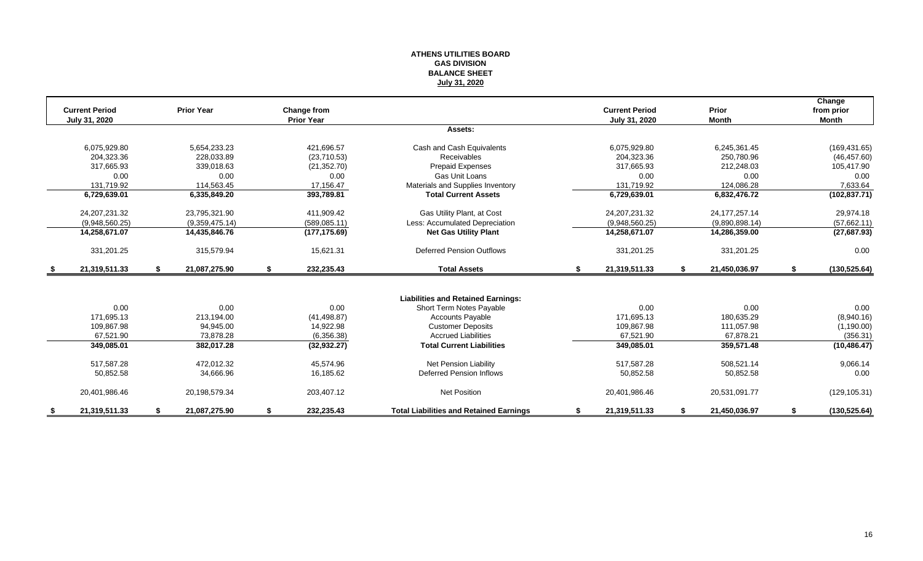#### **ATHENS UTILITIES BOARD GAS DIVISION BALANCE SHEET July 31, 2020**

|      | <b>Current Period</b><br>July 31, 2020 | <b>Prior Year</b>   | Change from<br><b>Prior Year</b> |                                                |    | <b>Current Period</b><br>July 31, 2020 |    | <b>Prior</b><br><b>Month</b> | Change<br>from prior<br><b>Month</b> |
|------|----------------------------------------|---------------------|----------------------------------|------------------------------------------------|----|----------------------------------------|----|------------------------------|--------------------------------------|
|      |                                        |                     |                                  | Assets:                                        |    |                                        |    |                              |                                      |
|      | 6,075,929.80                           | 5,654,233.23        | 421,696.57                       | Cash and Cash Equivalents                      |    | 6,075,929.80                           |    | 6,245,361.45                 | (169, 431.65)                        |
|      | 204.323.36                             | 228.033.89          | (23,710.53)                      | <b>Receivables</b>                             |    | 204.323.36                             |    | 250,780.96                   | (46, 457.60)                         |
|      | 317,665.93                             | 339,018.63          | (21, 352.70)                     | Prepaid Expenses                               |    | 317,665.93                             |    | 212,248.03                   | 105,417.90                           |
|      | 0.00                                   | 0.00                | 0.00                             | Gas Unit Loans                                 |    | 0.00                                   |    | 0.00                         | 0.00                                 |
|      | 131,719.92                             | 114,563.45          | 17,156.47                        | Materials and Supplies Inventory               |    | 131.719.92                             |    | 124,086.28                   | 7,633.64                             |
|      | 6,729,639.01                           | 6,335,849.20        | 393,789.81                       | <b>Total Current Assets</b>                    |    | 6,729,639.01                           |    | 6,832,476.72                 | (102, 837.71)                        |
|      | 24, 207, 231. 32                       | 23,795,321.90       | 411,909.42                       | Gas Utility Plant, at Cost                     |    | 24, 207, 231. 32                       |    | 24, 177, 257. 14             | 29,974.18                            |
|      | (9,948,560.25)                         | (9,359,475.14)      | (589, 085.11)                    | Less: Accumulated Depreciation                 |    | (9,948,560.25)                         |    | (9,890,898.14)               | (57,662.11)                          |
|      | 14,258,671.07                          | 14,435,846.76       | (177, 175.69)                    | <b>Net Gas Utility Plant</b>                   |    | 14,258,671.07                          |    | 14,286,359.00                | (27, 687.93)                         |
|      | 331,201.25                             | 315.579.94          | 15,621.31                        | <b>Deferred Pension Outflows</b>               |    | 331,201.25                             |    | 331,201.25                   | 0.00                                 |
| - \$ | 21,319,511.33                          | \$<br>21,087,275.90 | \$<br>232,235.43                 | <b>Total Assets</b>                            | S. | 21,319,511.33                          | S. | 21,450,036.97                | \$<br>(130, 525.64)                  |
|      |                                        |                     |                                  |                                                |    |                                        |    |                              |                                      |
|      |                                        |                     |                                  | <b>Liabilities and Retained Earnings:</b>      |    |                                        |    |                              |                                      |
|      | 0.00                                   | 0.00                | 0.00                             | Short Term Notes Payable                       |    | 0.00                                   |    | 0.00                         | 0.00                                 |
|      | 171.695.13                             | 213,194.00          | (41, 498.87)                     | <b>Accounts Payable</b>                        |    | 171.695.13                             |    | 180,635.29                   | (8,940.16)                           |
|      | 109,867.98                             | 94,945.00           | 14,922.98                        | <b>Customer Deposits</b>                       |    | 109,867.98                             |    | 111,057.98                   | (1,190.00)                           |
|      | 67,521.90                              | 73,878.28           | (6,356.38)                       | <b>Accrued Liabilities</b>                     |    | 67,521.90                              |    | 67,878.21                    | (356.31)                             |
|      | 349,085.01                             | 382,017.28          | (32, 932.27)                     | <b>Total Current Liabilities</b>               |    | 349,085.01                             |    | 359,571.48                   | (10, 486.47)                         |
|      | 517,587.28                             | 472,012.32          | 45.574.96                        | <b>Net Pension Liability</b>                   |    | 517,587.28                             |    | 508,521.14                   | 9,066.14                             |
|      | 50,852.58                              | 34,666.96           | 16,185.62                        | Deferred Pension Inflows                       |    | 50,852.58                              |    | 50,852.58                    | 0.00                                 |
|      | 20,401,986.46                          | 20,198,579.34       | 203,407.12                       | <b>Net Position</b>                            |    | 20,401,986.46                          |    | 20,531,091.77                | (129, 105.31)                        |
| S.   | 21,319,511.33                          | \$<br>21,087,275.90 | \$<br>232,235.43                 | <b>Total Liabilities and Retained Earnings</b> | \$ | 21,319,511.33                          | S. | 21,450,036.97                | \$<br>(130, 525.64)                  |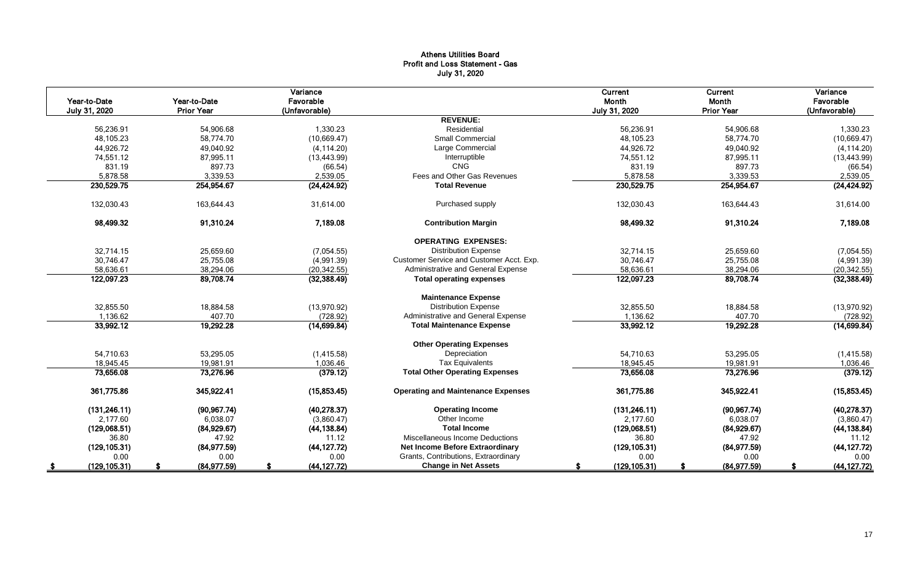# Athens Utilities Board Profit and Loss Statement - Gas July 31, 2020

| Year-to-Date  |               | Year-to-Date      | Variance<br>Favorable |                                           | Current<br>Month | Current<br>Month  | Variance<br>Favorable |
|---------------|---------------|-------------------|-----------------------|-------------------------------------------|------------------|-------------------|-----------------------|
| July 31, 2020 |               | <b>Prior Year</b> | (Unfavorable)         |                                           | July 31, 2020    | <b>Prior Year</b> | (Unfavorable)         |
|               |               |                   |                       | <b>REVENUE:</b>                           |                  |                   |                       |
|               | 56,236.91     | 54,906.68         | 1,330.23              | Residential                               | 56,236.91        | 54,906.68         | 1,330.23              |
|               | 48,105.23     | 58.774.70         | (10,669.47)           | <b>Small Commercial</b>                   | 48.105.23        | 58,774.70         | (10,669.47)           |
|               | 44,926.72     | 49,040.92         | (4, 114.20)           | Large Commercial                          | 44,926.72        | 49,040.92         | (4, 114.20)           |
|               | 74,551.12     | 87,995.11         | (13, 443.99)          | Interruptible                             | 74,551.12        | 87,995.11         | (13, 443.99)          |
|               | 831.19        | 897.73            | (66.54)               | <b>CNG</b>                                | 831.19           | 897.73            | (66.54)               |
|               | 5,878.58      | 3,339.53          | 2,539.05              | Fees and Other Gas Revenues               | 5,878.58         | 3,339.53          | 2,539.05              |
|               | 230,529.75    | 254,954.67        | (24, 424.92)          | <b>Total Revenue</b>                      | 230,529.75       | 254,954.67        | (24, 424.92)          |
|               | 132,030.43    | 163,644.43        | 31,614.00             | Purchased supply                          | 132,030.43       | 163,644.43        | 31,614.00             |
|               | 98,499.32     | 91,310.24         | 7,189.08              | <b>Contribution Margin</b>                | 98,499.32        | 91,310.24         | 7,189.08              |
|               |               |                   |                       | <b>OPERATING EXPENSES:</b>                |                  |                   |                       |
|               | 32,714.15     | 25,659.60         | (7,054.55)            | <b>Distribution Expense</b>               | 32,714.15        | 25,659.60         | (7,054.55)            |
|               | 30,746.47     | 25,755.08         | (4,991.39)            | Customer Service and Customer Acct. Exp.  | 30,746.47        | 25,755.08         | (4,991.39)            |
|               | 58,636.61     | 38,294.06         | (20, 342.55)          | Administrative and General Expense        | 58,636.61        | 38,294.06         | (20, 342.55)          |
|               | 122,097.23    | 89,708.74         | (32, 388.49)          | <b>Total operating expenses</b>           | 122,097.23       | 89,708.74         | (32, 388.49)          |
|               |               |                   |                       | <b>Maintenance Expense</b>                |                  |                   |                       |
|               | 32,855.50     | 18,884.58         | (13,970.92)           | <b>Distribution Expense</b>               | 32,855.50        | 18,884.58         | (13,970.92)           |
|               | 1,136.62      | 407.70            | (728.92)              | Administrative and General Expense        | 1,136.62         | 407.70            | (728.92)              |
|               | 33,992.12     | 19,292.28         | (14, 699.84)          | <b>Total Maintenance Expense</b>          | 33,992.12        | 19,292.28         | (14, 699.84)          |
|               |               |                   |                       | <b>Other Operating Expenses</b>           |                  |                   |                       |
|               | 54,710.63     | 53,295.05         | (1, 415.58)           | Depreciation                              | 54,710.63        | 53,295.05         | (1,415.58)            |
|               | 18,945.45     | 19,981.91         | 1,036.46              | <b>Tax Equivalents</b>                    | 18,945.45        | 19,981.91         | 1,036.46              |
|               | 73,656.08     | 73,276.96         | (379.12)              | <b>Total Other Operating Expenses</b>     | 73,656.08        | 73,276.96         | (379.12)              |
|               | 361,775.86    | 345,922.41        | (15, 853.45)          | <b>Operating and Maintenance Expenses</b> | 361,775.86       | 345,922.41        | (15,853.45)           |
|               | (131, 246.11) | (90, 967.74)      | (40, 278.37)          | <b>Operating Income</b>                   | (131, 246.11)    | (90, 967.74)      | (40, 278.37)          |
|               | 2,177.60      | 6,038.07          | (3,860.47)            | Other Income                              | 2,177.60         | 6,038.07          | (3,860.47)            |
|               | (129,068.51)  | (84,929.67)       | (44, 138.84)          | <b>Total Income</b>                       | (129,068.51)     | (84, 929.67)      | (44, 138.84)          |
|               | 36.80         | 47.92             | 11.12                 | Miscellaneous Income Deductions           | 36.80            | 47.92             | 11.12                 |
|               | (129, 105.31) | (84, 977.59)      | (44, 127.72)          | <b>Net Income Before Extraordinary</b>    | (129, 105.31)    | (84, 977.59)      | (44, 127.72)          |
|               | 0.00          | 0.00              | 0.00                  | Grants, Contributions, Extraordinary      | 0.00             | 0.00              | 0.00                  |
| - 56          | (129, 105.31) | (84,977.59)       | (44, 127.72)          | <b>Change in Net Assets</b>               | (129, 105.31)    | (84, 977.59)      | (44, 127.72)          |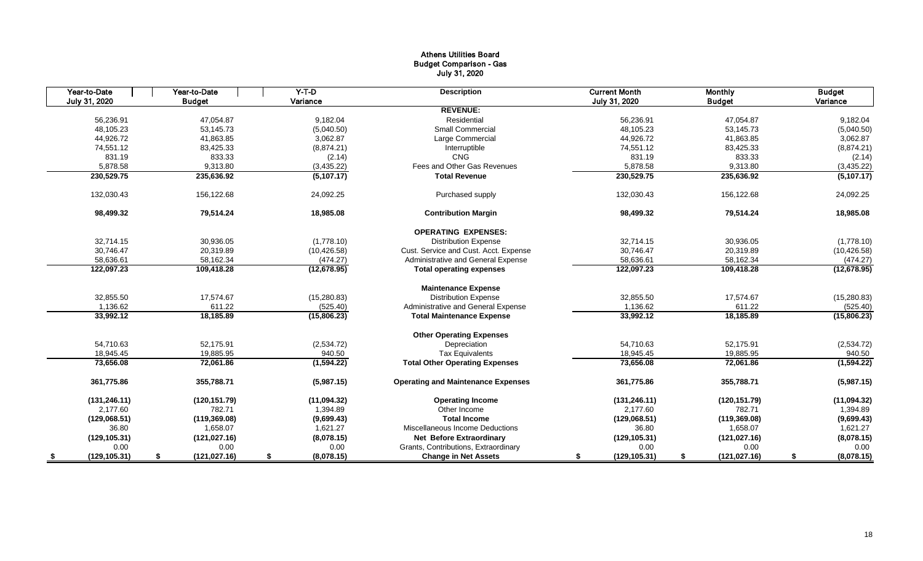# Athens Utilities Board Budget Comparison - Gas July 31, 2020

| Year-to-Date  | Year-to-Date        | $Y-T-D$          | <b>Description</b>                        | <b>Current Month</b> | <b>Monthly</b>      | <b>Budget</b>    |
|---------------|---------------------|------------------|-------------------------------------------|----------------------|---------------------|------------------|
| July 31, 2020 | <b>Budget</b>       | Variance         |                                           | July 31, 2020        | <b>Budget</b>       | Variance         |
|               |                     |                  | <b>REVENUE:</b>                           |                      |                     |                  |
| 56.236.91     | 47,054.87           | 9,182.04         | Residential                               | 56.236.91            | 47,054.87           | 9,182.04         |
| 48,105.23     | 53,145.73           | (5,040.50)       | <b>Small Commercial</b>                   | 48,105.23            | 53,145.73           | (5,040.50)       |
| 44,926.72     | 41.863.85           | 3.062.87         | Large Commercial                          | 44,926.72            | 41,863.85           | 3,062.87         |
| 74,551.12     | 83,425.33           | (8,874.21)       | Interruptible                             | 74,551.12            | 83,425.33           | (8,874.21)       |
| 831.19        | 833.33              | (2.14)           | CNG                                       | 831.19               | 833.33              | (2.14)           |
| 5,878.58      | 9,313.80            | (3,435.22)       | Fees and Other Gas Revenues               | 5,878.58             | 9,313.80            | (3,435.22)       |
| 230,529.75    | 235,636.92          | (5,107.17)       | <b>Total Revenue</b>                      | 230,529.75           | 235,636.92          | (5,107.17)       |
| 132,030.43    | 156,122.68          | 24,092.25        | Purchased supply                          | 132,030.43           | 156,122.68          | 24,092.25        |
| 98,499.32     | 79,514.24           | 18,985.08        | <b>Contribution Margin</b>                | 98,499.32            | 79,514.24           | 18,985.08        |
|               |                     |                  | <b>OPERATING EXPENSES:</b>                |                      |                     |                  |
| 32,714.15     | 30,936.05           | (1,778.10)       | <b>Distribution Expense</b>               | 32,714.15            | 30,936.05           | (1,778.10)       |
| 30.746.47     | 20,319.89           | (10, 426.58)     | Cust. Service and Cust. Acct. Expense     | 30.746.47            | 20,319.89           | (10, 426.58)     |
| 58,636.61     | 58,162.34           | (474.27)         | Administrative and General Expense        | 58,636.61            | 58,162.34           | (474.27)         |
| 122,097.23    | 109,418.28          | (12, 678.95)     | <b>Total operating expenses</b>           | 122,097.23           | 109,418.28          | (12, 678.95)     |
|               |                     |                  | <b>Maintenance Expense</b>                |                      |                     |                  |
| 32,855.50     | 17,574.67           | (15, 280.83)     | <b>Distribution Expense</b>               | 32,855.50            | 17,574.67           | (15,280.83)      |
| 1.136.62      | 611.22              | (525.40)         | Administrative and General Expense        | 1,136.62             | 611.22              | (525.40)         |
| 33,992.12     | 18,185.89           | (15,806.23)      | <b>Total Maintenance Expense</b>          | 33,992.12            | 18,185.89           | (15,806.23)      |
|               |                     |                  | <b>Other Operating Expenses</b>           |                      |                     |                  |
| 54.710.63     | 52.175.91           | (2,534.72)       | Depreciation                              | 54.710.63            | 52,175.91           | (2,534.72)       |
| 18,945.45     | 19,885.95           | 940.50           | <b>Tax Equivalents</b>                    | 18,945.45            | 19,885.95           | 940.50           |
| 73,656.08     | 72,061.86           | (1,594.22)       | <b>Total Other Operating Expenses</b>     | 73,656.08            | 72,061.86           | (1, 594.22)      |
| 361,775.86    | 355.788.71          | (5,987.15)       | <b>Operating and Maintenance Expenses</b> | 361.775.86           | 355.788.71          | (5,987.15)       |
| (131, 246.11) | (120, 151.79)       | (11,094.32)      | <b>Operating Income</b>                   | (131, 246.11)        | (120, 151.79)       | (11,094.32)      |
| 2,177.60      | 782.71              | 1,394.89         | Other Income                              | 2,177.60             | 782.71              | 1,394.89         |
| (129,068.51)  | (119, 369.08)       | (9,699.43)       | <b>Total Income</b>                       | (129,068.51)         | (119, 369.08)       | (9,699.43)       |
| 36.80         | 1,658.07            | 1,621.27         | Miscellaneous Income Deductions           | 36.80                | 1,658.07            | 1,621.27         |
| (129, 105.31) | (121, 027.16)       | (8,078.15)       | <b>Net Before Extraordinary</b>           | (129, 105.31)        | (121, 027.16)       | (8,078.15)       |
| 0.00          | 0.00                | 0.00             | Grants, Contributions, Extraordinary      | 0.00                 | 0.00                | 0.00             |
| (129, 105.31) | \$<br>(121, 027.16) | (8,078.15)<br>\$ | <b>Change in Net Assets</b>               | (129, 105.31)<br>S   | (121, 027.16)<br>\$ | (8,078.15)<br>\$ |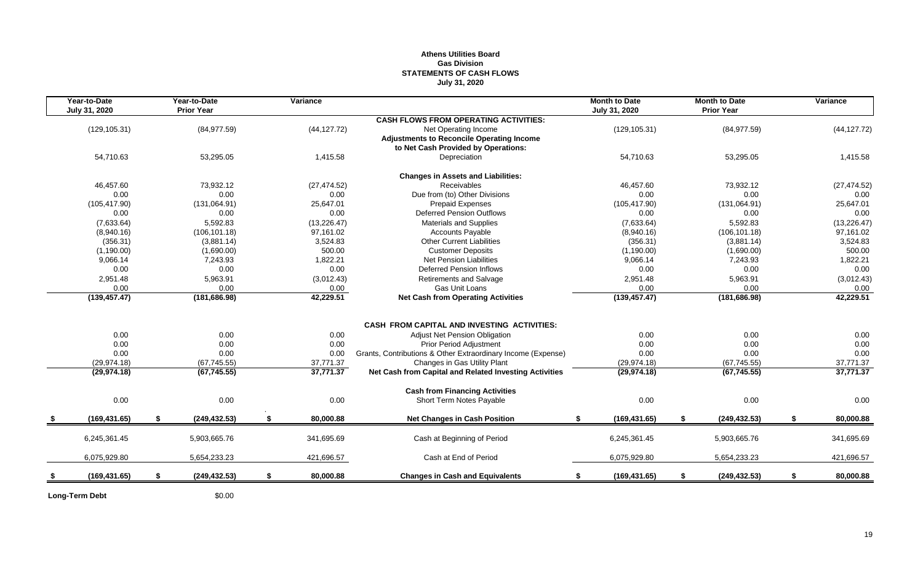# **Athens Utilities Board Gas Division STATEMENTS OF CASH FLOWS July 31, 2020**

| Year-to-Date<br>July 31, 2020 | Year-to-Date<br><b>Prior Year</b> | Variance        |                                                              | <b>Month to Date</b><br>July 31, 2020 | <b>Month to Date</b><br><b>Prior Year</b> | Variance        |
|-------------------------------|-----------------------------------|-----------------|--------------------------------------------------------------|---------------------------------------|-------------------------------------------|-----------------|
|                               |                                   |                 | <b>CASH FLOWS FROM OPERATING ACTIVITIES:</b>                 |                                       |                                           |                 |
| (129, 105.31)                 | (84, 977.59)                      | (44, 127.72)    | Net Operating Income                                         | (129, 105.31)                         | (84, 977.59)                              | (44, 127.72)    |
|                               |                                   |                 | <b>Adjustments to Reconcile Operating Income</b>             |                                       |                                           |                 |
|                               |                                   |                 | to Net Cash Provided by Operations:                          |                                       |                                           |                 |
| 54,710.63                     | 53,295.05                         | 1,415.58        | Depreciation                                                 | 54,710.63                             | 53,295.05                                 | 1,415.58        |
|                               |                                   |                 | <b>Changes in Assets and Liabilities:</b>                    |                                       |                                           |                 |
| 46,457.60                     | 73,932.12                         | (27, 474.52)    | Receivables                                                  | 46.457.60                             | 73,932.12                                 | (27, 474.52)    |
| 0.00                          | 0.00                              | 0.00            | Due from (to) Other Divisions                                | 0.00                                  | 0.00                                      | 0.00            |
| (105, 417.90)                 | (131,064.91)                      | 25.647.01       | <b>Prepaid Expenses</b>                                      | (105, 417.90)                         | (131,064.91)                              | 25,647.01       |
| 0.00                          | 0.00                              | 0.00            | Deferred Pension Outflows                                    | 0.00                                  | 0.00                                      | 0.00            |
| (7,633.64)                    | 5,592.83                          | (13, 226.47)    | <b>Materials and Supplies</b>                                | (7,633.64)                            | 5,592.83                                  | (13, 226.47)    |
| (8,940.16)                    | (106, 101.18)                     | 97,161.02       | <b>Accounts Payable</b>                                      | (8,940.16)                            | (106, 101.18)                             | 97,161.02       |
| (356.31)                      | (3,881.14)                        | 3,524.83        | <b>Other Current Liabilities</b>                             | (356.31)                              | (3,881.14)                                | 3,524.83        |
| (1,190.00)                    | (1,690.00)                        | 500.00          | <b>Customer Deposits</b>                                     | (1, 190.00)                           | (1,690.00)                                | 500.00          |
| 9,066.14                      | 7,243.93                          | 1,822.21        | <b>Net Pension Liabilities</b>                               | 9,066.14                              | 7,243.93                                  | 1,822.21        |
| 0.00                          | 0.00                              | 0.00            | <b>Deferred Pension Inflows</b>                              | 0.00                                  | 0.00                                      | 0.00            |
| 2,951.48                      | 5,963.91                          | (3,012.43)      | <b>Retirements and Salvage</b>                               | 2,951.48                              | 5,963.91                                  | (3,012.43)      |
| 0.00                          | 0.00                              | 0.00            | Gas Unit Loans                                               | 0.00                                  | 0.00                                      | 0.00            |
| (139, 457.47)                 | (181, 686.98)                     | 42,229.51       | <b>Net Cash from Operating Activities</b>                    | (139, 457.47)                         | (181, 686.98)                             | 42,229.51       |
|                               |                                   |                 |                                                              |                                       |                                           |                 |
|                               |                                   |                 | <b>CASH FROM CAPITAL AND INVESTING ACTIVITIES:</b>           |                                       |                                           |                 |
| 0.00                          | 0.00                              | 0.00            | Adjust Net Pension Obligation                                | 0.00                                  | 0.00                                      | 0.00            |
| 0.00                          | 0.00                              | 0.00            | Prior Period Adjustment                                      | 0.00                                  | 0.00                                      | 0.00            |
| 0.00                          | 0.00                              | 0.00            | Grants, Contributions & Other Extraordinary Income (Expense) | 0.00                                  | 0.00                                      | 0.00            |
| (29, 974.18)                  | (67, 745.55)                      | 37,771.37       | Changes in Gas Utility Plant                                 | (29, 974.18)                          | (67, 745.55)                              | 37,771.37       |
| (29, 974.18)                  | (67, 745.55)                      | 37,771.37       | Net Cash from Capital and Related Investing Activities       | (29, 974.18)                          | (67, 745.55)                              | 37,771.37       |
|                               |                                   |                 | <b>Cash from Financing Activities</b>                        |                                       |                                           |                 |
| 0.00                          | 0.00                              | 0.00            | Short Term Notes Payable                                     | 0.00                                  | 0.00                                      | 0.00            |
| (169, 431.65)                 | \$<br>(249, 432.53)               | \$<br>80,000.88 | <b>Net Changes in Cash Position</b>                          | (169, 431.65)<br>\$                   | \$<br>(249, 432.53)                       | \$<br>80,000.88 |
|                               |                                   |                 |                                                              |                                       |                                           |                 |
| 6,245,361.45                  | 5,903,665.76                      | 341,695.69      | Cash at Beginning of Period                                  | 6,245,361.45                          | 5,903,665.76                              | 341,695.69      |
| 6,075,929.80                  | 5,654,233.23                      | 421,696.57      | Cash at End of Period                                        | 6,075,929.80                          | 5,654,233.23                              | 421,696.57      |
| (169, 431.65)                 | \$<br>(249, 432.53)               | \$<br>80,000.88 | <b>Changes in Cash and Equivalents</b>                       | (169, 431.65)<br>\$                   | \$<br>(249, 432.53)                       | \$<br>80,000.88 |
|                               |                                   |                 |                                                              |                                       |                                           |                 |

**Long-Term Debt** \$0.00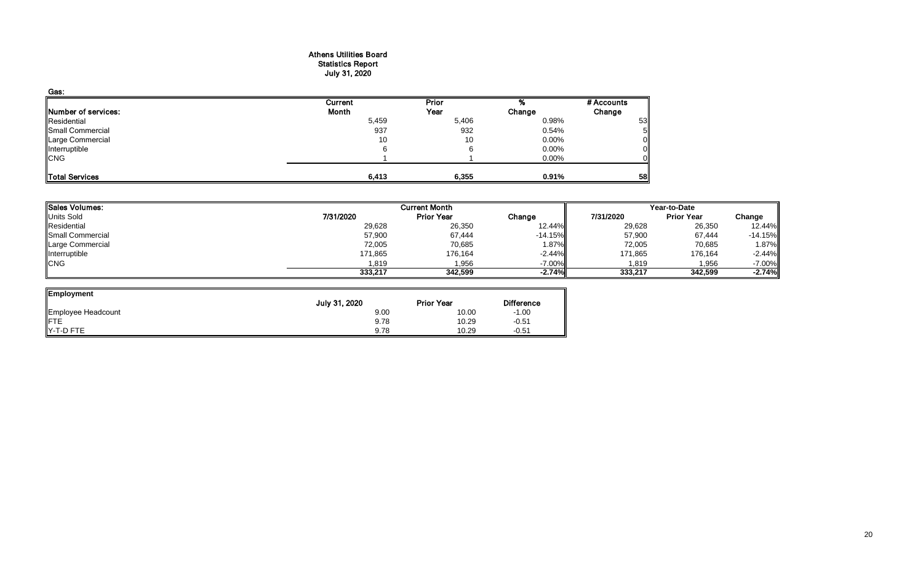#### Athens Utilities Board Statistics Report July 31, 2020

| Gas:                |         |              |          |            |
|---------------------|---------|--------------|----------|------------|
|                     | Current | <b>Prior</b> |          | # Accounts |
| Number of services: | Month   | Year         | Change   | Change     |
| Residential         | 5,459   | 5,406        | 0.98%    | 53         |
| Small Commercial    | 937     | 932          | 0.54%    |            |
| Large Commercial    | 10      | 10           | $0.00\%$ |            |
| Interruptible       | 6       |              | 0.00%    |            |
| <b>CNG</b>          |         |              | 0.00%    |            |
|                     |         |              |          |            |
| Total Services      | 6,413   | 6,355        | 0.91%    | 58         |

| <b>Sales Volumes:</b> |           | <b>Current Month</b> |           | Year-to-Date |                   |           |  |
|-----------------------|-----------|----------------------|-----------|--------------|-------------------|-----------|--|
| <b>Units Sold</b>     | 7/31/2020 | <b>Prior Year</b>    | Change    | 7/31/2020    | <b>Prior Year</b> | Change    |  |
| Residential           | 29,628    | 26,350               | 12.44%    | 29,628       | 26,350            | 12.44%    |  |
| Small Commercial      | 57,900    | 67,444               | $-14.15%$ | 57,900       | 67,444            | $-14.15%$ |  |
| Large Commercial      | 72,005    | 70,685               | 1.87%     | 72,005       | 70,685            | 1.87%     |  |
| Interruptible         | 171,865   | 176,164              | $-2.44\%$ | 171,865      | 176,164           | $-2.44%$  |  |
| <b>CNG</b>            | 1,819     | 1,956                | $-7.00\%$ | 819.ا        | 1,956             | $-7.00%$  |  |
|                       | 333,217   | 342.599              | $-2.74%$  | 333,217      | 342,599           | $-2.74%$  |  |

ᆜ

| Employment         |               |                   |                   |
|--------------------|---------------|-------------------|-------------------|
|                    | July 31, 2020 | <b>Prior Year</b> | <b>Difference</b> |
| Employee Headcount | 9.00          | 10.00             | $-1.00$           |
| ∦FTE               | 9.78          | 10.29             | $-0.51$           |
| Y-T-D FTE          | 9.78          | 10.29             | $-0.51$           |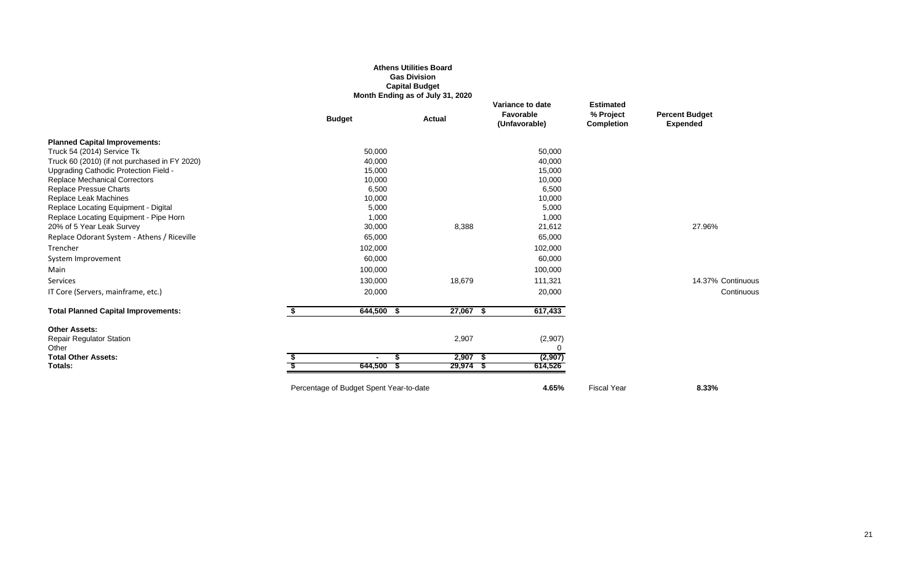## **Athens Utilities Board Gas Division Capital Budget Month Ending as of July 31, 2020**

|                                               | <b>Budget</b>                           | <b>Actual</b> | Variance to date<br>Favorable<br>(Unfavorable) | <b>Estimated</b><br>% Project<br><b>Completion</b> | <b>Percent Budget</b><br><b>Expended</b> |
|-----------------------------------------------|-----------------------------------------|---------------|------------------------------------------------|----------------------------------------------------|------------------------------------------|
| <b>Planned Capital Improvements:</b>          |                                         |               |                                                |                                                    |                                          |
| Truck 54 (2014) Service Tk                    | 50,000                                  |               | 50,000                                         |                                                    |                                          |
| Truck 60 (2010) (if not purchased in FY 2020) | 40,000                                  |               | 40,000                                         |                                                    |                                          |
| Upgrading Cathodic Protection Field -         | 15,000                                  |               | 15,000                                         |                                                    |                                          |
| <b>Replace Mechanical Correctors</b>          | 10,000                                  |               | 10,000                                         |                                                    |                                          |
| Replace Pressue Charts                        | 6,500                                   |               | 6,500                                          |                                                    |                                          |
| Replace Leak Machines                         | 10,000                                  |               | 10,000                                         |                                                    |                                          |
| Replace Locating Equipment - Digital          | 5,000                                   |               | 5,000                                          |                                                    |                                          |
| Replace Locating Equipment - Pipe Horn        | 1,000                                   |               | 1,000                                          |                                                    |                                          |
| 20% of 5 Year Leak Survey                     | 30,000                                  | 8,388         | 21,612                                         |                                                    | 27.96%                                   |
| Replace Odorant System - Athens / Riceville   | 65,000                                  |               | 65,000                                         |                                                    |                                          |
| Trencher                                      | 102,000                                 |               | 102,000                                        |                                                    |                                          |
| System Improvement                            | 60,000                                  |               | 60,000                                         |                                                    |                                          |
| Main                                          | 100,000                                 |               | 100,000                                        |                                                    |                                          |
| Services                                      | 130,000                                 | 18,679        | 111,321                                        |                                                    | 14.37% Continuous                        |
| IT Core (Servers, mainframe, etc.)            | 20,000                                  |               | 20,000                                         |                                                    | Continuous                               |
| <b>Total Planned Capital Improvements:</b>    | $644,500$ \$                            | 27,067 \$     | 617,433                                        |                                                    |                                          |
| <b>Other Assets:</b>                          |                                         |               |                                                |                                                    |                                          |
| <b>Repair Regulator Station</b>               |                                         | 2,907         | (2,907)                                        |                                                    |                                          |
| Other                                         |                                         |               |                                                |                                                    |                                          |
| <b>Total Other Assets:</b>                    | £.<br>$\blacksquare$                    | $2,907$ \$    | (2,907)                                        |                                                    |                                          |
| Totals:                                       | 644,500 \$                              | $29,974$ \$   | 614,526                                        |                                                    |                                          |
|                                               | Percentage of Budget Spent Year-to-date |               | 4.65%                                          | <b>Fiscal Year</b>                                 | 8.33%                                    |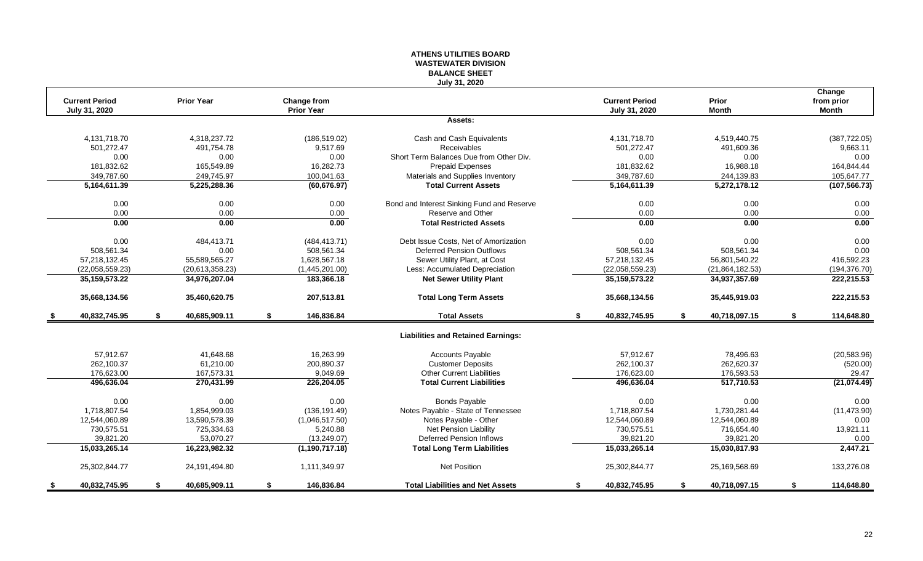## **ATHENS UTILITIES BOARD WASTEWATER DIVISION BALANCE SHEET July 31, 2020**

|      | <b>Current Period</b> | <b>Prior Year</b>   | Change from       |                                            | <b>Current Period</b> | Prior               | Change<br>from prior |
|------|-----------------------|---------------------|-------------------|--------------------------------------------|-----------------------|---------------------|----------------------|
|      | July 31, 2020         |                     | <b>Prior Year</b> |                                            | July 31, 2020         | <b>Month</b>        | <b>Month</b>         |
|      |                       |                     |                   | Assets:                                    |                       |                     |                      |
|      | 4,131,718.70          | 4,318,237.72        | (186, 519.02)     | Cash and Cash Equivalents                  | 4,131,718.70          | 4,519,440.75        | (387, 722.05)        |
|      | 501,272.47            | 491,754.78          | 9,517.69          | Receivables                                | 501,272.47            | 491,609.36          | 9,663.11             |
|      | 0.00                  | 0.00                | 0.00              | Short Term Balances Due from Other Div.    | 0.00                  | 0.00                | 0.00                 |
|      | 181,832.62            | 165.549.89          | 16.282.73         | <b>Prepaid Expenses</b>                    | 181,832.62            | 16,988.18           | 164,844.44           |
|      | 349,787.60            | 249,745.97          | 100,041.63        | Materials and Supplies Inventory           | 349,787.60            | 244,139.83          | 105,647.77           |
|      | 5,164,611.39          | 5,225,288.36        | (60, 676.97)      | <b>Total Current Assets</b>                | 5,164,611.39          | 5,272,178.12        | (107, 566.73)        |
|      | 0.00                  | 0.00                | 0.00              | Bond and Interest Sinking Fund and Reserve | 0.00                  | 0.00                | 0.00                 |
|      | 0.00                  | 0.00                | 0.00              | Reserve and Other                          | 0.00                  | 0.00                | 0.00                 |
|      | 0.00                  | 0.00                | 0.00              | <b>Total Restricted Assets</b>             | 0.00                  | 0.00                | 0.00                 |
|      | 0.00                  | 484,413.71          | (484, 413.71)     | Debt Issue Costs, Net of Amortization      | 0.00                  | 0.00                | 0.00                 |
|      | 508,561.34            | 0.00                | 508,561.34        | <b>Deferred Pension Outflows</b>           | 508,561.34            | 508,561.34          | 0.00                 |
|      | 57,218,132.45         | 55,589,565.27       | 1,628,567.18      | Sewer Utility Plant, at Cost               | 57,218,132.45         | 56,801,540.22       | 416,592.23           |
|      | (22,058,559.23)       | (20,613,358.23)     | (1,445,201.00)    | Less: Accumulated Depreciation             | (22,058,559.23)       | (21, 864, 182.53)   | (194, 376.70)        |
|      | 35, 159, 573. 22      | 34,976,207.04       | 183,366.18        | <b>Net Sewer Utility Plant</b>             | 35, 159, 573. 22      | 34,937,357.69       | 222,215.53           |
|      | 35,668,134.56         | 35,460,620.75       | 207,513.81        | <b>Total Long Term Assets</b>              | 35,668,134.56         | 35,445,919.03       | 222,215.53           |
| - \$ | 40,832,745.95         | \$<br>40,685,909.11 | \$<br>146,836.84  | <b>Total Assets</b>                        | \$<br>40,832,745.95   | \$<br>40,718,097.15 | \$<br>114,648.80     |
|      |                       |                     |                   | <b>Liabilities and Retained Earnings:</b>  |                       |                     |                      |
|      | 57,912.67             | 41,648.68           | 16,263.99         | <b>Accounts Payable</b>                    | 57,912.67             | 78,496.63           | (20, 583.96)         |
|      | 262,100.37            | 61,210.00           | 200,890.37        | <b>Customer Deposits</b>                   | 262,100.37            | 262,620.37          | (520.00)             |
|      | 176,623.00            | 167,573.31          | 9,049.69          | <b>Other Current Liabilities</b>           | 176,623.00            | 176,593.53          | 29.47                |
|      | 496.636.04            | 270,431.99          | 226,204.05        | <b>Total Current Liabilities</b>           | 496,636.04            | 517,710.53          | (21,074.49)          |
|      | 0.00                  | 0.00                | 0.00              | <b>Bonds Payable</b>                       | 0.00                  | 0.00                | 0.00                 |
|      | 1,718,807.54          | 1,854,999.03        | (136, 191.49)     | Notes Payable - State of Tennessee         | 1,718,807.54          | 1,730,281.44        | (11, 473.90)         |
|      | 12,544,060.89         | 13,590,578.39       | (1,046,517.50)    | Notes Payable - Other                      | 12,544,060.89         | 12,544,060.89       | 0.00                 |
|      | 730,575.51            | 725,334.63          | 5,240.88          | <b>Net Pension Liability</b>               | 730,575.51            | 716,654.40          | 13,921.11            |
|      | 39,821.20             | 53.070.27           | (13, 249.07)      | <b>Deferred Pension Inflows</b>            | 39.821.20             | 39,821.20           | 0.00                 |
|      | 15,033,265.14         | 16,223,982.32       | (1, 190, 717.18)  | <b>Total Long Term Liabilities</b>         | 15,033,265.14         | 15,030,817.93       | 2,447.21             |
|      | 25,302,844.77         | 24,191,494.80       | 1,111,349.97      | Net Position                               | 25,302,844.77         | 25,169,568.69       | 133,276.08           |
|      | 40,832,745.95         | \$<br>40,685,909.11 | \$<br>146,836.84  | <b>Total Liabilities and Net Assets</b>    | \$<br>40,832,745.95   | \$<br>40,718,097.15 | \$<br>114,648.80     |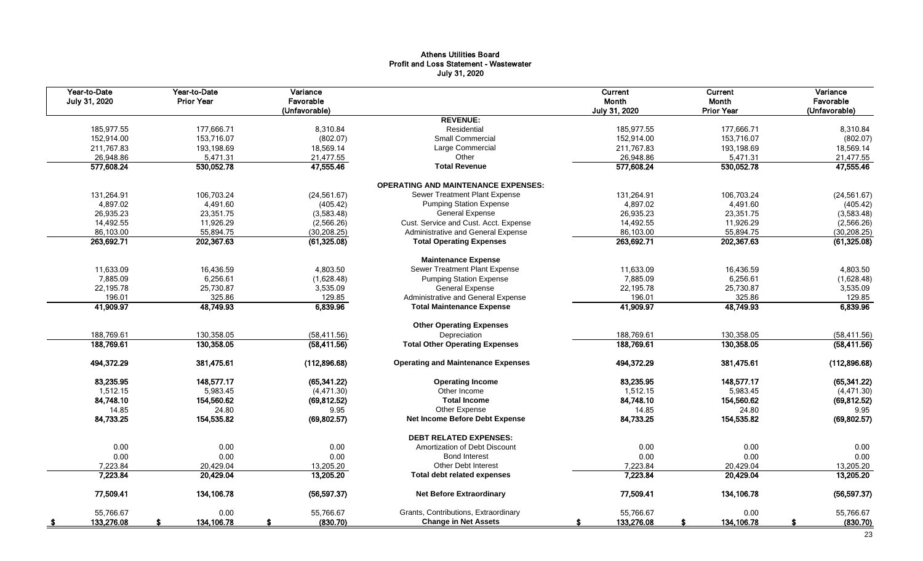# Athens Utilities Board Profit and Loss Statement - Wastewater July 31, 2020

| Year-to-Date<br>July 31, 2020 | Year-to-Date<br><b>Prior Year</b> | Variance<br>Favorable<br>(Unfavorable) |                                            | Current<br>Month<br>July 31, 2020 | Current<br>Month<br><b>Prior Year</b> | Variance<br>Favorable<br>(Unfavorable) |
|-------------------------------|-----------------------------------|----------------------------------------|--------------------------------------------|-----------------------------------|---------------------------------------|----------------------------------------|
|                               |                                   |                                        | <b>REVENUE:</b>                            |                                   |                                       |                                        |
| 185.977.55                    | 177.666.71                        | 8,310.84                               | Residential                                | 185,977.55                        | 177,666.71                            | 8,310.84                               |
| 152,914.00                    | 153,716.07                        | (802.07)                               | Small Commercial                           | 152,914.00                        | 153,716.07                            | (802.07)                               |
| 211,767.83                    | 193,198.69                        | 18,569.14                              | Large Commercial                           | 211,767.83                        | 193,198.69                            | 18,569.14                              |
| 26,948.86                     | 5,471.31                          | 21,477.55                              | Other                                      | 26,948.86                         | 5,471.31                              | 21,477.55                              |
| 577,608.24                    | 530,052.78                        | 47,555.46                              | <b>Total Revenue</b>                       | 577,608.24                        | 530,052.78                            | 47,555.46                              |
|                               |                                   |                                        | <b>OPERATING AND MAINTENANCE EXPENSES:</b> |                                   |                                       |                                        |
| 131,264.91                    | 106,703.24                        | (24, 561.67)                           | Sewer Treatment Plant Expense              | 131,264.91                        | 106,703.24                            | (24, 561.67)                           |
| 4,897.02                      | 4,491.60                          | (405.42)                               | <b>Pumping Station Expense</b>             | 4,897.02                          | 4,491.60                              | (405.42)                               |
| 26,935.23                     | 23,351.75                         | (3,583.48)                             | <b>General Expense</b>                     | 26,935.23                         | 23,351.75                             | (3,583.48)                             |
| 14,492.55                     | 11,926.29                         | (2,566.26)                             | Cust. Service and Cust. Acct. Expense      | 14,492.55                         | 11,926.29                             | (2,566.26)                             |
| 86,103.00                     | 55,894.75                         | (30, 208.25)                           | Administrative and General Expense         | 86,103.00                         | 55,894.75                             | (30, 208.25)                           |
| 263,692.71                    | 202,367.63                        | (61, 325.08)                           | <b>Total Operating Expenses</b>            | 263,692.71                        | 202,367.63                            | (61, 325.08)                           |
|                               |                                   |                                        | <b>Maintenance Expense</b>                 |                                   |                                       |                                        |
| 11,633.09                     | 16,436.59                         | 4,803.50                               | Sewer Treatment Plant Expense              | 11,633.09                         | 16,436.59                             | 4,803.50                               |
| 7,885.09                      | 6,256.61                          | (1,628.48)                             | <b>Pumping Station Expense</b>             | 7,885.09                          | 6,256.61                              | (1,628.48)                             |
| 22,195.78                     | 25,730.87                         | 3,535.09                               | <b>General Expense</b>                     | 22,195.78                         | 25,730.87                             | 3,535.09                               |
| 196.01                        | 325.86                            | 129.85                                 | Administrative and General Expense         | 196.01                            | 325.86                                | 129.85                                 |
| 41,909.97                     | 48,749.93                         | 6,839.96                               | <b>Total Maintenance Expense</b>           | 41,909.97                         | 48,749.93                             | 6,839.96                               |
|                               |                                   |                                        | <b>Other Operating Expenses</b>            |                                   |                                       |                                        |
| 188,769.61                    | 130,358.05                        | (58, 411.56)                           | Depreciation                               | 188,769.61                        | 130,358.05                            | (58, 411.56)                           |
| 188,769.61                    | 130,358.05                        | (58, 411.56)                           | <b>Total Other Operating Expenses</b>      | 188,769.61                        | 130,358.05                            | (58, 411.56)                           |
| 494,372.29                    | 381,475.61                        | (112,896.68)                           | <b>Operating and Maintenance Expenses</b>  | 494,372.29                        | 381,475.61                            | (112,896.68)                           |
| 83,235.95                     | 148,577.17                        | (65, 341.22)                           | <b>Operating Income</b>                    | 83,235.95                         | 148,577.17                            | (65, 341.22)                           |
| 1,512.15                      | 5,983.45                          | (4, 471.30)                            | Other Income                               | 1,512.15                          | 5,983.45                              | (4, 471.30)                            |
| 84,748.10                     | 154,560.62                        | (69, 812.52)                           | <b>Total Income</b>                        | 84,748.10                         | 154,560.62                            | (69, 812.52)                           |
| 14.85                         | 24.80                             | 9.95                                   | Other Expense                              | 14.85                             | 24.80                                 | 9.95                                   |
| 84,733.25                     | 154,535.82                        | (69, 802.57)                           | Net Income Before Debt Expense             | 84,733.25                         | 154,535.82                            | (69, 802.57)                           |
|                               |                                   |                                        | <b>DEBT RELATED EXPENSES:</b>              |                                   |                                       |                                        |
| 0.00                          | 0.00                              | 0.00                                   | Amortization of Debt Discount              | 0.00                              | 0.00                                  | 0.00                                   |
| 0.00                          | 0.00                              | 0.00                                   | <b>Bond Interest</b>                       | 0.00                              | 0.00                                  | 0.00                                   |
| 7,223.84                      | 20.429.04                         | 13,205.20                              | Other Debt Interest                        | 7,223.84                          | 20,429.04                             | 13,205.20                              |
| 7,223.84                      | 20,429.04                         | 13,205.20                              | Total debt related expenses                | 7,223.84                          | 20,429.04                             | 13,205.20                              |
| 77,509.41                     | 134,106.78                        | (56, 597.37)                           | <b>Net Before Extraordinary</b>            | 77,509.41                         | 134,106.78                            | (56, 597.37)                           |
| 55,766.67                     | 0.00                              | 55,766.67                              | Grants, Contributions, Extraordinary       | 55,766.67                         | 0.00                                  | 55,766.67                              |
| 133,276.08<br>- \$            | 134,106.78                        | (830.70)                               | <b>Change in Net Assets</b>                | 133,276.08                        | 134,106.78                            | (830.70)                               |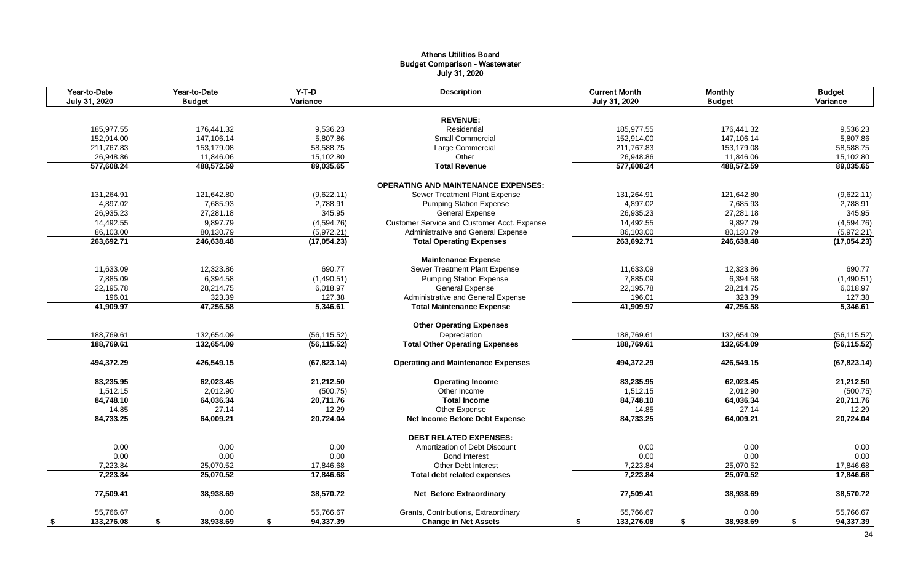# Athens Utilities Board Budget Comparison - Wastewater July 31, 2020

| Year-to-Date<br>July 31, 2020 |            | Year-to-Date<br><b>Budget</b> | $Y-T-D$<br>Variance | <b>Description</b>                          | <b>Current Month</b><br>July 31, 2020 | <b>Monthly</b><br><b>Budget</b> | <b>Budget</b><br>Variance |
|-------------------------------|------------|-------------------------------|---------------------|---------------------------------------------|---------------------------------------|---------------------------------|---------------------------|
|                               |            |                               |                     | <b>REVENUE:</b>                             |                                       |                                 |                           |
|                               |            |                               |                     | Residential                                 |                                       |                                 |                           |
|                               | 185,977.55 | 176,441.32                    | 9,536.23            | Small Commercial                            | 185,977.55                            | 176,441.32                      | 9,536.23                  |
|                               | 152,914.00 | 147,106.14                    | 5,807.86            |                                             | 152,914.00                            | 147,106.14                      | 5,807.86                  |
|                               | 211,767.83 | 153,179.08                    | 58,588.75           | Large Commercial                            | 211,767.83                            | 153,179.08                      | 58,588.75                 |
|                               | 26,948.86  | 11,846.06                     | 15,102.80           | Other                                       | 26,948.86                             | 11,846.06                       | 15,102.80                 |
|                               | 577,608.24 | 488,572.59                    | 89,035.65           | <b>Total Revenue</b>                        | 577,608.24                            | 488,572.59                      | 89,035.65                 |
|                               |            |                               |                     | <b>OPERATING AND MAINTENANCE EXPENSES:</b>  |                                       |                                 |                           |
|                               | 131,264.91 | 121,642.80                    | (9,622.11)          | Sewer Treatment Plant Expense               | 131,264.91                            | 121,642.80                      | (9,622.11)                |
|                               | 4,897.02   | 7,685.93                      | 2,788.91            | <b>Pumping Station Expense</b>              | 4,897.02                              | 7,685.93                        | 2,788.91                  |
|                               | 26,935.23  | 27,281.18                     | 345.95              | <b>General Expense</b>                      | 26,935.23                             | 27,281.18                       | 345.95                    |
|                               | 14,492.55  | 9,897.79                      | (4,594.76)          | Customer Service and Customer Acct. Expense | 14,492.55                             | 9,897.79                        | (4,594.76)                |
|                               | 86,103.00  | 80,130.79                     | (5,972.21)          | Administrative and General Expense          | 86,103.00                             | 80,130.79                       | (5,972.21)                |
|                               | 263,692.71 | 246,638.48                    | (17,054.23)         | <b>Total Operating Expenses</b>             | 263,692.71                            | 246,638.48                      | (17,054.23)               |
|                               |            |                               |                     | <b>Maintenance Expense</b>                  |                                       |                                 |                           |
|                               | 11,633.09  | 12,323.86                     | 690.77              | Sewer Treatment Plant Expense               | 11,633.09                             | 12,323.86                       | 690.77                    |
|                               | 7,885.09   | 6,394.58                      | (1,490.51)          | <b>Pumping Station Expense</b>              | 7,885.09                              | 6,394.58                        | (1,490.51)                |
|                               | 22,195.78  | 28,214.75                     | 6,018.97            | <b>General Expense</b>                      | 22,195.78                             | 28,214.75                       | 6,018.97                  |
|                               | 196.01     | 323.39                        | 127.38              | Administrative and General Expense          | 196.01                                | 323.39                          | 127.38                    |
|                               | 41,909.97  | 47,256.58                     | 5,346.61            | <b>Total Maintenance Expense</b>            | 41,909.97                             | 47,256.58                       | 5,346.61                  |
|                               |            |                               |                     |                                             |                                       |                                 |                           |
|                               |            |                               |                     | <b>Other Operating Expenses</b>             |                                       |                                 |                           |
|                               | 188,769.61 | 132,654.09                    | (56, 115.52)        | Depreciation                                | 188,769.61                            | 132,654.09                      | (56, 115.52)              |
|                               | 188,769.61 | 132,654.09                    | (56, 115.52)        | <b>Total Other Operating Expenses</b>       | 188,769.61                            | 132,654.09                      | (56, 115.52)              |
|                               | 494,372.29 | 426,549.15                    | (67, 823.14)        | <b>Operating and Maintenance Expenses</b>   | 494,372.29                            | 426,549.15                      | (67, 823.14)              |
|                               | 83,235.95  | 62,023.45                     | 21,212.50           | <b>Operating Income</b>                     | 83,235.95                             | 62,023.45                       | 21,212.50                 |
|                               | 1,512.15   | 2,012.90                      | (500.75)            | Other Income                                | 1,512.15                              | 2,012.90                        | (500.75)                  |
|                               | 84,748.10  | 64,036.34                     | 20,711.76           | <b>Total Income</b>                         | 84,748.10                             | 64,036.34                       | 20,711.76                 |
|                               | 14.85      | 27.14                         | 12.29               | Other Expense                               | 14.85                                 | 27.14                           | 12.29                     |
|                               | 84,733.25  | 64,009.21                     | 20,724.04           | <b>Net Income Before Debt Expense</b>       | 84,733.25                             | 64,009.21                       | 20,724.04                 |
|                               |            |                               |                     | <b>DEBT RELATED EXPENSES:</b>               |                                       |                                 |                           |
|                               | 0.00       | 0.00                          | 0.00                | Amortization of Debt Discount               | 0.00                                  | 0.00                            | 0.00                      |
|                               | 0.00       | 0.00                          | 0.00                | <b>Bond Interest</b>                        | 0.00                                  | 0.00                            | 0.00                      |
|                               | 7,223.84   | 25,070.52                     | 17,846.68           | <b>Other Debt Interest</b>                  | 7,223.84                              | 25,070.52                       | 17,846.68                 |
|                               | 7,223.84   | 25,070.52                     | 17,846.68           |                                             | 7,223.84                              | 25,070.52                       | 17,846.68                 |
|                               |            |                               |                     | Total debt related expenses                 |                                       |                                 |                           |
|                               | 77,509.41  | 38,938.69                     | 38,570.72           | <b>Net Before Extraordinary</b>             | 77,509.41                             | 38,938.69                       | 38,570.72                 |
|                               | 55,766.67  | 0.00                          | 55,766.67           | Grants, Contributions, Extraordinary        | 55,766.67                             | 0.00                            | 55,766.67                 |
| <u>_\$</u>                    | 133,276.08 | 38,938.69<br>\$               | 94,337.39<br>\$     | <b>Change in Net Assets</b>                 | 133,276.08<br>\$                      | \$<br>38,938.69                 | \$<br>94,337.39           |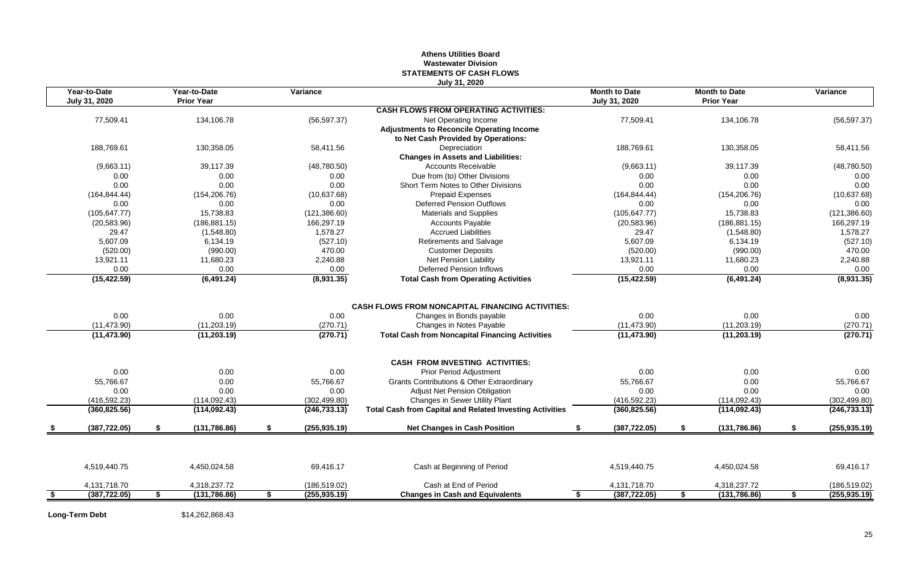## **Athens Utilities Board Wastewater Division STATEMENTS OF CASH FLOWS July 31, 2020**

| Year-to-Date<br>July 31, 2020 | Year-to-Date<br><b>Prior Year</b> | Variance                       |                                                                 | <b>Month to Date</b><br>July 31, 2020 |            | <b>Month to Date</b><br><b>Prior Year</b> | Variance            |
|-------------------------------|-----------------------------------|--------------------------------|-----------------------------------------------------------------|---------------------------------------|------------|-------------------------------------------|---------------------|
|                               |                                   |                                | <b>CASH FLOWS FROM OPERATING ACTIVITIES:</b>                    |                                       |            |                                           |                     |
| 77,509.41                     | 134,106.78                        | (56, 597.37)                   | Net Operating Income                                            | 77,509.41                             |            | 134,106.78                                | (56, 597.37)        |
|                               |                                   |                                | <b>Adjustments to Reconcile Operating Income</b>                |                                       |            |                                           |                     |
|                               |                                   |                                | to Net Cash Provided by Operations:                             |                                       |            |                                           |                     |
| 188.769.61                    | 130,358.05                        | 58.411.56                      | Depreciation                                                    | 188.769.61                            |            | 130,358.05                                | 58,411.56           |
|                               |                                   |                                | <b>Changes in Assets and Liabilities:</b>                       |                                       |            |                                           |                     |
| (9,663.11)                    | 39,117.39                         | (48,780.50)                    | <b>Accounts Receivable</b>                                      |                                       | (9,663.11) | 39,117.39                                 | (48,780.50)         |
| 0.00                          | 0.00                              | 0.00                           | Due from (to) Other Divisions                                   |                                       | 0.00       | 0.00                                      | 0.00                |
| 0.00                          | 0.00                              | 0.00                           | Short Term Notes to Other Divisions                             |                                       | 0.00       | 0.00                                      | 0.00                |
| (164, 844.44)                 | (154, 206.76)                     | (10,637.68)                    | <b>Prepaid Expenses</b>                                         | (164, 844, 44)                        |            | (154, 206.76)                             | (10,637.68)         |
| 0.00                          | 0.00                              | 0.00                           | <b>Deferred Pension Outflows</b>                                |                                       | 0.00       | 0.00                                      | 0.00                |
| (105, 647.77)                 | 15.738.83                         | (121, 386.60)                  | <b>Materials and Supplies</b>                                   | (105, 647.77)                         |            | 15.738.83                                 | (121, 386.60)       |
| (20, 583.96)                  | (186, 881.15)                     | 166,297.19                     | <b>Accounts Payable</b>                                         | (20, 583.96)                          |            | (186, 881.15)                             | 166,297.19          |
| 29.47                         | (1,548.80)                        | 1,578.27                       | <b>Accrued Liabilities</b>                                      |                                       | 29.47      | (1,548.80)                                | 1,578.27            |
| 5,607.09                      | 6,134.19                          | (527.10)                       | Retirements and Salvage                                         |                                       | 5,607.09   | 6,134.19                                  | (527.10)            |
| (520.00)                      | (990.00)                          | 470.00                         | <b>Customer Deposits</b>                                        |                                       | (520.00)   | (990.00)                                  | 470.00              |
| 13,921.11                     | 11,680.23                         | 2.240.88                       | Net Pension Liability                                           | 13,921.11                             |            | 11,680.23                                 | 2,240.88            |
| 0.00                          | 0.00                              | 0.00                           | <b>Deferred Pension Inflows</b>                                 |                                       | 0.00       | 0.00                                      | 0.00                |
| (15, 422.59)                  | (6, 491.24)                       | (8,931.35)                     | <b>Total Cash from Operating Activities</b>                     | (15, 422.59)                          |            | (6, 491.24)                               | (8,931.35)          |
|                               |                                   |                                |                                                                 |                                       |            |                                           |                     |
|                               |                                   |                                | <b>CASH FLOWS FROM NONCAPITAL FINANCING ACTIVITIES:</b>         |                                       |            |                                           |                     |
| 0.00                          | 0.00                              | 0.00                           | Changes in Bonds payable                                        |                                       | 0.00       | 0.00                                      | 0.00                |
| (11, 473.90)                  | (11, 203.19)                      | (270.71)                       | Changes in Notes Payable                                        | (11, 473.90)                          |            | (11, 203.19)                              | (270.71)            |
| (11, 473.90)                  | (11, 203.19)                      | (270.71)                       | <b>Total Cash from Noncapital Financing Activities</b>          | (11, 473.90)                          |            | (11, 203.19)                              | (270.71)            |
|                               |                                   |                                | <b>CASH FROM INVESTING ACTIVITIES:</b>                          |                                       |            |                                           |                     |
| 0.00                          | 0.00                              | 0.00                           | <b>Prior Period Adjustment</b>                                  |                                       | 0.00       | 0.00                                      | 0.00                |
| 55,766.67                     | 0.00                              | 55,766.67                      | <b>Grants Contributions &amp; Other Extraordinary</b>           | 55,766.67                             |            | 0.00                                      | 55,766.67           |
| 0.00                          | 0.00                              | 0.00                           |                                                                 |                                       | 0.00       | 0.00                                      | 0.00                |
| (416, 592.23)                 |                                   |                                | Adjust Net Pension Obligation<br>Changes in Sewer Utility Plant | (416, 592.23)                         |            | (114, 092.43)                             | (302, 499.80)       |
| (360, 825.56)                 | (114, 092.43)<br>(114, 092.43)    | (302, 499.80)<br>(246, 733.13) | <b>Total Cash from Capital and Related Investing Activities</b> | (360, 825.56)                         |            | (114, 092.43)                             | (246, 733.13)       |
|                               |                                   |                                |                                                                 |                                       |            |                                           |                     |
| (387, 722.05)                 | (131, 786.86)                     | \$<br>(255, 935.19)            | <b>Net Changes in Cash Position</b>                             | (387, 722.05)                         |            | \$<br>(131, 786.86)                       | \$<br>(255, 935.19) |
|                               |                                   |                                |                                                                 |                                       |            |                                           |                     |
| 4,519,440.75                  | 4,450,024.58                      | 69,416.17                      | Cash at Beginning of Period                                     | 4,519,440.75                          |            | 4,450,024.58                              | 69,416.17           |
| 4,131,718.70                  | 4,318,237.72                      | (186, 519.02)                  | Cash at End of Period                                           | 4,131,718.70                          |            | 4,318,237.72                              | (186, 519.02)       |
| (387, 722.05)                 | \$<br>(131, 786.86)               | \$<br>(255, 935.19)            | <b>Changes in Cash and Equivalents</b>                          | (387, 722.05)<br>\$                   |            | \$<br>(131, 786.86)                       | \$<br>(255, 935.19) |

**Long-Term Debt** \$14,262,868.43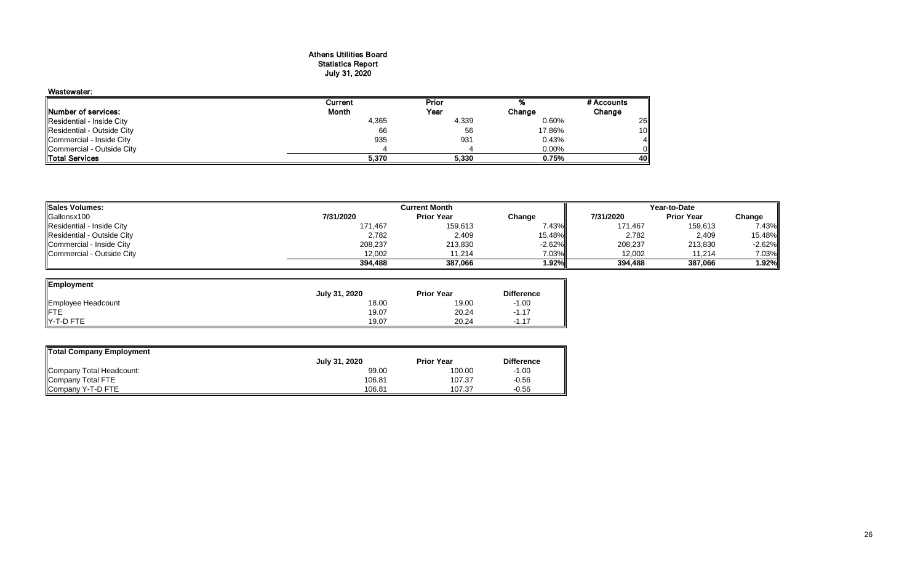#### Athens Utilities Board Statistics Report July 31, 2020

| Wastewater:                 |         |       |        |            |
|-----------------------------|---------|-------|--------|------------|
|                             | Current | Prior |        | # Accounts |
| <b>INumber of services:</b> | Month   | Year  | Change | Change     |
| Residential - Inside City   | 4,365   | 4,339 | 0.60%  | 26         |
| Residential - Outside City  | 66      | 56    | 17.86% | 10         |
| Commercial - Inside City    | 935     | 931   | 0.43%  | 4l         |
| Commercial - Outside City   |         |       | 0.00%  | Oll        |
| <b>Total Services</b>       | 5,370   | 5,330 | 0.75%  | 40II       |

| <b>Sales Volumes:</b>      |           | Year-to-Date      |          |           |                   |          |
|----------------------------|-----------|-------------------|----------|-----------|-------------------|----------|
| Gallonsx100                | 7/31/2020 | <b>Prior Year</b> | Change   | 7/31/2020 | <b>Prior Year</b> | Change   |
| Residential - Inside City  | 171,467   | 159,613           | .43%     | 171,467   | 159,613           | 7.43%    |
| Residential - Outside City | 2,782     | 2,409             | 15.48%   | 2,782     | 2,409             | 15.48%   |
| Commercial - Inside City   | 208,237   | 213,830           | $-2.62%$ | 208,237   | 213,830           | $-2.62%$ |
| Commercial - Outside City  | 12.002    | 11.214            | 7.03%    | 12,002    | 11.214            | 7.03%    |
|                            | 394,488   | 387.066           | 1.92%    | 394,488   | 387,066           | 1.92%    |

—

| Employment         |               |                   |                   |
|--------------------|---------------|-------------------|-------------------|
|                    | July 31, 2020 | <b>Prior Year</b> | <b>Difference</b> |
| Employee Headcount | 18.00         | 19.00             | $-1.00$           |
|                    | 19.07         | 20.24             | $-1.17$           |
| Y-T-D FTE          | 19.07         | 20.24             | $-1.17$           |

| Total Company Employment |               |                   |                   |
|--------------------------|---------------|-------------------|-------------------|
|                          | July 31, 2020 | <b>Prior Year</b> | <b>Difference</b> |
| Company Total Headcount: | 99.00         | 100.00            | $-1.00$           |
| Company Total FTE        | 106.81        | 107.37            | $-0.56$           |
| Company Y-T-D FTE        | 106.81        | 107.37            | $-0.56$           |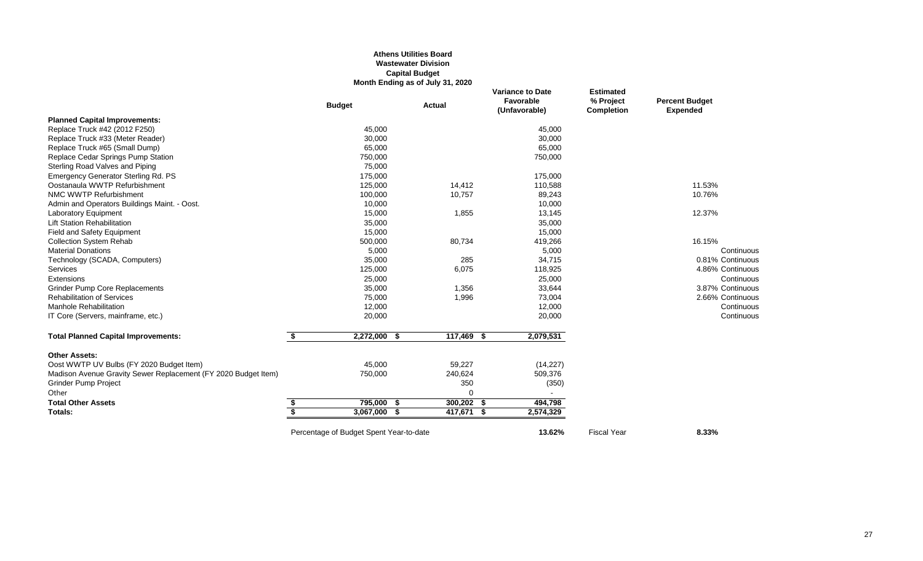## **Athens Utilities Board Wastewater Division Capital Budget Month Ending as of July 31, 2020**

|                                                                |    | <b>Budget</b>                           | <b>Actual</b> |            |      | <b>Variance to Date</b><br>Favorable<br>(Unfavorable) | <b>Estimated</b><br>% Project<br><b>Completion</b> | <b>Percent Budget</b><br><b>Expended</b> |  |
|----------------------------------------------------------------|----|-----------------------------------------|---------------|------------|------|-------------------------------------------------------|----------------------------------------------------|------------------------------------------|--|
| <b>Planned Capital Improvements:</b>                           |    |                                         |               |            |      |                                                       |                                                    |                                          |  |
| Replace Truck #42 (2012 F250)                                  |    | 45,000                                  |               |            |      | 45,000                                                |                                                    |                                          |  |
| Replace Truck #33 (Meter Reader)                               |    | 30,000                                  |               |            |      | 30,000                                                |                                                    |                                          |  |
| Replace Truck #65 (Small Dump)                                 |    | 65,000                                  |               |            |      | 65,000                                                |                                                    |                                          |  |
| Replace Cedar Springs Pump Station                             |    | 750,000                                 |               |            |      | 750,000                                               |                                                    |                                          |  |
| Sterling Road Valves and Piping                                |    | 75,000                                  |               |            |      |                                                       |                                                    |                                          |  |
| <b>Emergency Generator Sterling Rd. PS</b>                     |    | 175,000                                 |               |            |      | 175,000                                               |                                                    |                                          |  |
| Oostanaula WWTP Refurbishment                                  |    | 125,000                                 |               | 14,412     |      | 110,588                                               |                                                    | 11.53%                                   |  |
| NMC WWTP Refurbishment                                         |    | 100,000                                 |               | 10,757     |      | 89,243                                                |                                                    | 10.76%                                   |  |
| Admin and Operators Buildings Maint. - Oost.                   |    | 10,000                                  |               |            |      | 10,000                                                |                                                    |                                          |  |
| <b>Laboratory Equipment</b>                                    |    | 15,000                                  |               | 1,855      |      | 13,145                                                |                                                    | 12.37%                                   |  |
| <b>Lift Station Rehabilitation</b>                             |    | 35,000                                  |               |            |      | 35,000                                                |                                                    |                                          |  |
| Field and Safety Equipment                                     |    | 15,000                                  |               |            |      | 15,000                                                |                                                    |                                          |  |
| <b>Collection System Rehab</b>                                 |    | 500,000                                 |               | 80,734     |      | 419,266                                               |                                                    | 16.15%                                   |  |
| <b>Material Donations</b>                                      |    | 5,000                                   |               |            |      | 5,000                                                 |                                                    | Continuous                               |  |
| Technology (SCADA, Computers)                                  |    | 35,000                                  |               | 285        |      | 34,715                                                |                                                    | 0.81% Continuous                         |  |
| <b>Services</b>                                                |    | 125,000                                 |               | 6,075      |      | 118,925                                               |                                                    | 4.86% Continuous                         |  |
| Extensions                                                     |    | 25,000                                  |               |            |      | 25,000                                                |                                                    | Continuous                               |  |
| Grinder Pump Core Replacements                                 |    | 35,000                                  |               | 1,356      |      | 33,644                                                |                                                    | 3.87% Continuous                         |  |
| <b>Rehabilitation of Services</b>                              |    | 75,000                                  |               | 1,996      |      | 73,004                                                |                                                    | 2.66% Continuous                         |  |
| <b>Manhole Rehabilitation</b>                                  |    | 12,000                                  |               |            |      | 12,000                                                |                                                    | Continuous                               |  |
| IT Core (Servers, mainframe, etc.)                             |    | 20,000                                  |               |            |      | 20,000                                                |                                                    | Continuous                               |  |
| <b>Total Planned Capital Improvements:</b>                     | \$ | 2,272,000                               | \$            | 117,469    | -\$  | 2,079,531                                             |                                                    |                                          |  |
| <b>Other Assets:</b>                                           |    |                                         |               |            |      |                                                       |                                                    |                                          |  |
| Oost WWTP UV Bulbs (FY 2020 Budget Item)                       |    | 45,000                                  |               | 59,227     |      | (14, 227)                                             |                                                    |                                          |  |
| Madison Avenue Gravity Sewer Replacement (FY 2020 Budget Item) |    | 750,000                                 |               | 240,624    |      | 509,376                                               |                                                    |                                          |  |
| <b>Grinder Pump Project</b>                                    |    |                                         |               | 350        |      | (350)                                                 |                                                    |                                          |  |
| Other                                                          |    |                                         |               | 0          |      |                                                       |                                                    |                                          |  |
| <b>Total Other Assets</b>                                      | \$ | 795,000                                 | \$            | 300,202    | - \$ | 494,798                                               |                                                    |                                          |  |
| Totals:                                                        | S, | 3,067,000 \$                            |               | 417,671 \$ |      | 2,574,329                                             |                                                    |                                          |  |
|                                                                |    | Percentage of Budget Spent Year-to-date |               |            |      | 13.62%                                                | <b>Fiscal Year</b>                                 | 8.33%                                    |  |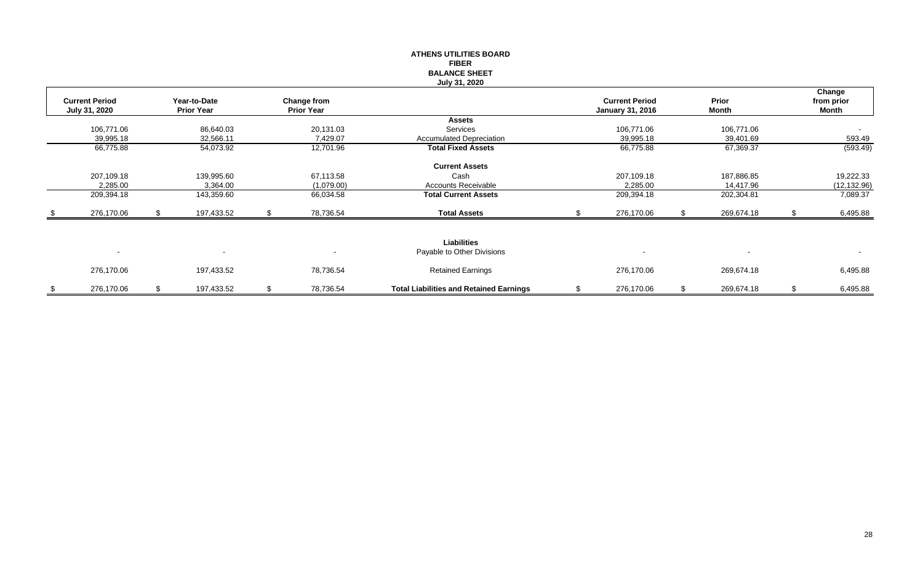|                       |                   |    |                   | <b>ATHENS UTILITIES BOARD</b>                  |                         |    |            |      |              |
|-----------------------|-------------------|----|-------------------|------------------------------------------------|-------------------------|----|------------|------|--------------|
|                       |                   |    |                   | <b>FIBER</b>                                   |                         |    |            |      |              |
|                       |                   |    |                   | <b>BALANCE SHEET</b>                           |                         |    |            |      |              |
|                       |                   |    |                   | July 31, 2020                                  |                         |    |            |      |              |
|                       |                   |    |                   |                                                |                         |    |            |      | Change       |
| <b>Current Period</b> | Year-to-Date      |    | Change from       |                                                | <b>Current Period</b>   |    | Prior      |      | from prior   |
| July 31, 2020         | <b>Prior Year</b> |    | <b>Prior Year</b> |                                                | <b>January 31, 2016</b> |    | Month      |      | Month        |
|                       |                   |    |                   | Assets                                         |                         |    |            |      |              |
| 106,771.06            | 86,640.03         |    | 20,131.03         | Services                                       | 106,771.06              |    | 106,771.06 |      | $\sim$       |
| 39,995.18             | 32,566.11         |    | 7,429.07          | <b>Accumulated Depreciation</b>                | 39,995.18               |    | 39,401.69  |      | 593.49       |
| 66,775.88             | 54,073.92         |    | 12,701.96         | <b>Total Fixed Assets</b>                      | 66,775.88               |    | 67,369.37  |      | (593.49)     |
|                       |                   |    |                   | <b>Current Assets</b>                          |                         |    |            |      |              |
| 207,109.18            | 139,995.60        |    | 67,113.58         | Cash                                           | 207,109.18              |    | 187,886.85 |      | 19,222.33    |
| 2,285.00              | 3,364.00          |    | (1,079.00)        | Accounts Receivable                            | 2,285.00                |    | 14,417.96  |      | (12, 132.96) |
| 209,394.18            | 143,359.60        |    | 66,034.58         | <b>Total Current Assets</b>                    | 209,394.18              |    | 202,304.81 |      | 7,089.37     |
|                       |                   |    |                   |                                                |                         |    |            |      |              |
| 276,170.06            | \$<br>197,433.52  | S. | 78,736.54         | <b>Total Assets</b>                            | 276,170.06              |    | 269,674.18 | - 96 | 6,495.88     |
|                       |                   |    |                   |                                                |                         |    |            |      |              |
|                       |                   |    |                   | <b>Liabilities</b>                             |                         |    |            |      |              |
| $\blacksquare$        |                   |    |                   | Payable to Other Divisions                     |                         |    |            |      | $\sim$       |
| 276,170.06            | 197,433.52        |    | 78,736.54         | <b>Retained Earnings</b>                       | 276,170.06              |    | 269,674.18 |      | 6,495.88     |
|                       |                   |    |                   |                                                |                         |    |            |      |              |
| \$<br>276,170.06      | \$<br>197,433.52  | \$ | 78,736.54         | <b>Total Liabilities and Retained Earnings</b> | \$<br>276,170.06        | .S | 269,674.18 | \$   | 6,495.88     |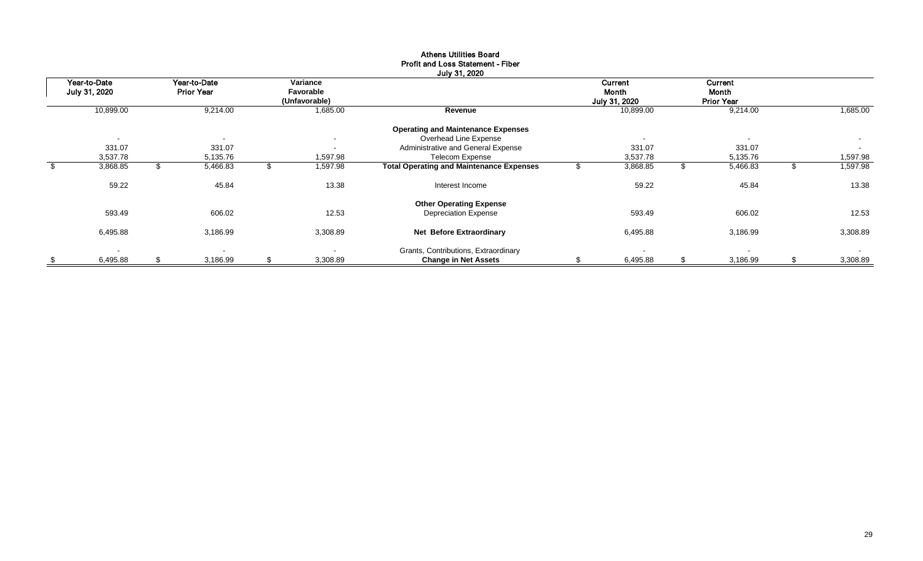| Year-to-Date             | Year-to-Date             | Variance                 |                                                 |    | Current       | Current           |                |
|--------------------------|--------------------------|--------------------------|-------------------------------------------------|----|---------------|-------------------|----------------|
| July 31, 2020            | <b>Prior Year</b>        | Favorable                |                                                 |    | Month         | Month             |                |
|                          |                          | (Unfavorable)            |                                                 |    | July 31, 2020 | <b>Prior Year</b> |                |
| 10,899.00                | 9,214.00                 | 1,685.00                 | Revenue                                         |    | 10,899.00     | 9,214.00          | 1,685.00       |
|                          |                          |                          | <b>Operating and Maintenance Expenses</b>       |    |               |                   |                |
| $\overline{\phantom{a}}$ | $\overline{\phantom{a}}$ | $\overline{\phantom{0}}$ | Overhead Line Expense                           |    |               | $\sim$            | $\sim$         |
| 331.07                   | 331.07                   | $\blacksquare$           | Administrative and General Expense              |    | 331.07        | 331.07            | $\sim$         |
| 3,537.78                 | 5,135.76                 | .597.98                  | <b>Telecom Expense</b>                          |    | 3,537.78      | 5,135.76          | 1,597.98       |
| \$<br>3,868.85           | \$<br>5,466.83           | \$<br>1,597.98           | <b>Total Operating and Maintenance Expenses</b> | ъD | 3,868.85      | 5,466.83          | \$<br>1,597.98 |
| 59.22                    | 45.84                    | 13.38                    | Interest Income                                 |    | 59.22         | 45.84             | 13.38          |
|                          |                          |                          | <b>Other Operating Expense</b>                  |    |               |                   |                |
| 593.49                   | 606.02                   | 12.53                    | <b>Depreciation Expense</b>                     |    | 593.49        | 606.02            | 12.53          |
| 6,495.88                 | 3,186.99                 | 3,308.89                 | Net Before Extraordinary                        |    | 6,495.88      | 3,186.99          | 3,308.89       |
|                          |                          |                          | Grants, Contributions, Extraordinary            |    |               |                   |                |
| \$<br>6,495.88           | \$<br>3,186.99           | \$<br>3,308.89           | <b>Change in Net Assets</b>                     |    | 6,495.88      | 3,186.99          | 3,308.89       |

# Athens Utilities Board Profit and Loss Statement - Fiber